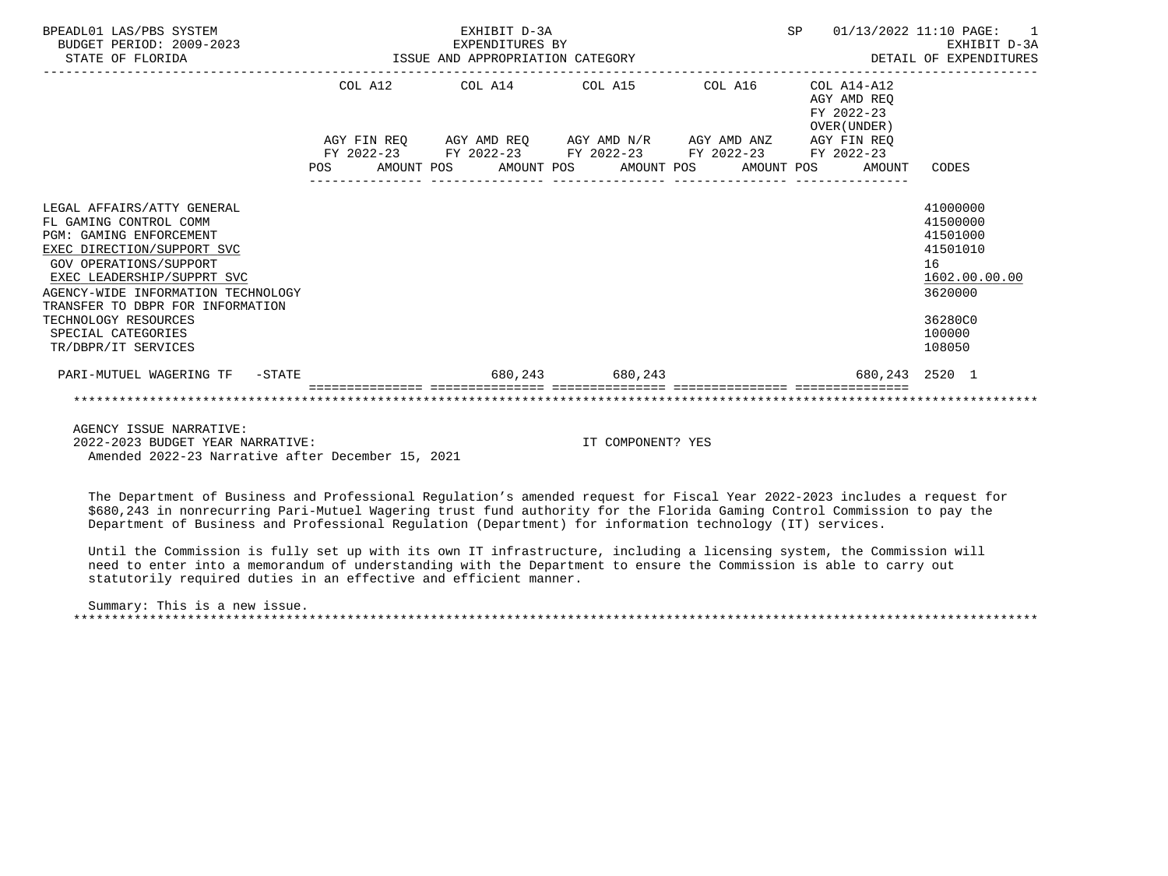| BPEADL01 LAS/PBS SYSTEM<br>BUDGET PERIOD: 2009-2023<br>STATE OF FLORIDA | EXHIBIT D-3A<br>EXPENDITURES BY<br>EXPENDITURES BY<br>ISSUE AND APPROPRIATION CATEGORY |  |  |  |  |                   |                                                                                                                                                                                 | SP |                                          | 01/13/2022 11:10 PAGE:<br>$\overline{1}$<br>EXHIBIT D-3A<br>DETAIL OF EXPENDITURES |  |
|-------------------------------------------------------------------------|----------------------------------------------------------------------------------------|--|--|--|--|-------------------|---------------------------------------------------------------------------------------------------------------------------------------------------------------------------------|----|------------------------------------------|------------------------------------------------------------------------------------|--|
|                                                                         |                                                                                        |  |  |  |  |                   | COL A12 COL A14 COL A15 COL A16                                                                                                                                                 |    | COL A14-A12<br>AGY AMD REO<br>FY 2022-23 |                                                                                    |  |
|                                                                         |                                                                                        |  |  |  |  |                   | AGY FIN REQ AGY AMD REQ AGY AMD N/R AGY AMD ANZ AGY FIN REQ<br>FY 2022-23 FY 2022-23 FY 2022-23 FY 2022-23 FY 2022-23<br>POS AMOUNT POS AMOUNT POS AMOUNT POS AMOUNT POS AMOUNT |    | OVER (UNDER )                            | CODES                                                                              |  |
|                                                                         |                                                                                        |  |  |  |  |                   |                                                                                                                                                                                 |    |                                          |                                                                                    |  |
| LEGAL AFFAIRS/ATTY GENERAL                                              |                                                                                        |  |  |  |  |                   |                                                                                                                                                                                 |    |                                          | 41000000                                                                           |  |
| FL GAMING CONTROL COMM                                                  |                                                                                        |  |  |  |  |                   |                                                                                                                                                                                 |    |                                          | 41500000                                                                           |  |
| <b>PGM: GAMING ENFORCEMENT</b>                                          |                                                                                        |  |  |  |  |                   |                                                                                                                                                                                 |    |                                          | 41501000                                                                           |  |
| EXEC DIRECTION/SUPPORT SVC                                              |                                                                                        |  |  |  |  |                   |                                                                                                                                                                                 |    |                                          | 41501010                                                                           |  |
| <b>GOV OPERATIONS/SUPPORT</b>                                           |                                                                                        |  |  |  |  |                   |                                                                                                                                                                                 |    |                                          | 16                                                                                 |  |
| EXEC LEADERSHIP/SUPPRT SVC                                              |                                                                                        |  |  |  |  |                   |                                                                                                                                                                                 |    |                                          | 1602.00.00.00                                                                      |  |
| AGENCY-WIDE INFORMATION TECHNOLOGY                                      |                                                                                        |  |  |  |  |                   |                                                                                                                                                                                 |    |                                          | 3620000                                                                            |  |
| TRANSFER TO DBPR FOR INFORMATION                                        |                                                                                        |  |  |  |  |                   |                                                                                                                                                                                 |    |                                          |                                                                                    |  |
| TECHNOLOGY RESOURCES                                                    |                                                                                        |  |  |  |  |                   |                                                                                                                                                                                 |    |                                          | 36280C0                                                                            |  |
| SPECIAL CATEGORIES                                                      |                                                                                        |  |  |  |  |                   |                                                                                                                                                                                 |    |                                          | 100000                                                                             |  |
| TR/DBPR/IT SERVICES                                                     |                                                                                        |  |  |  |  |                   |                                                                                                                                                                                 |    |                                          | 108050                                                                             |  |
| PARI-MUTUEL WAGERING TF -STATE                                          |                                                                                        |  |  |  |  | 680, 243 680, 243 |                                                                                                                                                                                 |    |                                          | 680,243 2520 1                                                                     |  |
|                                                                         |                                                                                        |  |  |  |  |                   |                                                                                                                                                                                 |    |                                          |                                                                                    |  |
| AGENCY ISSUE NARRATIVE:                                                 |                                                                                        |  |  |  |  |                   |                                                                                                                                                                                 |    |                                          |                                                                                    |  |

 2022-2023 BUDGET YEAR NARRATIVE: IT COMPONENT? YES Amended 2022-23 Narrative after December 15, 2021

 The Department of Business and Professional Regulation's amended request for Fiscal Year 2022-2023 includes a request for \$680,243 in nonrecurring Pari-Mutuel Wagering trust fund authority for the Florida Gaming Control Commission to pay the Department of Business and Professional Regulation (Department) for information technology (IT) services.

 Until the Commission is fully set up with its own IT infrastructure, including a licensing system, the Commission will need to enter into a memorandum of understanding with the Department to ensure the Commission is able to carry out statutorily required duties in an effective and efficient manner.

 Summary: This is a new issue. \*\*\*\*\*\*\*\*\*\*\*\*\*\*\*\*\*\*\*\*\*\*\*\*\*\*\*\*\*\*\*\*\*\*\*\*\*\*\*\*\*\*\*\*\*\*\*\*\*\*\*\*\*\*\*\*\*\*\*\*\*\*\*\*\*\*\*\*\*\*\*\*\*\*\*\*\*\*\*\*\*\*\*\*\*\*\*\*\*\*\*\*\*\*\*\*\*\*\*\*\*\*\*\*\*\*\*\*\*\*\*\*\*\*\*\*\*\*\*\*\*\*\*\*\*\*\*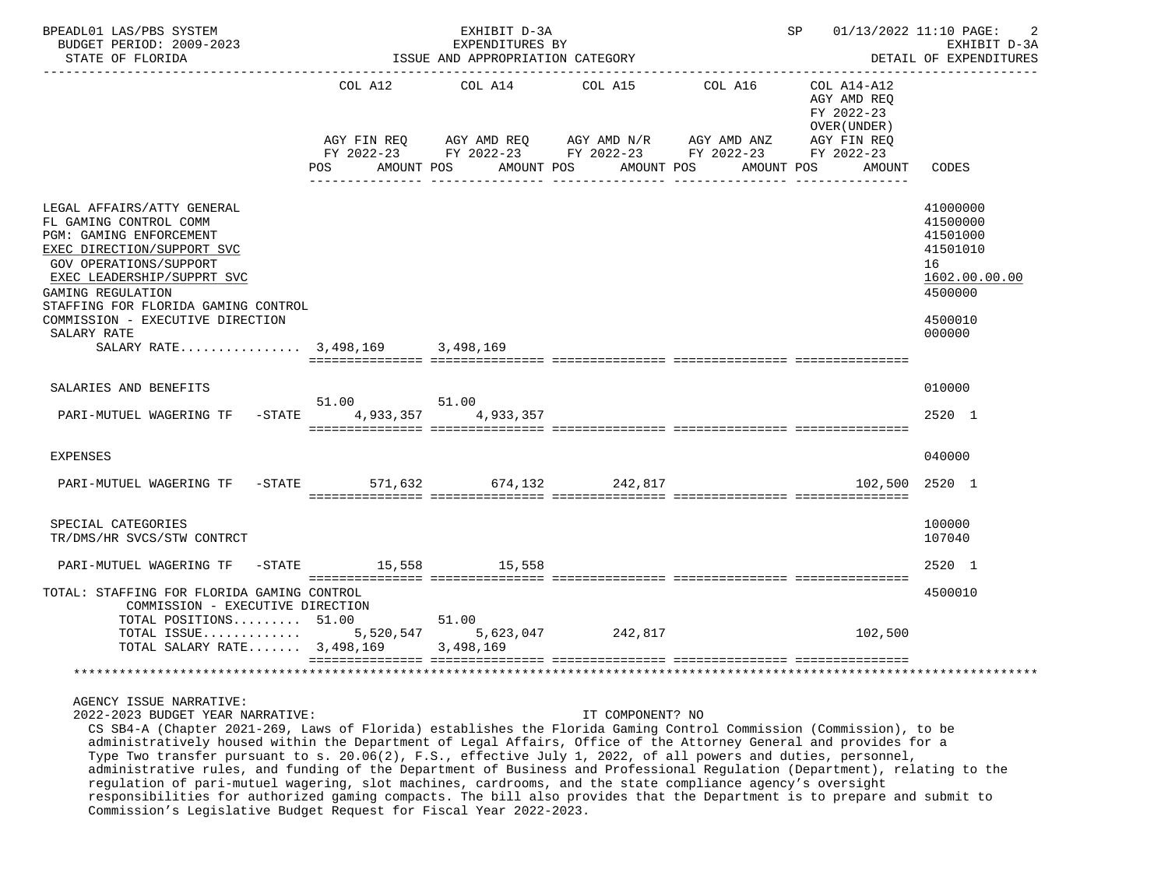| BPEADL01 LAS/PBS SYSTEM<br>BUDGET PERIOD: 2009-2023<br>STATE OF FLORIDA                                                                                                                                                                                                                                                        |                                           | EXHIBIT D-3A<br>EXPENDITURES BY<br>ISSUE AND APPROPRIATION CATEGORY | -------------------                                                                                                                 | SP 01/13/2022 11:10 PAGE: | -2<br>EXHIBIT D-3A<br>DETAIL OF EXPENDITURES             |                                                                                                     |
|--------------------------------------------------------------------------------------------------------------------------------------------------------------------------------------------------------------------------------------------------------------------------------------------------------------------------------|-------------------------------------------|---------------------------------------------------------------------|-------------------------------------------------------------------------------------------------------------------------------------|---------------------------|----------------------------------------------------------|-----------------------------------------------------------------------------------------------------|
|                                                                                                                                                                                                                                                                                                                                | COL A12                                   | COL A14                                                             | COL A15                                                                                                                             | COL A16                   | COL A14-A12<br>AGY AMD REO<br>FY 2022-23<br>OVER (UNDER) |                                                                                                     |
|                                                                                                                                                                                                                                                                                                                                | POS                                       | AMOUNT POS                                                          | AGY FIN REQ AGY AMD REQ AGY AMD N/R AGY AMD ANZ AGY FIN REQ<br>FY 2022-23 FY 2022-23 FY 2022-23 FY 2022-23 FY 2022-23<br>AMOUNT POS | AMOUNT POS                | AMOUNT POS<br>AMOUNT                                     | CODES                                                                                               |
| LEGAL AFFAIRS/ATTY GENERAL<br>FL GAMING CONTROL COMM<br>PGM: GAMING ENFORCEMENT<br>EXEC DIRECTION/SUPPORT SVC<br><b>GOV OPERATIONS/SUPPORT</b><br>EXEC LEADERSHIP/SUPPRT SVC<br>GAMING REGULATION<br>STAFFING FOR FLORIDA GAMING CONTROL<br>COMMISSION - EXECUTIVE DIRECTION<br>SALARY RATE<br>SALARY RATE 3,498,169 3,498,169 |                                           |                                                                     |                                                                                                                                     |                           |                                                          | 41000000<br>41500000<br>41501000<br>41501010<br>16<br>1602.00.00.00<br>4500000<br>4500010<br>000000 |
| SALARIES AND BENEFITS                                                                                                                                                                                                                                                                                                          |                                           |                                                                     |                                                                                                                                     |                           |                                                          | 010000                                                                                              |
| PARI-MUTUEL WAGERING TF                                                                                                                                                                                                                                                                                                        | 51.00 51.00<br>-STATE 4,933,357 4,933,357 |                                                                     |                                                                                                                                     |                           |                                                          | 2520 1                                                                                              |
| <b>EXPENSES</b>                                                                                                                                                                                                                                                                                                                |                                           |                                                                     |                                                                                                                                     |                           |                                                          | 040000                                                                                              |
| PARI-MUTUEL WAGERING TF                                                                                                                                                                                                                                                                                                        | $-STATE$<br>571,632                       |                                                                     | 674,132 242,817                                                                                                                     |                           |                                                          | 102,500 2520 1                                                                                      |
| SPECIAL CATEGORIES<br>TR/DMS/HR SVCS/STW CONTRCT                                                                                                                                                                                                                                                                               |                                           |                                                                     |                                                                                                                                     |                           |                                                          | 100000<br>107040                                                                                    |
| PARI-MUTUEL WAGERING TF                                                                                                                                                                                                                                                                                                        | -STATE 15,558 15,558                      |                                                                     |                                                                                                                                     |                           |                                                          | 2520 1                                                                                              |
| TOTAL: STAFFING FOR FLORIDA GAMING CONTROL<br>COMMISSION - EXECUTIVE DIRECTION<br>TOTAL POSITIONS $51.00$                                                                                                                                                                                                                      |                                           | 51.00                                                               |                                                                                                                                     |                           |                                                          | 4500010                                                                                             |
| TOTAL ISSUE 5,520,547 5,623,047 242,817<br>TOTAL SALARY RATE 3,498,169                                                                                                                                                                                                                                                         |                                           | 3,498,169                                                           |                                                                                                                                     |                           | 102,500                                                  |                                                                                                     |
| * * * * * * * * * * * * *                                                                                                                                                                                                                                                                                                      |                                           |                                                                     |                                                                                                                                     |                           |                                                          |                                                                                                     |
| AGENCY ISSUE NARRATIVE:<br>2022-2023 BUDGET YEAR NARRATIVE:                                                                                                                                                                                                                                                                    |                                           |                                                                     | IT COMPONENT? NO                                                                                                                    |                           |                                                          |                                                                                                     |

 CS SB4-A (Chapter 2021-269, Laws of Florida) establishes the Florida Gaming Control Commission (Commission), to be administratively housed within the Department of Legal Affairs, Office of the Attorney General and provides for a Type Two transfer pursuant to s. 20.06(2), F.S., effective July 1, 2022, of all powers and duties, personnel, administrative rules, and funding of the Department of Business and Professional Regulation (Department), relating to the regulation of pari-mutuel wagering, slot machines, cardrooms, and the state compliance agency's oversight responsibilities for authorized gaming compacts. The bill also provides that the Department is to prepare and submit to Commission's Legislative Budget Request for Fiscal Year 2022-2023.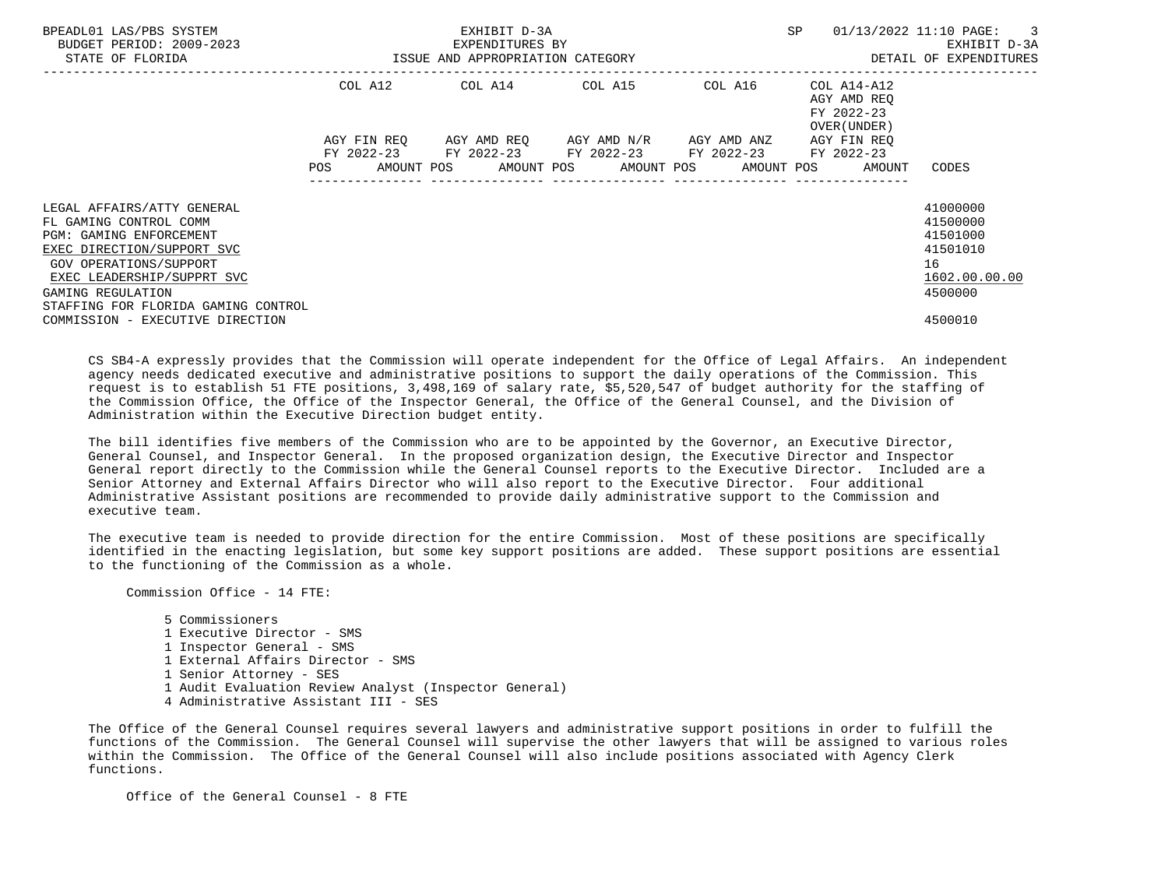| BPEADL01 LAS/PBS SYSTEM<br>BUDGET PERIOD: 2009-2023<br>STATE OF FLORIDA                                                                              | EXHIBIT D-3A<br>EXPENDITURES BY<br>ISSUE AND APPROPRIATION CATEGORY |             |  |                                                                                                         |  |  |  | SP | 01/13/2022 11:10 PAGE: 3 |                                            | EXHIBIT D-3A<br>DETAIL OF EXPENDITURES |                                              |  |
|------------------------------------------------------------------------------------------------------------------------------------------------------|---------------------------------------------------------------------|-------------|--|---------------------------------------------------------------------------------------------------------|--|--|--|----|--------------------------|--------------------------------------------|----------------------------------------|----------------------------------------------|--|
|                                                                                                                                                      |                                                                     | COL A12     |  |                                                                                                         |  |  |  |    |                          | AGY AMD REO<br>FY 2022-23<br>OVER (UNDER ) |                                        |                                              |  |
|                                                                                                                                                      |                                                                     | AGY FIN REO |  | AGY AMD REO      AGY AMD N/R      AGY AMD ANZ<br>FY 2022-23 FY 2022-23 FY 2022-23 FY 2022-23 FY 2022-23 |  |  |  |    |                          | AGY FIN REO                                |                                        |                                              |  |
| LEGAL AFFAIRS/ATTY GENERAL<br>FL GAMING CONTROL COMM<br>PGM: GAMING ENFORCEMENT<br>EXEC DIRECTION/SUPPORT SVC                                        |                                                                     |             |  | POS AMOUNT POS AMOUNT POS AMOUNT POS AMOUNT POS AMOUNT CODES                                            |  |  |  |    |                          |                                            |                                        | 41000000<br>41500000<br>41501000<br>41501010 |  |
| GOV OPERATIONS/SUPPORT<br>EXEC LEADERSHIP/SUPPRT SVC<br>GAMING REGULATION<br>STAFFING FOR FLORIDA GAMING CONTROL<br>COMMISSION - EXECUTIVE DIRECTION |                                                                     |             |  |                                                                                                         |  |  |  |    |                          |                                            | 16                                     | 1602.00.00.00<br>4500000<br>4500010          |  |

 CS SB4-A expressly provides that the Commission will operate independent for the Office of Legal Affairs. An independent agency needs dedicated executive and administrative positions to support the daily operations of the Commission. This request is to establish 51 FTE positions, 3,498,169 of salary rate, \$5,520,547 of budget authority for the staffing of the Commission Office, the Office of the Inspector General, the Office of the General Counsel, and the Division of Administration within the Executive Direction budget entity.

 The bill identifies five members of the Commission who are to be appointed by the Governor, an Executive Director, General Counsel, and Inspector General. In the proposed organization design, the Executive Director and Inspector General report directly to the Commission while the General Counsel reports to the Executive Director. Included are a Senior Attorney and External Affairs Director who will also report to the Executive Director. Four additional Administrative Assistant positions are recommended to provide daily administrative support to the Commission and executive team.

 The executive team is needed to provide direction for the entire Commission. Most of these positions are specifically identified in the enacting legislation, but some key support positions are added. These support positions are essential to the functioning of the Commission as a whole.

Commission Office - 14 FTE:

 5 Commissioners 1 Executive Director - SMS 1 Inspector General - SMS 1 External Affairs Director - SMS 1 Senior Attorney - SES 1 Audit Evaluation Review Analyst (Inspector General) 4 Administrative Assistant III - SES

 The Office of the General Counsel requires several lawyers and administrative support positions in order to fulfill the functions of the Commission. The General Counsel will supervise the other lawyers that will be assigned to various roles within the Commission. The Office of the General Counsel will also include positions associated with Agency Clerk functions.

Office of the General Counsel - 8 FTE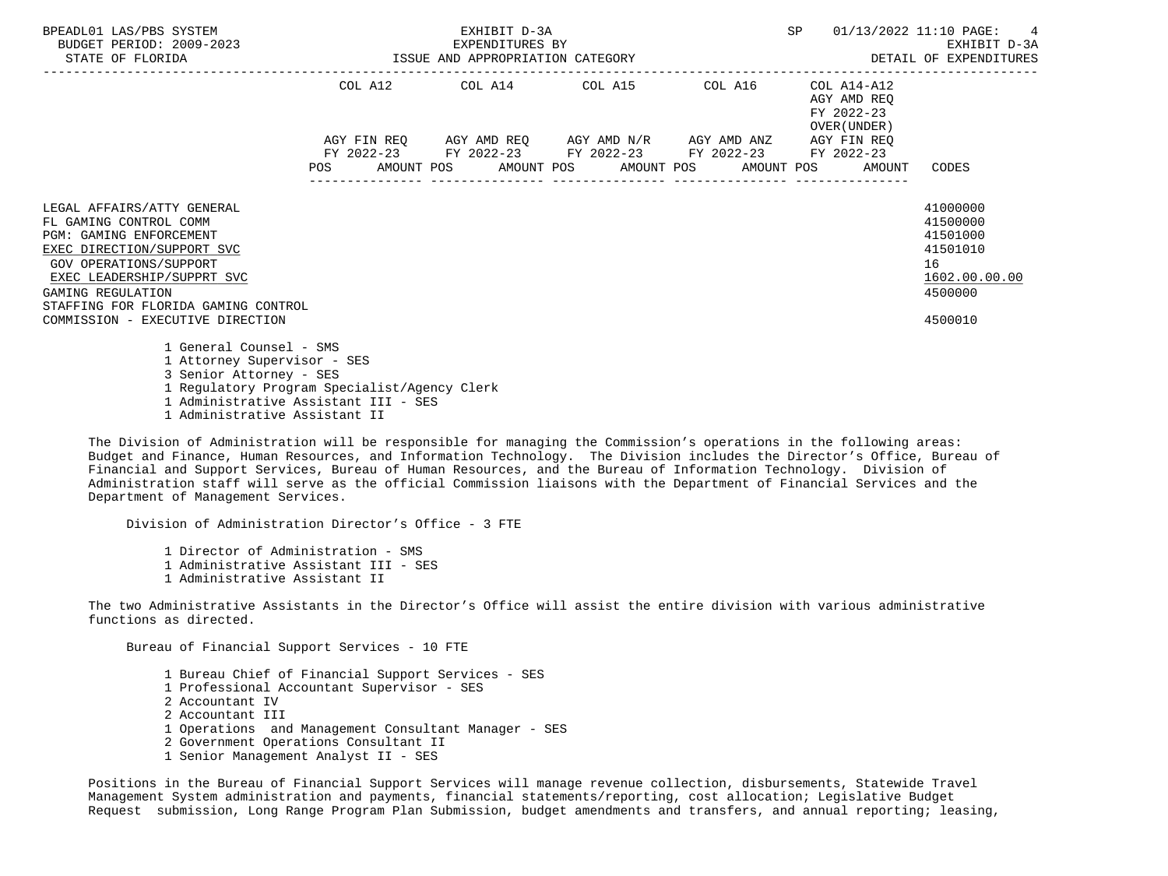| BPEADL01 LAS/PBS SYSTEM<br>BUDGET PERIOD: 2009-2023<br>STATE OF FLORIDA                                                                                                                                                                                                      | EXHIBIT D-3A<br>EXPENDITURES BY<br>ISSUE AND APPROPRIATION CATEGORY |  |  |                                                                                                       |  |  |  | SP |                                                          | 01/13/2022 11:10 PAGE: 4<br>EXHIBIT D-3A<br>DETAIL OF EXPENDITURES                        |
|------------------------------------------------------------------------------------------------------------------------------------------------------------------------------------------------------------------------------------------------------------------------------|---------------------------------------------------------------------|--|--|-------------------------------------------------------------------------------------------------------|--|--|--|----|----------------------------------------------------------|-------------------------------------------------------------------------------------------|
|                                                                                                                                                                                                                                                                              |                                                                     |  |  | COL A12 COL A14 COL A15 COL A16                                                                       |  |  |  |    | COL A14-A12<br>AGY AMD REO<br>FY 2022-23<br>OVER (UNDER) |                                                                                           |
|                                                                                                                                                                                                                                                                              |                                                                     |  |  | AGY FIN REQ AGY AMD REQ AGY AMD N/R AGY AMD ANZ AGY FIN REQ                                           |  |  |  |    |                                                          |                                                                                           |
|                                                                                                                                                                                                                                                                              | <b>POS</b>                                                          |  |  | FY 2022-23 FY 2022-23 FY 2022-23 FY 2022-23 FY 2022-23<br>AMOUNT POS AMOUNT POS AMOUNT POS AMOUNT POS |  |  |  |    | AMOUNT                                                   | CODES                                                                                     |
| LEGAL AFFAIRS/ATTY GENERAL<br>FL GAMING CONTROL COMM<br><b>PGM: GAMING ENFORCEMENT</b><br>EXEC DIRECTION/SUPPORT SVC<br>GOV OPERATIONS/SUPPORT<br>EXEC LEADERSHIP/SUPPRT SVC<br>GAMING REGULATION<br>STAFFING FOR FLORIDA GAMING CONTROL<br>COMMISSION - EXECUTIVE DIRECTION |                                                                     |  |  |                                                                                                       |  |  |  |    |                                                          | 41000000<br>41500000<br>41501000<br>41501010<br>16<br>1602.00.00.00<br>4500000<br>4500010 |
| 1 General Counsel - SMS<br>1 Attorney Supervisor - SES<br>3 Senior Attorney - SES<br>1 Regulatory Program Specialist/Agency Clerk<br>1 Administrative Assistant III - SES<br>1 Administrative Assistant II                                                                   |                                                                     |  |  |                                                                                                       |  |  |  |    |                                                          |                                                                                           |

 The Division of Administration will be responsible for managing the Commission's operations in the following areas: Budget and Finance, Human Resources, and Information Technology. The Division includes the Director's Office, Bureau of Financial and Support Services, Bureau of Human Resources, and the Bureau of Information Technology. Division of Administration staff will serve as the official Commission liaisons with the Department of Financial Services and the Department of Management Services.

Division of Administration Director's Office - 3 FTE

 1 Director of Administration - SMS 1 Administrative Assistant III - SES 1 Administrative Assistant II

 The two Administrative Assistants in the Director's Office will assist the entire division with various administrative functions as directed.

Bureau of Financial Support Services - 10 FTE

 1 Bureau Chief of Financial Support Services - SES 1 Professional Accountant Supervisor - SES 2 Accountant IV 2 Accountant III 1 Operations and Management Consultant Manager - SES 2 Government Operations Consultant II 1 Senior Management Analyst II - SES

 Positions in the Bureau of Financial Support Services will manage revenue collection, disbursements, Statewide Travel Management System administration and payments, financial statements/reporting, cost allocation; Legislative Budget Request submission, Long Range Program Plan Submission, budget amendments and transfers, and annual reporting; leasing,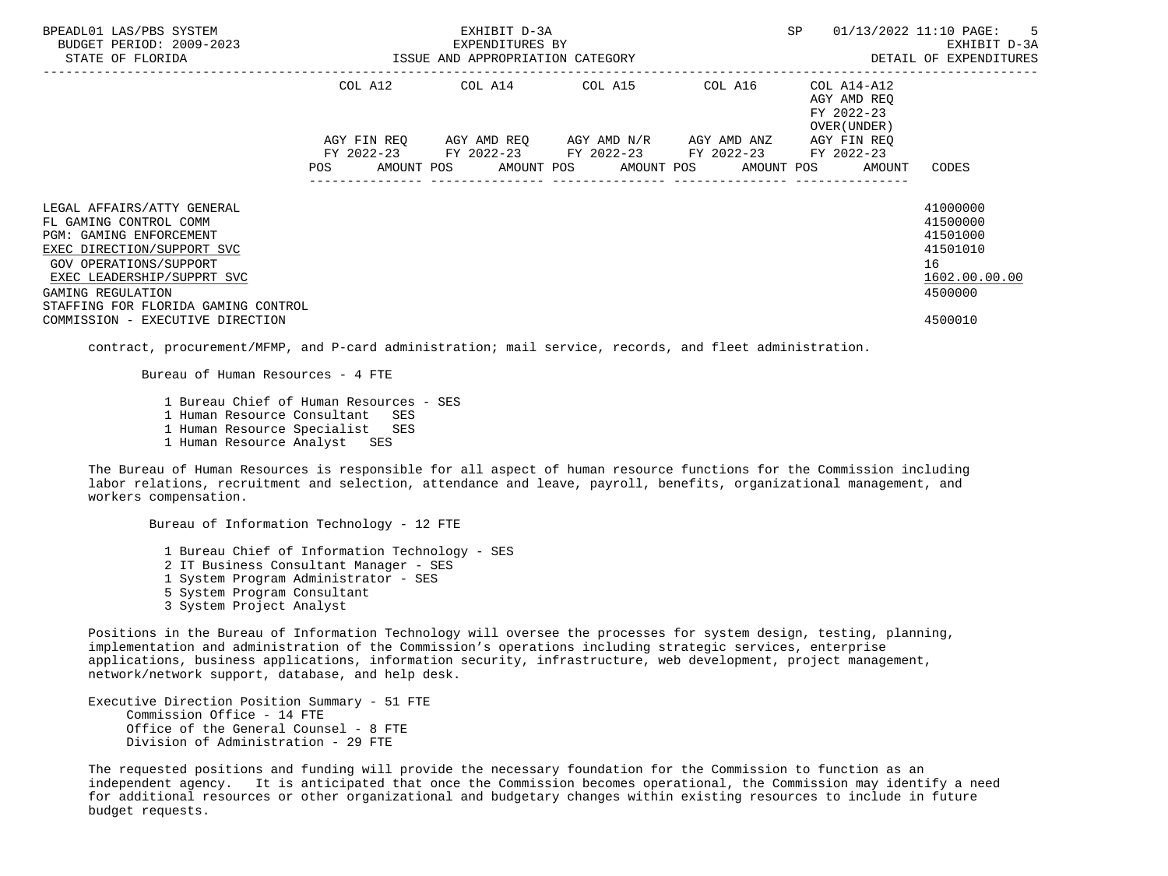| BPEADL01 LAS/PBS SYSTEM<br>BUDGET PERIOD: 2009-2023<br>STATE OF FLORIDA                                                                        |         | EXHIBIT D-3A<br>EXPENDITURES BY<br>ISSUE AND APPROPRIATION CATEGORY | SP                                                                                                        | 01/13/2022 11:10 PAGE: 5<br>EXHIBIT D-3A<br>DETAIL OF EXPENDITURES |                                                          |                                                    |
|------------------------------------------------------------------------------------------------------------------------------------------------|---------|---------------------------------------------------------------------|-----------------------------------------------------------------------------------------------------------|--------------------------------------------------------------------|----------------------------------------------------------|----------------------------------------------------|
|                                                                                                                                                | COL A12 |                                                                     | COL A14 COL A15                                                                                           | COL A16                                                            | COL A14-A12<br>AGY AMD REO<br>FY 2022-23<br>OVER (UNDER) |                                                    |
|                                                                                                                                                |         |                                                                     | AGY FIN REO AGY AMD REO AGY AMD N/R AGY AMD ANZ<br>FY 2022-23 FY 2022-23 FY 2022-23 FY 2022-23 FY 2022-23 |                                                                    | AGY FIN REO                                              |                                                    |
|                                                                                                                                                | POS     |                                                                     |                                                                                                           |                                                                    | AMOUNT POS AMOUNT POS AMOUNT POS AMOUNT POS AMOUNT       | CODES                                              |
| LEGAL AFFAIRS/ATTY GENERAL<br>FL GAMING CONTROL COMM<br><b>PGM: GAMING ENFORCEMENT</b><br>EXEC DIRECTION/SUPPORT SVC<br>GOV OPERATIONS/SUPPORT |         |                                                                     |                                                                                                           |                                                                    |                                                          | 41000000<br>41500000<br>41501000<br>41501010<br>16 |
| EXEC LEADERSHIP/SUPPRT SVC<br>GAMING REGULATION<br>STAFFING FOR FLORIDA GAMING CONTROL                                                         |         |                                                                     |                                                                                                           |                                                                    |                                                          | 1602.00.00.00<br>4500000                           |
| COMMISSION - EXECUTIVE DIRECTION                                                                                                               |         |                                                                     |                                                                                                           |                                                                    |                                                          | 4500010                                            |

contract, procurement/MFMP, and P-card administration; mail service, records, and fleet administration.

Bureau of Human Resources - 4 FTE

 1 Bureau Chief of Human Resources - SES 1 Human Resource Consultant SES 1 Human Resource Specialist SES 1 Human Resource Analyst SES

Bureau of Information Technology - 12 FTE

 The Bureau of Human Resources is responsible for all aspect of human resource functions for the Commission including labor relations, recruitment and selection, attendance and leave, payroll, benefits, organizational management, and workers compensation.

 1 Bureau Chief of Information Technology - SES 2 IT Business Consultant Manager - SES 1 System Program Administrator - SES 5 System Program Consultant 3 System Project Analyst

 Positions in the Bureau of Information Technology will oversee the processes for system design, testing, planning, implementation and administration of the Commission's operations including strategic services, enterprise applications, business applications, information security, infrastructure, web development, project management, network/network support, database, and help desk.

 Executive Direction Position Summary - 51 FTE Commission Office - 14 FTE Office of the General Counsel - 8 FTE Division of Administration - 29 FTE

 The requested positions and funding will provide the necessary foundation for the Commission to function as an independent agency. It is anticipated that once the Commission becomes operational, the Commission may identify a need for additional resources or other organizational and budgetary changes within existing resources to include in future budget requests.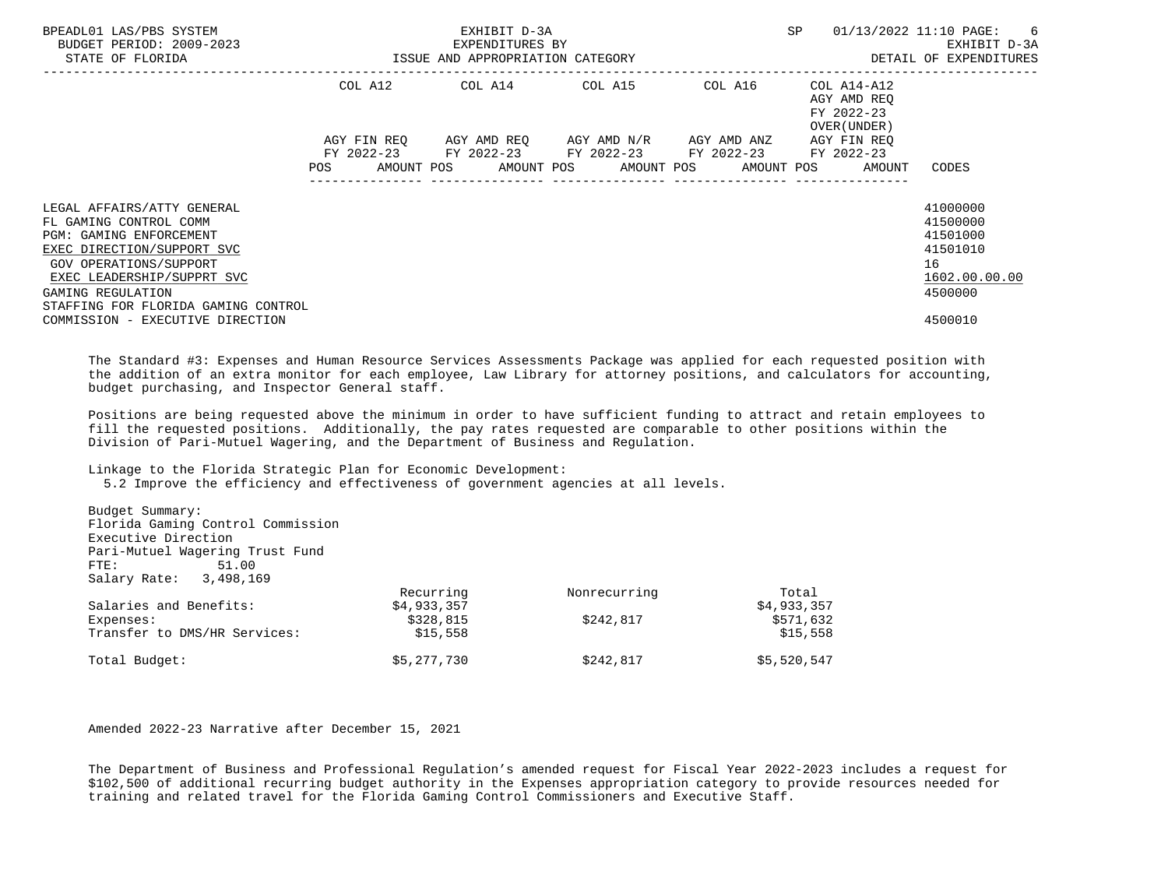| BPEADL01 LAS/PBS SYSTEM<br>BUDGET PERIOD: 2009-2023<br>STATE OF FLORIDA |            | EXHIBIT D-3A<br>EXPENDITURES BY<br>ISSUE AND APPROPRIATION CATEGORY | SP                                                     | 01/13/2022 11:10 PAGE: 6<br>EXHIBIT D-3A<br>DETAIL OF EXPENDITURES |                                                          |               |
|-------------------------------------------------------------------------|------------|---------------------------------------------------------------------|--------------------------------------------------------|--------------------------------------------------------------------|----------------------------------------------------------|---------------|
|                                                                         |            |                                                                     | COL A12 COL A14 COL A15 COL A16                        |                                                                    | COL A14-A12<br>AGY AMD REO<br>FY 2022-23<br>OVER (UNDER) |               |
|                                                                         |            |                                                                     | AGY FIN REQ 6GY AMD REQ 6GY AMD N/R 6GY AMD ANZ        |                                                                    | AGY FIN REO                                              |               |
|                                                                         |            |                                                                     | FY 2022-23 FY 2022-23 FY 2022-23 FY 2022-23 FY 2022-23 |                                                                    |                                                          |               |
|                                                                         | <b>POS</b> |                                                                     |                                                        |                                                                    | AMOUNT POS AMOUNT POS AMOUNT POS AMOUNT POS AMOUNT       | CODES         |
|                                                                         |            |                                                                     |                                                        |                                                                    |                                                          |               |
| LEGAL AFFAIRS/ATTY GENERAL                                              |            |                                                                     |                                                        |                                                                    |                                                          | 41000000      |
| FL GAMING CONTROL COMM                                                  |            |                                                                     |                                                        |                                                                    |                                                          | 41500000      |
| PGM: GAMING ENFORCEMENT                                                 |            |                                                                     |                                                        |                                                                    |                                                          | 41501000      |
| EXEC DIRECTION/SUPPORT SVC                                              |            |                                                                     |                                                        |                                                                    |                                                          | 41501010      |
| GOV OPERATIONS/SUPPORT                                                  |            |                                                                     |                                                        |                                                                    |                                                          | 16            |
| EXEC LEADERSHIP/SUPPRT SVC                                              |            |                                                                     |                                                        |                                                                    |                                                          | 1602.00.00.00 |
| GAMING REGULATION                                                       |            |                                                                     |                                                        |                                                                    |                                                          | 4500000       |
| STAFFING FOR FLORIDA GAMING CONTROL                                     |            |                                                                     |                                                        |                                                                    |                                                          |               |
| COMMISSION - EXECUTIVE DIRECTION                                        |            |                                                                     |                                                        |                                                                    |                                                          | 4500010       |
|                                                                         |            |                                                                     |                                                        |                                                                    |                                                          |               |

 The Standard #3: Expenses and Human Resource Services Assessments Package was applied for each requested position with the addition of an extra monitor for each employee, Law Library for attorney positions, and calculators for accounting, budget purchasing, and Inspector General staff.

 Positions are being requested above the minimum in order to have sufficient funding to attract and retain employees to fill the requested positions. Additionally, the pay rates requested are comparable to other positions within the Division of Pari-Mutuel Wagering, and the Department of Business and Regulation.

Linkage to the Florida Strategic Plan for Economic Development:

5.2 Improve the efficiency and effectiveness of government agencies at all levels.

| Budget Summary:                   |             |              |             |
|-----------------------------------|-------------|--------------|-------------|
| Florida Gaming Control Commission |             |              |             |
| Executive Direction               |             |              |             |
| Pari-Mutuel Wagering Trust Fund   |             |              |             |
| 51.00<br>FTE:                     |             |              |             |
| Salary Rate: 3,498,169            |             |              |             |
|                                   | Recurring   | Nonrecurring | Total       |
| Salaries and Benefits:            | \$4,933,357 |              | \$4,933,357 |
| Expenses:                         | \$328,815   | \$242,817    | \$571,632   |
| Transfer to DMS/HR Services:      | \$15,558    |              | \$15,558    |
| Total Budget:                     | \$5,277,730 | \$242,817    | \$5,520,547 |
|                                   |             |              |             |

Amended 2022-23 Narrative after December 15, 2021

 The Department of Business and Professional Regulation's amended request for Fiscal Year 2022-2023 includes a request for \$102,500 of additional recurring budget authority in the Expenses appropriation category to provide resources needed for training and related travel for the Florida Gaming Control Commissioners and Executive Staff.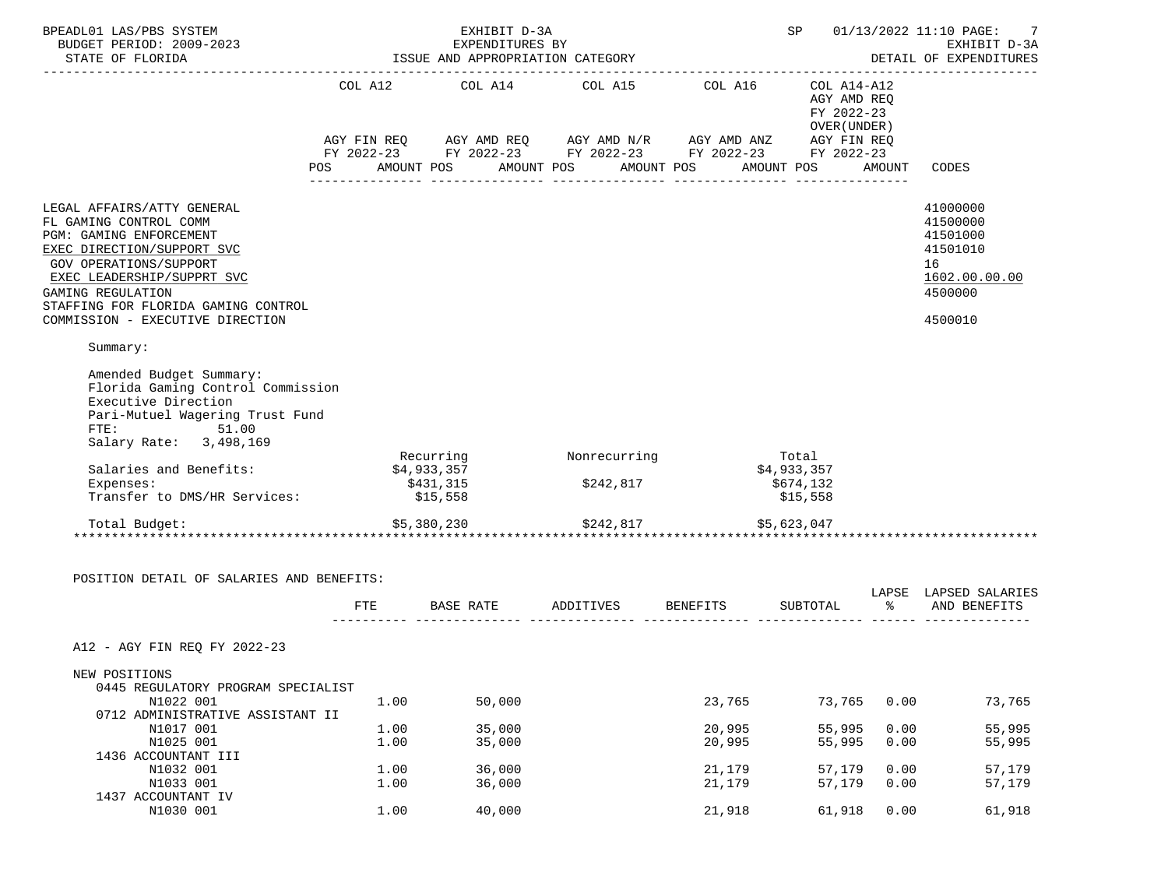| BPEADL01 LAS/PBS SYSTEM<br>BUDGET PERIOD: 2009-2023                                                                                                                                                                                                                          | SP 01/13/2022 11:10 PAGE: 7<br>EXHIBIT D-3A<br>EXPENDITURES BY |                                      |                                                                                                                                                                                               |                  |                                                                 |                      | EXHIBIT D-3A<br>DETAIL OF EXPENDITURES                                                    |
|------------------------------------------------------------------------------------------------------------------------------------------------------------------------------------------------------------------------------------------------------------------------------|----------------------------------------------------------------|--------------------------------------|-----------------------------------------------------------------------------------------------------------------------------------------------------------------------------------------------|------------------|-----------------------------------------------------------------|----------------------|-------------------------------------------------------------------------------------------|
|                                                                                                                                                                                                                                                                              | <b>POS</b>                                                     | AMOUNT POS                           | COL A12 COL A14 COL A15 COL A16 COL A14-A12<br>AGY FIN REQ AGY AMD REQ AGY AMD N/R AGY AMD ANZ AGY FIN REQ<br>FY 2022-23 FY 2022-23 FY 2022-23 FY 2022-23 FY 2022-23<br>AMOUNT POS AMOUNT POS |                  | AGY AMD REQ<br>FY 2022-23<br>OVER (UNDER )<br>AMOUNT POS AMOUNT |                      | CODES                                                                                     |
| LEGAL AFFAIRS/ATTY GENERAL<br>FL GAMING CONTROL COMM<br>PGM: GAMING ENFORCEMENT<br>EXEC DIRECTION/SUPPORT SVC<br><b>GOV OPERATIONS/SUPPORT</b><br>EXEC LEADERSHIP/SUPPRT SVC<br>GAMING REGULATION<br>STAFFING FOR FLORIDA GAMING CONTROL<br>COMMISSION - EXECUTIVE DIRECTION |                                                                |                                      |                                                                                                                                                                                               |                  |                                                                 |                      | 41000000<br>41500000<br>41501000<br>41501010<br>16<br>1602.00.00.00<br>4500000<br>4500010 |
| Summary:<br>Amended Budget Summary:<br>Florida Gaming Control Commission<br>Executive Direction<br>Pari-Mutuel Wagering Trust Fund<br>FTE: 51.00<br>Salary Rate: 3,498,169<br>Salaries and Benefits:<br>Expenses:<br>Transfer to DMS/HR Services:                            |                                                                | \$4,933,357<br>\$431,315<br>\$15,558 | Recurring Monrecurring<br>\$242,817                                                                                                                                                           |                  | Total<br>\$4,933,357<br>\$674,132<br>\$15,558                   |                      |                                                                                           |
| Total Budget:<br>POSITION DETAIL OF SALARIES AND BENEFITS:                                                                                                                                                                                                                   |                                                                | \$5,380,230                          | \$242,817                                                                                                                                                                                     |                  | \$5,623,047                                                     |                      |                                                                                           |
|                                                                                                                                                                                                                                                                              | FTE                                                            |                                      | BASE RATE ADDITIVES BENEFITS                                                                                                                                                                  |                  | SUBTOTAL                                                        | $\sim$ $\sim$ $\sim$ | LAPSE LAPSED SALARIES<br>AND BENEFITS                                                     |
| A12 - AGY FIN REO FY 2022-23                                                                                                                                                                                                                                                 |                                                                |                                      |                                                                                                                                                                                               |                  |                                                                 |                      |                                                                                           |
| NEW POSITIONS                                                                                                                                                                                                                                                                |                                                                |                                      |                                                                                                                                                                                               |                  |                                                                 |                      |                                                                                           |
| 0445 REGULATORY PROGRAM SPECIALIST<br>N1022 001<br>0712 ADMINISTRATIVE ASSISTANT II                                                                                                                                                                                          | 1.00                                                           | 50,000                               |                                                                                                                                                                                               | 23,765           | 73,765                                                          | 0.00                 | 73,765                                                                                    |
| N1017 001<br>N1025 001<br>1436 ACCOUNTANT III                                                                                                                                                                                                                                | 1.00<br>1.00                                                   | 35,000<br>35,000                     |                                                                                                                                                                                               | 20,995<br>20,995 | 55,995<br>55,995                                                | 0.00<br>0.00         | 55,995<br>55,995                                                                          |
| N1032 001<br>N1033 001<br>1437 ACCOUNTANT IV                                                                                                                                                                                                                                 | 1.00<br>1.00                                                   | 36,000<br>36,000                     |                                                                                                                                                                                               | 21,179<br>21,179 | 57,179<br>57,179                                                | 0.00<br>0.00         | 57,179<br>57,179                                                                          |
| N1030 001                                                                                                                                                                                                                                                                    | 1.00                                                           | 40,000                               |                                                                                                                                                                                               | 21,918           | 61,918                                                          | 0.00                 | 61,918                                                                                    |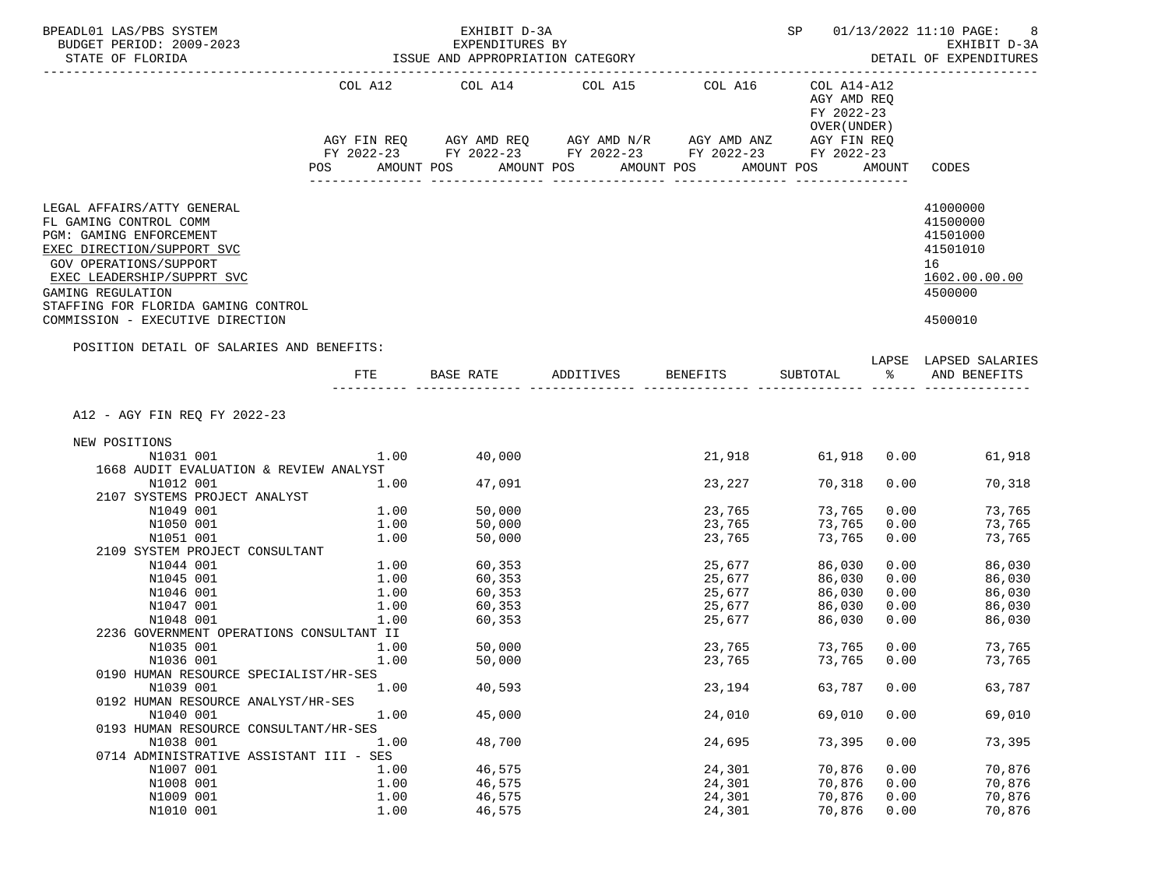| BPEADL01 LAS/PBS SYSTEM<br>BUDGET PERIOD: 2009-2023                                                                                                                                                                               |               | EXHIBIT D-3A<br>EXPENDITURES BY                                                                                                                                                                                                 |                    |                               |                                                          |               | SP 01/13/2022 11:10 PAGE:<br>8<br>EXHIBIT D-3A                                 |
|-----------------------------------------------------------------------------------------------------------------------------------------------------------------------------------------------------------------------------------|---------------|---------------------------------------------------------------------------------------------------------------------------------------------------------------------------------------------------------------------------------|--------------------|-------------------------------|----------------------------------------------------------|---------------|--------------------------------------------------------------------------------|
| STATE OF FLORIDA                                                                                                                                                                                                                  |               | ISSUE AND APPROPRIATION CATEGORY                                                                                                                                                                                                |                    | ----------------------------- |                                                          |               | DETAIL OF EXPENDITURES                                                         |
|                                                                                                                                                                                                                                   |               | COL A12 COL A14 COL A15 COL A16<br>$AGY \text{ FIN REQ} \qquad AGY \text{ AMD REQ} \qquad AGY \text{ AMD } N/R \qquad AGY \text{ AMD ANZ} \qquad AGY \text{ FIN REQ}$<br>FY 2022-23 FY 2022-23 FY 2022-23 FY 2022-23 FY 2022-23 |                    |                               | COL A14-A12<br>AGY AMD REQ<br>FY 2022-23<br>OVER (UNDER) |               |                                                                                |
|                                                                                                                                                                                                                                   | POS FOR       | AMOUNT POS                                                                                                                                                                                                                      | AMOUNT POS         | AMOUNT POS                    | AMOUNT POS                                               |               | AMOUNT CODES                                                                   |
| LEGAL AFFAIRS/ATTY GENERAL<br>FL GAMING CONTROL COMM<br>PGM: GAMING ENFORCEMENT<br>EXEC DIRECTION/SUPPORT SVC<br>GOV OPERATIONS/SUPPORT<br>EXEC LEADERSHIP/SUPPRT SVC<br>GAMING REGULATION<br>STAFFING FOR FLORIDA GAMING CONTROL |               |                                                                                                                                                                                                                                 |                    |                               |                                                          |               | 41000000<br>41500000<br>41501000<br>41501010<br>16<br>1602.00.00.00<br>4500000 |
| COMMISSION - EXECUTIVE DIRECTION                                                                                                                                                                                                  |               |                                                                                                                                                                                                                                 |                    |                               |                                                          |               | 4500010                                                                        |
| POSITION DETAIL OF SALARIES AND BENEFITS:                                                                                                                                                                                         |               | BASE RATE                                                                                                                                                                                                                       | ADDITIVES BENEFITS |                               |                                                          |               | LAPSE LAPSED SALARIES                                                          |
|                                                                                                                                                                                                                                   | FTE.          |                                                                                                                                                                                                                                 |                    |                               | SUBTOTAL                                                 | $\sim$ $\sim$ | AND BENEFITS                                                                   |
| A12 - AGY FIN REQ FY 2022-23                                                                                                                                                                                                      |               |                                                                                                                                                                                                                                 |                    |                               |                                                          |               |                                                                                |
| NEW POSITIONS                                                                                                                                                                                                                     |               |                                                                                                                                                                                                                                 |                    |                               |                                                          |               |                                                                                |
| N1031 001<br>1668 AUDIT EVALUATION & REVIEW ANALYST                                                                                                                                                                               | $1.00$ 40,000 |                                                                                                                                                                                                                                 |                    | 21,918                        |                                                          |               | 61,918   0.00<br>61,918                                                        |
| N1012 001                                                                                                                                                                                                                         | 1.00          | 47,091                                                                                                                                                                                                                          |                    | 23,227                        | 70,318                                                   | 0.00          | 70,318                                                                         |
| 2107 SYSTEMS PROJECT ANALYST                                                                                                                                                                                                      |               |                                                                                                                                                                                                                                 |                    |                               |                                                          |               |                                                                                |
| N1049 001                                                                                                                                                                                                                         | 1.00          | 50,000                                                                                                                                                                                                                          |                    | 23,765                        | 73,765                                                   | 0.00          | 73,765                                                                         |
| N1050 001                                                                                                                                                                                                                         | 1.00          | 50,000                                                                                                                                                                                                                          |                    | 23,765                        | 73,765                                                   | 0.00          | 73,765                                                                         |
| N1051 001<br>2109 SYSTEM PROJECT CONSULTANT                                                                                                                                                                                       | 1.00          | 50,000                                                                                                                                                                                                                          |                    | 23,765                        | 73,765                                                   | 0.00          | 73,765                                                                         |
| N1044 001                                                                                                                                                                                                                         |               | $1.00$ 60,353                                                                                                                                                                                                                   |                    | 25,677                        | 86,030                                                   | 0.00          | 86,030                                                                         |
| N1045 001                                                                                                                                                                                                                         | 1.00          | 60,353                                                                                                                                                                                                                          |                    | 25,677                        | 86,030                                                   | 0.00          | 86,030                                                                         |
| N1046 001                                                                                                                                                                                                                         | 1.00          | 60,353                                                                                                                                                                                                                          |                    | 25,677                        | 86,030                                                   | 0.00          | 86,030                                                                         |
| N1047 001                                                                                                                                                                                                                         | 1.00          | 60,353                                                                                                                                                                                                                          |                    | 25,677                        | 86,030                                                   | 0.00          | 86,030                                                                         |
| N1048 001                                                                                                                                                                                                                         | 1.00          | 60,353                                                                                                                                                                                                                          |                    | 25,677                        | 86,030                                                   | 0.00          | 86,030                                                                         |
| 2236 GOVERNMENT OPERATIONS CONSULTANT II                                                                                                                                                                                          |               |                                                                                                                                                                                                                                 |                    |                               |                                                          |               |                                                                                |
| N1035 001                                                                                                                                                                                                                         | 1.00          | 50,000                                                                                                                                                                                                                          |                    | 23,765                        | 73,765                                                   | 0.00          | 73,765                                                                         |
| N1036 001                                                                                                                                                                                                                         | 1.00          | 50,000                                                                                                                                                                                                                          |                    | 23,765                        |                                                          | 73,765 0.00   | 73,765                                                                         |
| 0190 HUMAN RESOURCE SPECIALIST/HR-SES                                                                                                                                                                                             |               |                                                                                                                                                                                                                                 |                    |                               |                                                          |               |                                                                                |
| N1039 001                                                                                                                                                                                                                         | 1.00          | 40,593                                                                                                                                                                                                                          |                    | 23,194                        | 63,787                                                   | 0.00          | 63,787                                                                         |
| 0192 HUMAN RESOURCE ANALYST/HR-SES                                                                                                                                                                                                |               |                                                                                                                                                                                                                                 |                    |                               | 69,010                                                   |               |                                                                                |
| N1040 001<br>0193 HUMAN RESOURCE CONSULTANT/HR-SES                                                                                                                                                                                | 1.00          | 45,000                                                                                                                                                                                                                          |                    | 24,010                        |                                                          | 0.00          | 69,010                                                                         |
| N1038 001                                                                                                                                                                                                                         | 1.00          | 48,700                                                                                                                                                                                                                          |                    | 24,695                        | 73,395                                                   | 0.00          | 73,395                                                                         |
| 0714 ADMINISTRATIVE ASSISTANT III - SES                                                                                                                                                                                           |               |                                                                                                                                                                                                                                 |                    |                               |                                                          |               |                                                                                |
| N1007 001                                                                                                                                                                                                                         | 1.00          | 46,575                                                                                                                                                                                                                          |                    | 24,301                        | 70,876                                                   | 0.00          | 70,876                                                                         |
| N1008 001                                                                                                                                                                                                                         | 1.00          | 46,575                                                                                                                                                                                                                          |                    | 24,301                        | 70,876                                                   | 0.00          | 70,876                                                                         |
| N1009 001                                                                                                                                                                                                                         | 1.00          | 46,575                                                                                                                                                                                                                          |                    | 24,301                        | 70,876                                                   | 0.00          | 70,876                                                                         |
| N1010 001                                                                                                                                                                                                                         | 1.00          | 46,575                                                                                                                                                                                                                          |                    | 24,301                        | 70,876                                                   | 0.00          | 70,876                                                                         |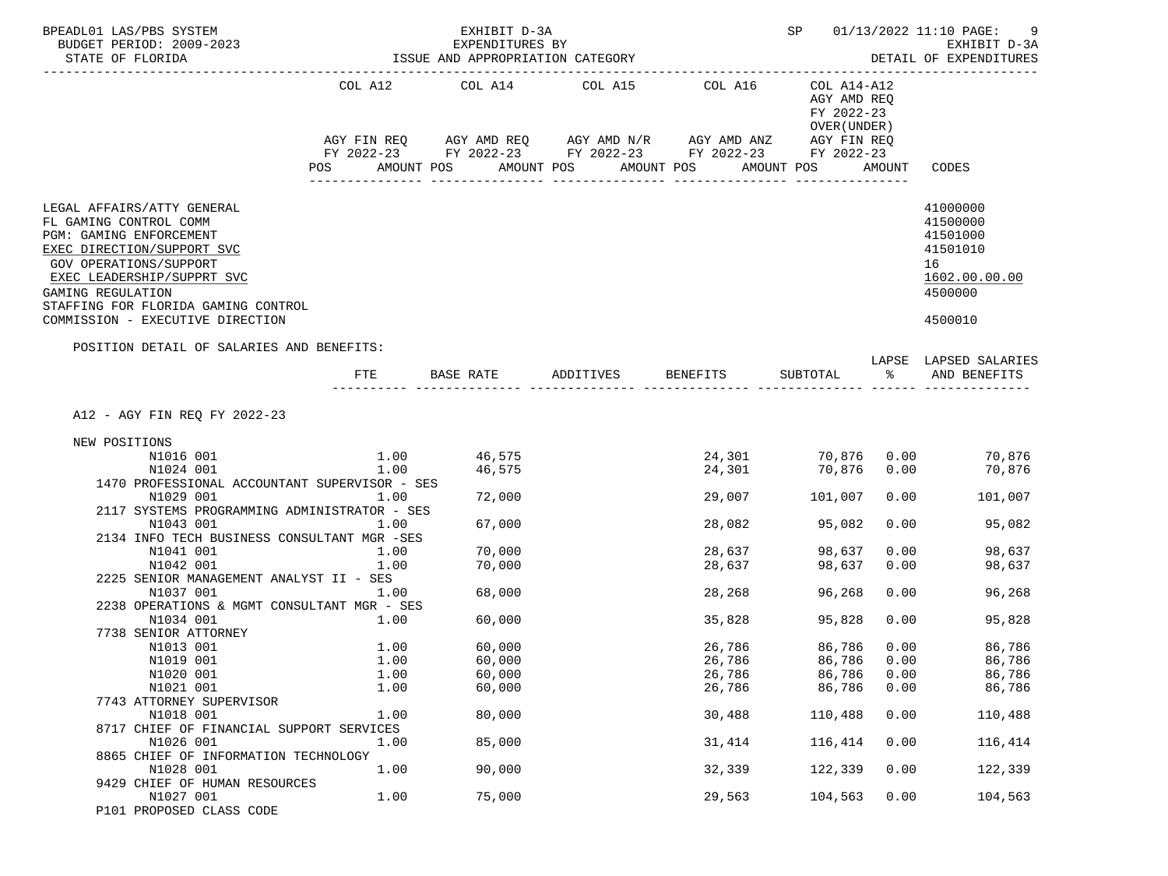| BPEADL01 LAS/PBS SYSTEM<br>BUDGET PERIOD: 2009-2023<br>STATE OF FLORIDA                                                                                                                                                                                               |      | EXHIBIT D-3A<br>EXPENDITURES BY<br>ISSUE AND APPROPRIATION CATEGORY                                                                                                                                                                           | ----------------------------- |            | SP 01/13/2022 11:10 PAGE:<br>9<br>EXHIBIT D-3A<br>DETAIL OF EXPENDITURES |               |                                                                                           |
|-----------------------------------------------------------------------------------------------------------------------------------------------------------------------------------------------------------------------------------------------------------------------|------|-----------------------------------------------------------------------------------------------------------------------------------------------------------------------------------------------------------------------------------------------|-------------------------------|------------|--------------------------------------------------------------------------|---------------|-------------------------------------------------------------------------------------------|
|                                                                                                                                                                                                                                                                       | POS  | COL A12 COL A14 COL A15 COL A16<br>$AGY \text{ FIN REQ} \qquad AGY \text{ AMD REQ} \qquad AGY \text{ AMD } N/R \qquad AGY \text{ AMD ANZ} \qquad AGY \text{ FIN REQ}$<br>FY 2022-23 FY 2022-23 FY 2022-23 FY 2022-23 FY 2022-23<br>AMOUNT POS | AMOUNT POS                    | AMOUNT POS | COL A14-A12<br>AGY AMD REQ<br>FY 2022-23<br>OVER (UNDER)<br>AMOUNT POS   | AMOUNT        | CODES                                                                                     |
| LEGAL AFFAIRS/ATTY GENERAL<br>FL GAMING CONTROL COMM<br>PGM: GAMING ENFORCEMENT<br>EXEC DIRECTION/SUPPORT SVC<br>GOV OPERATIONS/SUPPORT<br>EXEC LEADERSHIP/SUPPRT SVC<br>GAMING REGULATION<br>STAFFING FOR FLORIDA GAMING CONTROL<br>COMMISSION - EXECUTIVE DIRECTION |      |                                                                                                                                                                                                                                               |                               |            |                                                                          |               | 41000000<br>41500000<br>41501000<br>41501010<br>16<br>1602.00.00.00<br>4500000<br>4500010 |
| POSITION DETAIL OF SALARIES AND BENEFITS:                                                                                                                                                                                                                             | FTE. | BASE RATE                                                                                                                                                                                                                                     | ADDITIVES BENEFITS            |            | SUBTOTAL                                                                 | $\sim$ $\sim$ | LAPSE LAPSED SALARIES<br>AND BENEFITS                                                     |
| A12 - AGY FIN REQ FY 2022-23                                                                                                                                                                                                                                          |      |                                                                                                                                                                                                                                               |                               |            |                                                                          |               |                                                                                           |
| NEW POSITIONS                                                                                                                                                                                                                                                         |      |                                                                                                                                                                                                                                               |                               |            |                                                                          |               |                                                                                           |
| N1016 001                                                                                                                                                                                                                                                             |      | $1.00$ 46,575                                                                                                                                                                                                                                 |                               | 24,301     |                                                                          |               | 70,876 0.00 70,876                                                                        |
| N1024 001                                                                                                                                                                                                                                                             |      | 1.00<br>46,575                                                                                                                                                                                                                                |                               | 24,301     | 70,876                                                                   | 0.00          | 70,876                                                                                    |
| 1470 PROFESSIONAL ACCOUNTANT SUPERVISOR - SES                                                                                                                                                                                                                         |      |                                                                                                                                                                                                                                               |                               |            |                                                                          |               |                                                                                           |
| N1029 001                                                                                                                                                                                                                                                             | 1.00 | 72,000                                                                                                                                                                                                                                        |                               | 29,007     | 101,007                                                                  | 0.00          | 101,007                                                                                   |
| 2117 SYSTEMS PROGRAMMING ADMINISTRATOR - SES                                                                                                                                                                                                                          |      |                                                                                                                                                                                                                                               |                               |            |                                                                          |               |                                                                                           |
| N1043 001                                                                                                                                                                                                                                                             | 1.00 | 67,000                                                                                                                                                                                                                                        |                               | 28,082     | 95,082                                                                   | 0.00          | 95,082                                                                                    |
| 2134 INFO TECH BUSINESS CONSULTANT MGR -SES                                                                                                                                                                                                                           |      |                                                                                                                                                                                                                                               |                               |            |                                                                          |               |                                                                                           |
| N1041 001                                                                                                                                                                                                                                                             | 1.00 | 70,000                                                                                                                                                                                                                                        |                               | 28,637     | 98,637                                                                   | 0.00          | 98,637                                                                                    |
| N1042 001                                                                                                                                                                                                                                                             | 1.00 | 70,000                                                                                                                                                                                                                                        |                               | 28,637     | 98,637                                                                   | 0.00          | 98,637                                                                                    |
| 2225 SENIOR MANAGEMENT ANALYST II - SES<br>N1037 001                                                                                                                                                                                                                  | 1.00 | 68,000                                                                                                                                                                                                                                        |                               | 28,268     | 96,268                                                                   | 0.00          | 96,268                                                                                    |
| 2238 OPERATIONS & MGMT CONSULTANT MGR - SES                                                                                                                                                                                                                           |      |                                                                                                                                                                                                                                               |                               |            |                                                                          |               |                                                                                           |
| N1034 001                                                                                                                                                                                                                                                             | 1.00 | 60,000                                                                                                                                                                                                                                        |                               | 35,828     | 95,828                                                                   | 0.00          | 95,828                                                                                    |
| 7738 SENIOR ATTORNEY                                                                                                                                                                                                                                                  |      |                                                                                                                                                                                                                                               |                               |            |                                                                          |               |                                                                                           |
| N1013 001                                                                                                                                                                                                                                                             | 1.00 | 60,000                                                                                                                                                                                                                                        |                               | 26,786     | 86,786                                                                   | 0.00          | 86,786                                                                                    |
| N1019 001                                                                                                                                                                                                                                                             | 1.00 | 60,000                                                                                                                                                                                                                                        |                               | 26,786     | 86,786                                                                   | 0.00          | 86,786                                                                                    |
| N1020 001                                                                                                                                                                                                                                                             | 1.00 | 60,000                                                                                                                                                                                                                                        |                               | 26,786     | 86,786                                                                   | 0.00          | 86,786                                                                                    |
| N1021 001                                                                                                                                                                                                                                                             | 1.00 | 60,000                                                                                                                                                                                                                                        |                               | 26,786     | 86,786                                                                   | 0.00          | 86,786                                                                                    |
| 7743 ATTORNEY SUPERVISOR                                                                                                                                                                                                                                              |      |                                                                                                                                                                                                                                               |                               |            |                                                                          |               |                                                                                           |
| N1018 001                                                                                                                                                                                                                                                             | 1.00 | 80,000                                                                                                                                                                                                                                        |                               | 30,488     | 110,488                                                                  | 0.00          | 110,488                                                                                   |
| 8717 CHIEF OF FINANCIAL SUPPORT SERVICES                                                                                                                                                                                                                              |      |                                                                                                                                                                                                                                               |                               |            |                                                                          |               |                                                                                           |
| N1026 001                                                                                                                                                                                                                                                             | 1.00 | 85,000                                                                                                                                                                                                                                        |                               | 31,414     | 116,414                                                                  | 0.00          | 116,414                                                                                   |
| 8865 CHIEF OF INFORMATION TECHNOLOGY                                                                                                                                                                                                                                  |      |                                                                                                                                                                                                                                               |                               |            |                                                                          |               |                                                                                           |
| N1028 001<br>9429 CHIEF OF HUMAN RESOURCES                                                                                                                                                                                                                            | 1.00 | 90,000                                                                                                                                                                                                                                        |                               | 32,339     | 122,339                                                                  | 0.00          | 122,339                                                                                   |
| N1027 001                                                                                                                                                                                                                                                             | 1.00 | 75,000                                                                                                                                                                                                                                        |                               | 29,563     | 104,563                                                                  | 0.00          | 104,563                                                                                   |
| P101 PROPOSED CLASS CODE                                                                                                                                                                                                                                              |      |                                                                                                                                                                                                                                               |                               |            |                                                                          |               |                                                                                           |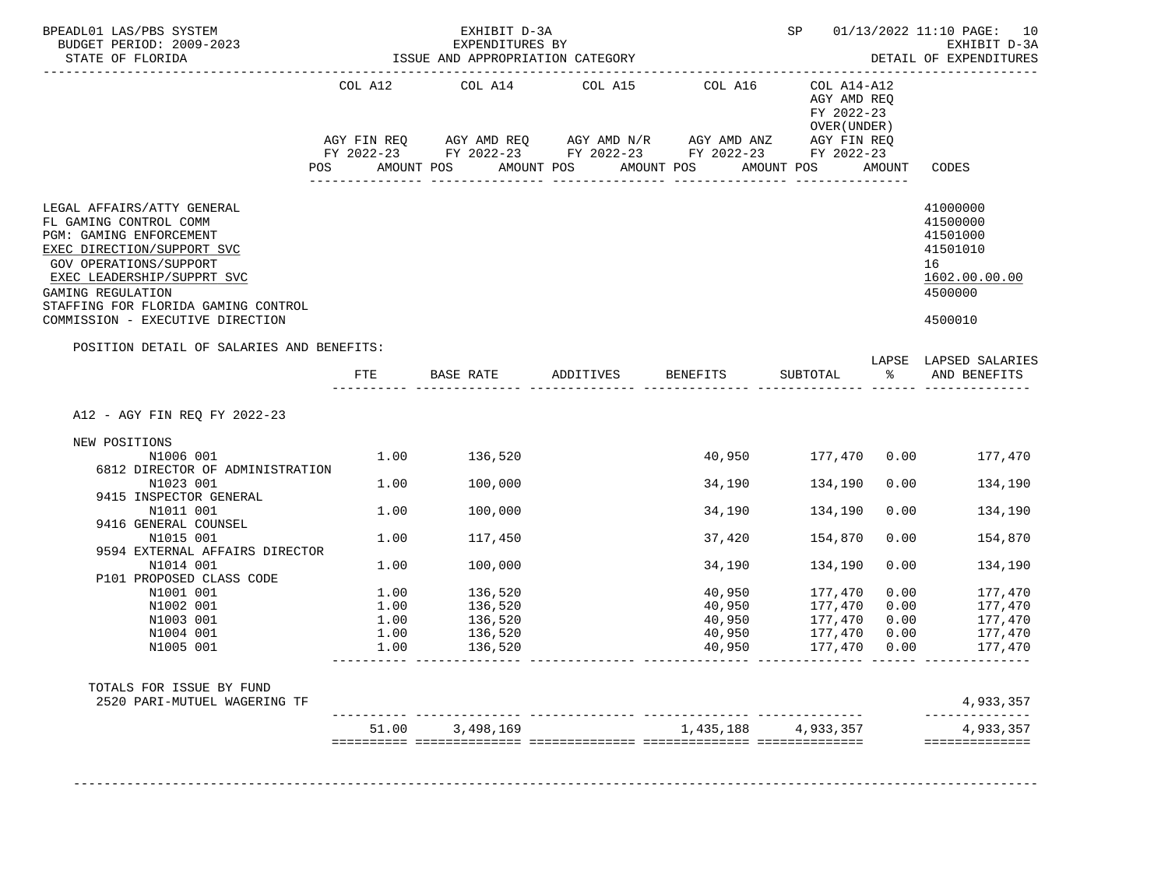| BPEADL01 LAS/PBS SYSTEM                                                 |     |                                                     |  | EXHIBIT D-3A                                                                                                                  |            |  |                                            |  |                            |               | SP 01/13/2022 11:10 PAGE: 10                                                                                              |
|-------------------------------------------------------------------------|-----|-----------------------------------------------------|--|-------------------------------------------------------------------------------------------------------------------------------|------------|--|--------------------------------------------|--|----------------------------|---------------|---------------------------------------------------------------------------------------------------------------------------|
| BUDGET PERIOD: 2009-2023<br>STATE OF FLORIDA                            |     | EXPENDITURES BY<br>ISSUE AND APPROPRIATION CATEGORY |  |                                                                                                                               |            |  |                                            |  |                            |               | EXHIBIT D-3A<br>DETAIL OF EXPENDITURES                                                                                    |
| _______________________                                                 |     |                                                     |  |                                                                                                                               |            |  |                                            |  |                            |               |                                                                                                                           |
|                                                                         |     |                                                     |  | COL A12 COL A14 COL A15                                                                                                       |            |  | COL A16                                    |  | COL A14-A12<br>AGY AMD REQ |               |                                                                                                                           |
|                                                                         |     |                                                     |  |                                                                                                                               |            |  |                                            |  | FY 2022-23                 |               |                                                                                                                           |
|                                                                         |     |                                                     |  |                                                                                                                               |            |  |                                            |  | OVER (UNDER)               |               |                                                                                                                           |
|                                                                         |     |                                                     |  | $AGY \text{ FIN REQ} \qquad \text{AGY AMD REQ} \qquad \text{AGY AMD N/R} \qquad \text{AGY AMD ANZ} \qquad \text{AGY FIN REQ}$ |            |  |                                            |  |                            |               |                                                                                                                           |
|                                                                         | POS | AMOUNT POS                                          |  | FY 2022-23 FY 2022-23 FY 2022-23 FY 2022-23 FY 2022-23                                                                        | AMOUNT POS |  | AMOUNT POS                                 |  | AMOUNT POS                 | AMOUNT        | CODES                                                                                                                     |
|                                                                         |     |                                                     |  |                                                                                                                               |            |  | _______________                            |  |                            |               |                                                                                                                           |
| LEGAL AFFAIRS/ATTY GENERAL                                              |     |                                                     |  |                                                                                                                               |            |  |                                            |  |                            |               | 41000000                                                                                                                  |
| FL GAMING CONTROL COMM                                                  |     |                                                     |  |                                                                                                                               |            |  |                                            |  |                            |               | 41500000                                                                                                                  |
| PGM: GAMING ENFORCEMENT                                                 |     |                                                     |  |                                                                                                                               |            |  |                                            |  |                            |               | 41501000                                                                                                                  |
| EXEC DIRECTION/SUPPORT SVC                                              |     |                                                     |  |                                                                                                                               |            |  |                                            |  |                            |               | 41501010                                                                                                                  |
| GOV OPERATIONS/SUPPORT                                                  |     |                                                     |  |                                                                                                                               |            |  |                                            |  |                            |               | 16                                                                                                                        |
| EXEC LEADERSHIP/SUPPRT SVC                                              |     |                                                     |  |                                                                                                                               |            |  |                                            |  |                            |               | 1602.00.00.00                                                                                                             |
| GAMING REGULATION                                                       |     |                                                     |  |                                                                                                                               |            |  |                                            |  |                            |               | 4500000                                                                                                                   |
| STAFFING FOR FLORIDA GAMING CONTROL<br>COMMISSION - EXECUTIVE DIRECTION |     |                                                     |  |                                                                                                                               |            |  |                                            |  |                            |               | 4500010                                                                                                                   |
| POSITION DETAIL OF SALARIES AND BENEFITS:                               |     |                                                     |  |                                                                                                                               |            |  |                                            |  |                            |               |                                                                                                                           |
|                                                                         |     |                                                     |  |                                                                                                                               |            |  |                                            |  |                            |               | LAPSE LAPSED SALARIES                                                                                                     |
|                                                                         |     |                                                     |  |                                                                                                                               |            |  |                                            |  |                            |               |                                                                                                                           |
| A12 - AGY FIN REQ FY 2022-23                                            |     | FTE                                                 |  | BASE RATE                                                                                                                     |            |  | ADDITIVES BENEFITS                         |  | SUBTOTAL                   | $\frac{8}{6}$ | AND BENEFITS                                                                                                              |
| NEW POSITIONS                                                           |     |                                                     |  |                                                                                                                               |            |  |                                            |  |                            |               |                                                                                                                           |
| N1006 001                                                               |     |                                                     |  | 1.00 136,520                                                                                                                  |            |  |                                            |  | 40,950 177,470 0.00        |               | 177,470                                                                                                                   |
| 6812 DIRECTOR OF ADMINISTRATION                                         |     |                                                     |  |                                                                                                                               |            |  |                                            |  |                            |               |                                                                                                                           |
| N1023 001                                                               |     | 1.00                                                |  | 100,000                                                                                                                       |            |  | 34,190                                     |  | 134,190                    | 0.00          |                                                                                                                           |
| 9415 INSPECTOR GENERAL<br>N1011 001                                     |     | 1.00                                                |  | 100,000                                                                                                                       |            |  | 34,190                                     |  | 134,190                    | 0.00          |                                                                                                                           |
| 9416 GENERAL COUNSEL                                                    |     |                                                     |  |                                                                                                                               |            |  |                                            |  |                            |               |                                                                                                                           |
| N1015 001                                                               |     | 1.00                                                |  | 117,450                                                                                                                       |            |  | 37,420                                     |  | 154,870                    | 0.00          |                                                                                                                           |
| 9594 EXTERNAL AFFAIRS DIRECTOR                                          |     |                                                     |  |                                                                                                                               |            |  |                                            |  |                            |               |                                                                                                                           |
| N1014 001                                                               |     | 1.00                                                |  | 100,000                                                                                                                       |            |  | 34,190                                     |  | 134,190                    | 0.00          |                                                                                                                           |
| P101 PROPOSED CLASS CODE                                                |     |                                                     |  |                                                                                                                               |            |  |                                            |  |                            |               |                                                                                                                           |
| N1001 001                                                               |     | 1.00                                                |  | 136,520                                                                                                                       |            |  | 40,950                                     |  | 177,470                    | 0.00          |                                                                                                                           |
| N1002 001                                                               |     | 1.00                                                |  | 136,520                                                                                                                       |            |  | 40,950                                     |  | 177,470                    | 0.00          |                                                                                                                           |
| N1003 001                                                               |     | 1.00                                                |  | 136,520                                                                                                                       |            |  | 40,950                                     |  | 177,470                    | 0.00          |                                                                                                                           |
| N1004 001<br>N1005 001                                                  |     | 1.00<br>1.00                                        |  | 136,520<br>136,520                                                                                                            |            |  | 40,950<br>40,950                           |  | 177,470<br>177,470         | 0.00<br>0.00  |                                                                                                                           |
|                                                                         |     |                                                     |  |                                                                                                                               |            |  |                                            |  |                            |               |                                                                                                                           |
| TOTALS FOR ISSUE BY FUND                                                |     |                                                     |  |                                                                                                                               |            |  |                                            |  |                            |               |                                                                                                                           |
| 2520 PARI-MUTUEL WAGERING TF                                            |     |                                                     |  | 51.00 3,498,169                                                                                                               |            |  | ---------- --------<br>1,435,188 4,933,357 |  |                            |               | 134,190<br>134,190<br>154,870<br>134,190<br>177,470<br>177,470<br>177,470<br>177,470<br>177,470<br>4,933,357<br>4,933,357 |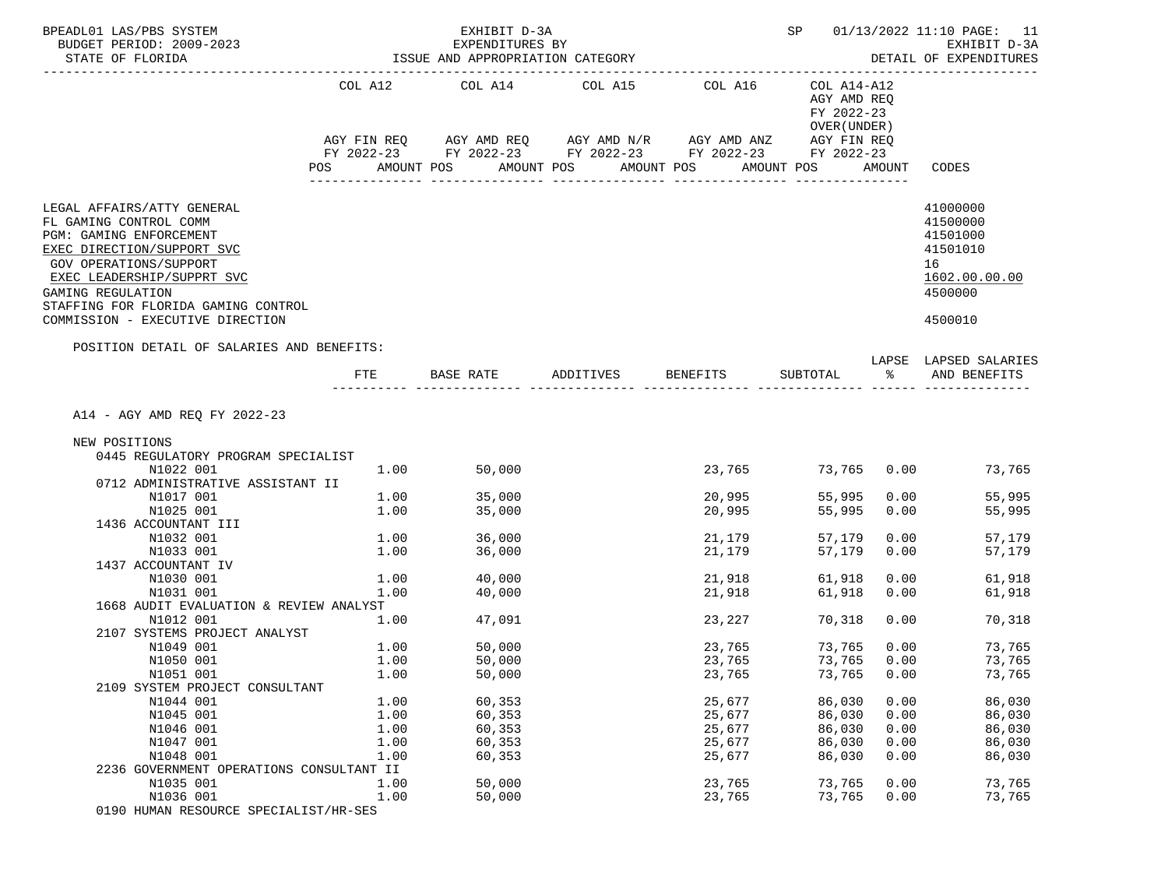| BPEADL01 LAS/PBS SYSTEM<br>BUDGET PERIOD: 2009-2023<br>STATE OF FLORIDA                                                                                                                                                           |              | EXHIBIT D-3A<br>EXPENDITURES BY<br>ISSUE AND APPROPRIATION CATEGORY                                                                                                    | SP<br>---------------------- | 01/13/2022 11:10 PAGE: 11<br>EXHIBIT D-3A<br>DETAIL OF EXPENDITURES |                                                                        |              |                                                                                |
|-----------------------------------------------------------------------------------------------------------------------------------------------------------------------------------------------------------------------------------|--------------|------------------------------------------------------------------------------------------------------------------------------------------------------------------------|------------------------------|---------------------------------------------------------------------|------------------------------------------------------------------------|--------------|--------------------------------------------------------------------------------|
|                                                                                                                                                                                                                                   | POS          | COL A12 COL A14 COL A15 COL A16<br>AGY FIN REQ AGY AMD REQ AGY AMD N/R AGY AMD ANZ AGY FIN REQ<br>FY 2022-23 FY 2022-23 FY 2022-23 FY 2022-23 FY 2022-23<br>AMOUNT POS | AMOUNT POS                   | AMOUNT POS                                                          | COL A14-A12<br>AGY AMD REQ<br>FY 2022-23<br>OVER (UNDER)<br>AMOUNT POS | AMOUNT       | CODES                                                                          |
| LEGAL AFFAIRS/ATTY GENERAL<br>FL GAMING CONTROL COMM<br>PGM: GAMING ENFORCEMENT<br>EXEC DIRECTION/SUPPORT SVC<br>GOV OPERATIONS/SUPPORT<br>EXEC LEADERSHIP/SUPPRT SVC<br>GAMING REGULATION<br>STAFFING FOR FLORIDA GAMING CONTROL |              |                                                                                                                                                                        |                              |                                                                     |                                                                        |              | 41000000<br>41500000<br>41501000<br>41501010<br>16<br>1602.00.00.00<br>4500000 |
| COMMISSION - EXECUTIVE DIRECTION<br>POSITION DETAIL OF SALARIES AND BENEFITS:                                                                                                                                                     |              |                                                                                                                                                                        |                              |                                                                     |                                                                        |              | 4500010                                                                        |
|                                                                                                                                                                                                                                   | FTE.         | BASE RATE                                                                                                                                                              | ADDITIVES BENEFITS           |                                                                     | SUBTOTAL                                                               | ႜၟ           | LAPSE LAPSED SALARIES<br>AND BENEFITS                                          |
| A14 - AGY AMD REQ FY 2022-23                                                                                                                                                                                                      |              |                                                                                                                                                                        |                              |                                                                     |                                                                        |              |                                                                                |
| NEW POSITIONS                                                                                                                                                                                                                     |              |                                                                                                                                                                        |                              |                                                                     |                                                                        |              |                                                                                |
| 0445 REGULATORY PROGRAM SPECIALIST                                                                                                                                                                                                |              |                                                                                                                                                                        |                              |                                                                     |                                                                        |              |                                                                                |
| N1022 001                                                                                                                                                                                                                         | 1.00         | 50,000                                                                                                                                                                 |                              | 23,765                                                              | 73,765 0.00                                                            |              | 73,765                                                                         |
| 0712 ADMINISTRATIVE ASSISTANT II                                                                                                                                                                                                  |              |                                                                                                                                                                        |                              |                                                                     |                                                                        |              |                                                                                |
| N1017 001                                                                                                                                                                                                                         | 1.00         | 35,000                                                                                                                                                                 |                              | 20,995                                                              | 55,995                                                                 | 0.00         | 55,995                                                                         |
| N1025 001                                                                                                                                                                                                                         | 1.00         | 35,000                                                                                                                                                                 |                              | 20,995                                                              | 55,995                                                                 | 0.00         | 55,995                                                                         |
| 1436 ACCOUNTANT III                                                                                                                                                                                                               |              |                                                                                                                                                                        |                              |                                                                     |                                                                        |              |                                                                                |
| N1032 001                                                                                                                                                                                                                         | 1.00         | 36,000                                                                                                                                                                 |                              | 21,179                                                              | 57,179                                                                 | 0.00         | 57,179                                                                         |
| N1033 001                                                                                                                                                                                                                         | 1.00         | 36,000                                                                                                                                                                 |                              | 21,179                                                              | 57,179                                                                 | 0.00         | 57,179                                                                         |
| 1437 ACCOUNTANT IV                                                                                                                                                                                                                |              |                                                                                                                                                                        |                              |                                                                     |                                                                        |              |                                                                                |
| N1030 001<br>N1031 001                                                                                                                                                                                                            | 1.00<br>1.00 | 40,000<br>40,000                                                                                                                                                       |                              | 21,918<br>21,918                                                    | 61,918<br>61,918                                                       | 0.00<br>0.00 | 61,918<br>61,918                                                               |
| 1668 AUDIT EVALUATION & REVIEW ANALYST                                                                                                                                                                                            |              |                                                                                                                                                                        |                              |                                                                     |                                                                        |              |                                                                                |
| N1012 001                                                                                                                                                                                                                         | 1.00         | 47,091                                                                                                                                                                 |                              | 23,227                                                              | 70,318                                                                 | 0.00         | 70,318                                                                         |
| 2107 SYSTEMS PROJECT ANALYST                                                                                                                                                                                                      |              |                                                                                                                                                                        |                              |                                                                     |                                                                        |              |                                                                                |
| N1049 001                                                                                                                                                                                                                         | 1.00         | 50,000                                                                                                                                                                 |                              | 23,765                                                              | 73,765                                                                 | 0.00         | 73,765                                                                         |
| N1050 001                                                                                                                                                                                                                         | 1.00         | 50,000                                                                                                                                                                 |                              | 23,765                                                              | 73,765                                                                 | 0.00         | 73,765                                                                         |
| N1051 001                                                                                                                                                                                                                         | 1.00         | 50,000                                                                                                                                                                 |                              | 23,765                                                              | 73,765                                                                 | 0.00         | 73,765                                                                         |
| 2109 SYSTEM PROJECT CONSULTANT                                                                                                                                                                                                    |              |                                                                                                                                                                        |                              |                                                                     |                                                                        |              |                                                                                |
| N1044 001                                                                                                                                                                                                                         | 1.00         | 60,353                                                                                                                                                                 |                              | 25,677                                                              | 86,030                                                                 | 0.00         | 86,030                                                                         |
| N1045 001                                                                                                                                                                                                                         | 1.00         | 60,353                                                                                                                                                                 |                              | 25,677                                                              | 86,030                                                                 | 0.00         | 86,030                                                                         |
| N1046 001                                                                                                                                                                                                                         | 1.00         | 60,353                                                                                                                                                                 |                              | 25,677                                                              | 86,030                                                                 | 0.00         | 86,030                                                                         |
| N1047 001                                                                                                                                                                                                                         | 1.00         | 60,353                                                                                                                                                                 |                              | 25,677                                                              | 86,030                                                                 | 0.00         | 86,030                                                                         |
| N1048 001                                                                                                                                                                                                                         | 1.00         | 60,353                                                                                                                                                                 |                              | 25,677                                                              | 86,030                                                                 | 0.00         | 86,030                                                                         |
| 2236 GOVERNMENT OPERATIONS CONSULTANT II                                                                                                                                                                                          | 1.00         | 50,000                                                                                                                                                                 |                              |                                                                     | 73,765                                                                 | 0.00         | 73,765                                                                         |
| N1035 001<br>N1036 001                                                                                                                                                                                                            | 1.00         | 50,000                                                                                                                                                                 |                              | 23,765<br>23,765                                                    | 73,765                                                                 | 0.00         | 73,765                                                                         |
| 0190 HUMAN RESOURCE SPECIALIST/HR-SES                                                                                                                                                                                             |              |                                                                                                                                                                        |                              |                                                                     |                                                                        |              |                                                                                |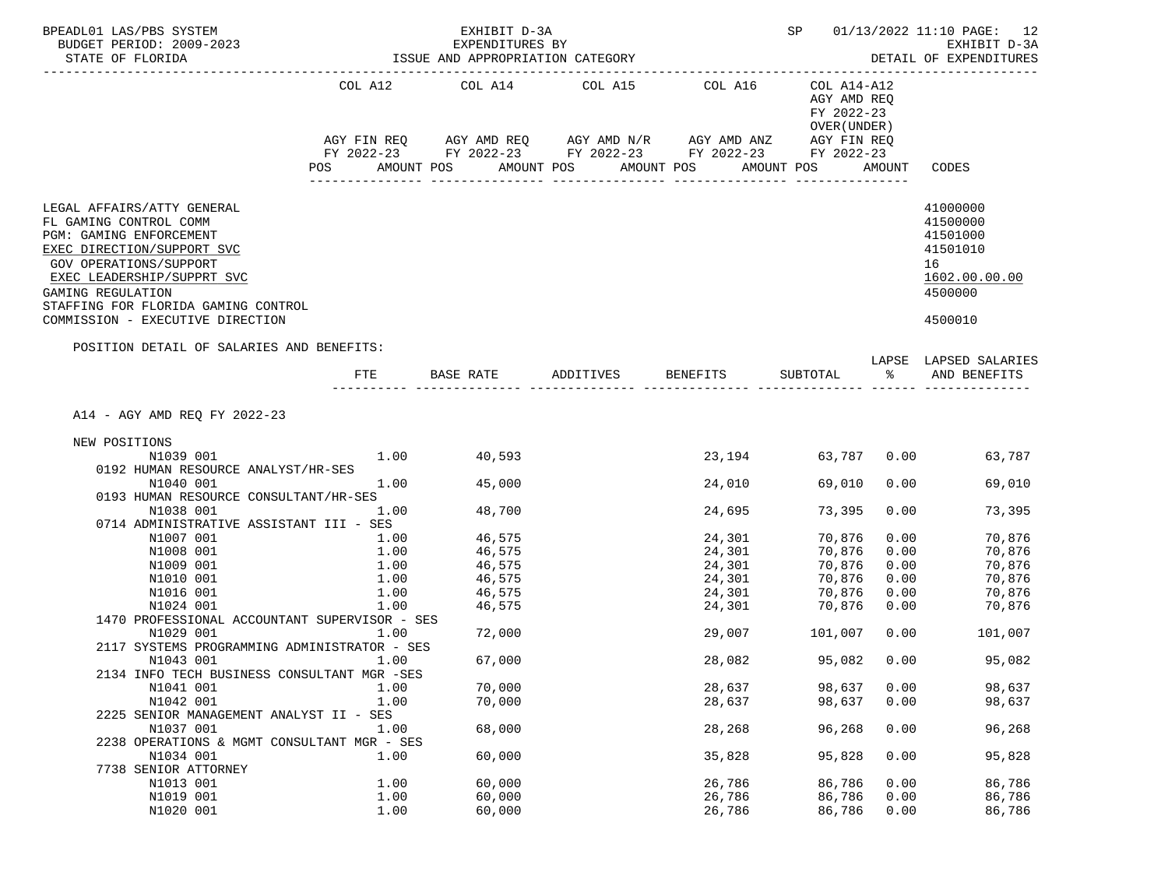| BPEADL01 LAS/PBS SYSTEM<br>BUDGET PERIOD: 2009-2023<br>STATE OF FLORIDA                                                                 |            |      | EXHIBIT D-3A<br>EXPENDITURES BY<br>ISSUE AND APPROPRIATION CATEGORY |                                                                                                |            | SP                                                       |        | 01/13/2022 11:10 PAGE: 12<br>EXHIBIT D-3A<br>DETAIL OF EXPENDITURES |
|-----------------------------------------------------------------------------------------------------------------------------------------|------------|------|---------------------------------------------------------------------|------------------------------------------------------------------------------------------------|------------|----------------------------------------------------------|--------|---------------------------------------------------------------------|
|                                                                                                                                         |            |      |                                                                     | COL A12 COL A14 COL A15 COL A16<br>AGY FIN REQ AGY AMD REQ AGY AMD N/R AGY AMD ANZ AGY FIN REQ |            | COL A14-A12<br>AGY AMD REQ<br>FY 2022-23<br>OVER (UNDER) |        |                                                                     |
|                                                                                                                                         |            |      |                                                                     | FY 2022-23 FY 2022-23 FY 2022-23 FY 2022-23 FY 2022-23                                         |            |                                                          |        |                                                                     |
|                                                                                                                                         | POS        |      | AMOUNT POS                                                          | AMOUNT POS                                                                                     | AMOUNT POS | AMOUNT POS                                               | AMOUNT | CODES                                                               |
| LEGAL AFFAIRS/ATTY GENERAL<br>FL GAMING CONTROL COMM<br>PGM: GAMING ENFORCEMENT<br>EXEC DIRECTION/SUPPORT SVC<br>GOV OPERATIONS/SUPPORT |            |      |                                                                     |                                                                                                |            |                                                          |        | 41000000<br>41500000<br>41501000<br>41501010<br>16                  |
| EXEC LEADERSHIP/SUPPRT SVC<br>GAMING REGULATION<br>STAFFING FOR FLORIDA GAMING CONTROL<br>COMMISSION - EXECUTIVE DIRECTION              |            |      |                                                                     |                                                                                                |            |                                                          |        | 1602.00.00.00<br>4500000<br>4500010                                 |
|                                                                                                                                         |            |      |                                                                     |                                                                                                |            |                                                          |        |                                                                     |
| POSITION DETAIL OF SALARIES AND BENEFITS:                                                                                               |            |      |                                                                     |                                                                                                |            |                                                          |        |                                                                     |
|                                                                                                                                         | <b>FTE</b> |      | BASE RATE                                                           | ADDITIVES BENEFITS                                                                             |            | SUBTOTAL                                                 | ႜ      | LAPSE LAPSED SALARIES<br>AND BENEFITS                               |
| A14 - AGY AMD REQ FY 2022-23                                                                                                            |            |      |                                                                     |                                                                                                |            |                                                          |        |                                                                     |
| NEW POSITIONS                                                                                                                           |            |      |                                                                     |                                                                                                |            |                                                          |        |                                                                     |
| N1039 001                                                                                                                               |            | 1.00 | 40,593                                                              |                                                                                                | 23,194     | 63,787                                                   |        | 63,787<br>0.00                                                      |
| 0192 HUMAN RESOURCE ANALYST/HR-SES<br>N1040 001                                                                                         |            | 1.00 | 45,000                                                              |                                                                                                | 24,010     | 69,010                                                   | 0.00   | 69,010                                                              |
| 0193 HUMAN RESOURCE CONSULTANT/HR-SES                                                                                                   |            |      |                                                                     |                                                                                                |            |                                                          |        |                                                                     |
| N1038 001                                                                                                                               |            | 1.00 | 48,700                                                              |                                                                                                | 24,695     | 73,395                                                   | 0.00   | 73,395                                                              |
| 0714 ADMINISTRATIVE ASSISTANT III - SES                                                                                                 |            |      |                                                                     |                                                                                                |            |                                                          |        |                                                                     |
| N1007 001                                                                                                                               |            | 1.00 | 46,575                                                              |                                                                                                | 24,301     | 70,876                                                   | 0.00   | 70,876                                                              |
| N1008 001                                                                                                                               |            | 1.00 | 46,575                                                              |                                                                                                | 24,301     | 70,876                                                   | 0.00   | 70,876                                                              |
| N1009 001                                                                                                                               |            | 1.00 | 46,575                                                              |                                                                                                | 24,301     | 70,876                                                   | 0.00   | 70,876                                                              |
| N1010 001                                                                                                                               |            | 1.00 | 46,575                                                              |                                                                                                | 24,301     | 70,876                                                   | 0.00   | 70,876                                                              |
| N1016 001                                                                                                                               |            | 1.00 | 46,575<br>46,575                                                    |                                                                                                | 24,301     | 70,876                                                   | 0.00   | 70,876                                                              |
| N1024 001                                                                                                                               |            | 1.00 |                                                                     |                                                                                                | 24,301     | 70,876                                                   | 0.00   | 70,876                                                              |
| 1470 PROFESSIONAL ACCOUNTANT SUPERVISOR - SES                                                                                           |            |      |                                                                     |                                                                                                |            |                                                          |        |                                                                     |
| N1029 001<br>2117 SYSTEMS PROGRAMMING ADMINISTRATOR - SES                                                                               |            | 1.00 | 72,000                                                              |                                                                                                | 29,007     | 101,007                                                  | 0.00   | 101,007                                                             |
| N1043 001                                                                                                                               |            | 1.00 | 67,000                                                              |                                                                                                | 28,082     | 95,082 0.00                                              |        | 95,082                                                              |
| 2134 INFO TECH BUSINESS CONSULTANT MGR -SES                                                                                             |            |      |                                                                     |                                                                                                |            |                                                          |        |                                                                     |
| N1041 001                                                                                                                               |            | 1.00 | 70,000                                                              |                                                                                                | 28,637     | 98,637                                                   | 0.00   | 98,637                                                              |
| N1042 001                                                                                                                               |            | 1.00 | 70,000                                                              |                                                                                                | 28,637     | 98,637                                                   | 0.00   | 98,637                                                              |
| 2225 SENIOR MANAGEMENT ANALYST II - SES                                                                                                 |            |      |                                                                     |                                                                                                |            |                                                          |        |                                                                     |
| N1037 001                                                                                                                               |            | 1.00 | 68,000                                                              |                                                                                                | 28,268     | 96,268                                                   | 0.00   | 96,268                                                              |
| 2238 OPERATIONS & MGMT CONSULTANT MGR - SES                                                                                             |            |      |                                                                     |                                                                                                |            |                                                          |        |                                                                     |
| N1034 001                                                                                                                               |            | 1.00 | 60,000                                                              |                                                                                                | 35,828     | 95,828                                                   | 0.00   | 95,828                                                              |
| 7738 SENIOR ATTORNEY                                                                                                                    |            |      |                                                                     |                                                                                                |            |                                                          |        |                                                                     |
| N1013 001                                                                                                                               |            | 1.00 | 60,000                                                              |                                                                                                | 26,786     | 86,786                                                   | 0.00   | 86,786                                                              |
| N1019 001                                                                                                                               |            | 1.00 | 60,000                                                              |                                                                                                | 26,786     | 86,786                                                   | 0.00   | 86,786                                                              |
| N1020 001                                                                                                                               |            | 1.00 | 60,000                                                              |                                                                                                | 26,786     | 86,786                                                   | 0.00   | 86,786                                                              |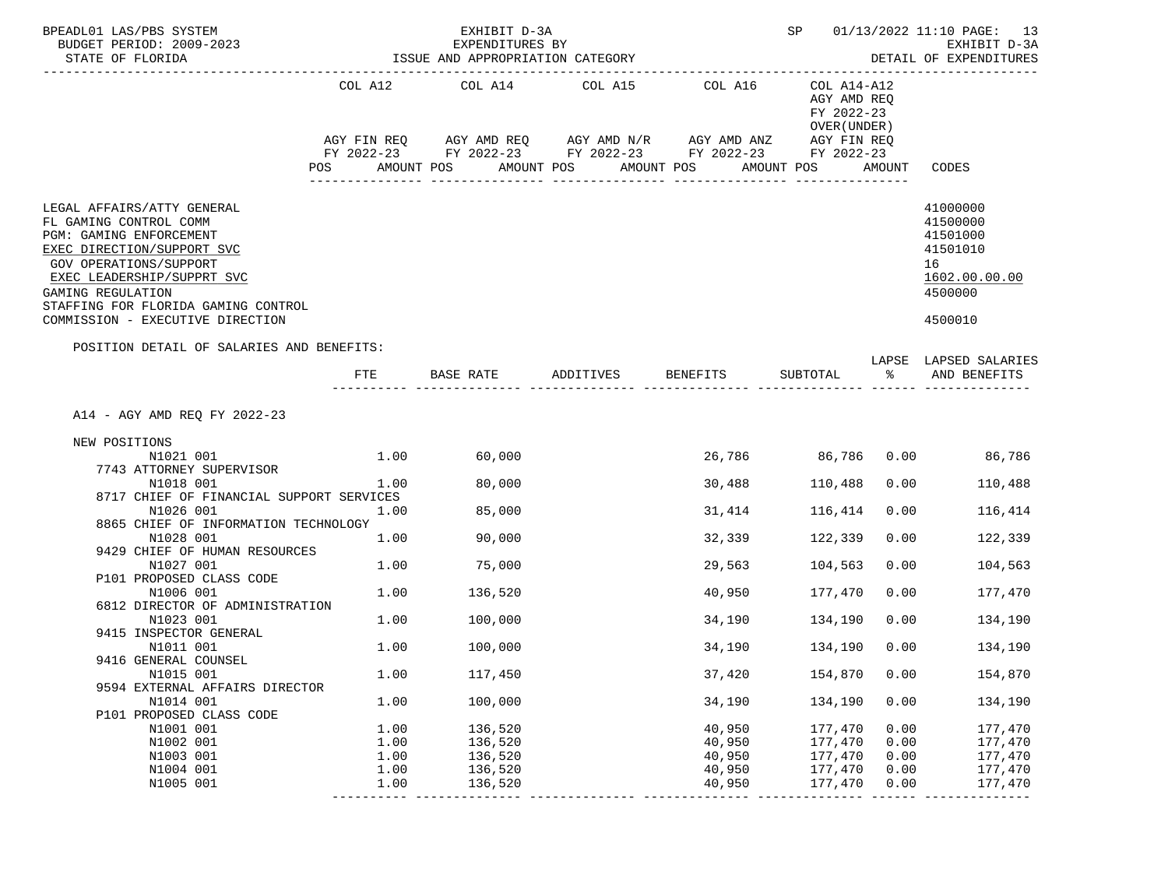| BPEADL01 LAS/PBS SYSTEM<br>BUDGET PERIOD: 2009-2023<br>STATE OF FLORIDA                                                                                                                                                                                               |      | EXHIBIT D-3A<br>EXPENDITURES BY<br>ISSUE AND APPROPRIATION CATEGORY<br>------------------------------------- | SP         |                                                                                                                                                   | 01/13/2022 11:10 PAGE: 13<br>EXHIBIT D-3A<br>DETAIL OF EXPENDITURES    |        |                                                                                           |
|-----------------------------------------------------------------------------------------------------------------------------------------------------------------------------------------------------------------------------------------------------------------------|------|--------------------------------------------------------------------------------------------------------------|------------|---------------------------------------------------------------------------------------------------------------------------------------------------|------------------------------------------------------------------------|--------|-------------------------------------------------------------------------------------------|
|                                                                                                                                                                                                                                                                       | POS  | COL A12 COL A14 COL A15<br>AMOUNT POS                                                                        | AMOUNT POS | COL A16<br>AGY FIN REQ AGY AMD REQ AGY AMD N/R AGY AMD ANZ AGY FIN REQ<br>FY 2022-23 FY 2022-23 FY 2022-23 FY 2022-23<br>AMOUNT POS<br>AMOUNT POS | COL A14-A12<br>AGY AMD REQ<br>FY 2022-23<br>OVER (UNDER)<br>FY 2022-23 | AMOUNT | CODES                                                                                     |
| LEGAL AFFAIRS/ATTY GENERAL<br>FL GAMING CONTROL COMM<br>PGM: GAMING ENFORCEMENT<br>EXEC DIRECTION/SUPPORT SVC<br>GOV OPERATIONS/SUPPORT<br>EXEC LEADERSHIP/SUPPRT SVC<br>GAMING REGULATION<br>STAFFING FOR FLORIDA GAMING CONTROL<br>COMMISSION - EXECUTIVE DIRECTION |      |                                                                                                              |            |                                                                                                                                                   |                                                                        |        | 41000000<br>41500000<br>41501000<br>41501010<br>16<br>1602.00.00.00<br>4500000<br>4500010 |
| POSITION DETAIL OF SALARIES AND BENEFITS:                                                                                                                                                                                                                             | FTE. | BASE RATE                                                                                                    | ADDITIVES  | BENEFITS                                                                                                                                          | SUBTOTAL                                                               | °≈     | LAPSE LAPSED SALARIES<br>AND BENEFITS                                                     |
| A14 - AGY AMD REQ FY 2022-23<br>NEW POSITIONS<br>N1021 001<br>7743 ATTORNEY SUPERVISOR                                                                                                                                                                                | 1.00 | 60,000                                                                                                       |            |                                                                                                                                                   | 26,786 86,786 0.00                                                     |        | 86,786                                                                                    |
| N1018 001<br>8717 CHIEF OF FINANCIAL SUPPORT SERVICES                                                                                                                                                                                                                 | 1.00 | 80,000                                                                                                       |            | 30,488                                                                                                                                            | 110,488                                                                | 0.00   | 110,488                                                                                   |
| N1026 001<br>8865 CHIEF OF INFORMATION TECHNOLOGY                                                                                                                                                                                                                     | 1.00 | 85,000                                                                                                       |            | 31,414                                                                                                                                            | 116,414                                                                | 0.00   | 116,414                                                                                   |
| N1028 001<br>9429 CHIEF OF HUMAN RESOURCES                                                                                                                                                                                                                            | 1.00 | 90,000                                                                                                       |            | 32,339                                                                                                                                            | 122,339                                                                | 0.00   | 122,339                                                                                   |
| N1027 001<br>P101 PROPOSED CLASS CODE                                                                                                                                                                                                                                 | 1.00 | 75,000                                                                                                       |            | 29,563                                                                                                                                            | 104,563                                                                | 0.00   | 104,563                                                                                   |
| N1006 001<br>6812 DIRECTOR OF ADMINISTRATION                                                                                                                                                                                                                          | 1.00 | 136,520                                                                                                      |            | 40,950                                                                                                                                            | 177,470                                                                | 0.00   | 177,470                                                                                   |
| N1023 001<br>9415 INSPECTOR GENERAL                                                                                                                                                                                                                                   | 1.00 | 100,000                                                                                                      |            | 34,190                                                                                                                                            | 134,190                                                                | 0.00   | 134,190                                                                                   |
| N1011 001<br>9416 GENERAL COUNSEL                                                                                                                                                                                                                                     | 1.00 | 100,000                                                                                                      |            | 34,190                                                                                                                                            | 134,190                                                                | 0.00   | 134,190                                                                                   |
| N1015 001<br>9594 EXTERNAL AFFAIRS DIRECTOR                                                                                                                                                                                                                           | 1.00 | 117,450                                                                                                      |            | 37,420                                                                                                                                            | 154,870                                                                | 0.00   | 154,870                                                                                   |
| N1014 001<br>P101 PROPOSED CLASS CODE                                                                                                                                                                                                                                 | 1.00 | 100,000                                                                                                      |            | 34,190                                                                                                                                            | 134,190                                                                | 0.00   | 134,190                                                                                   |
| N1001 001                                                                                                                                                                                                                                                             | 1.00 | 136,520                                                                                                      |            | 40,950                                                                                                                                            | 177,470                                                                | 0.00   | 177,470                                                                                   |
| N1002 001                                                                                                                                                                                                                                                             | 1.00 | 136,520                                                                                                      |            | 40,950                                                                                                                                            | 177,470                                                                | 0.00   | 177,470                                                                                   |
| N1003 001                                                                                                                                                                                                                                                             | 1.00 | 136,520                                                                                                      |            | 40,950                                                                                                                                            | 177,470                                                                | 0.00   | 177,470                                                                                   |
| N1004 001                                                                                                                                                                                                                                                             | 1.00 | 136,520                                                                                                      |            | 40,950                                                                                                                                            | 177,470                                                                | 0.00   | 177,470                                                                                   |
| N1005 001                                                                                                                                                                                                                                                             | 1.00 | 136,520                                                                                                      |            | 40,950                                                                                                                                            | 177,470                                                                | 0.00   | 177,470                                                                                   |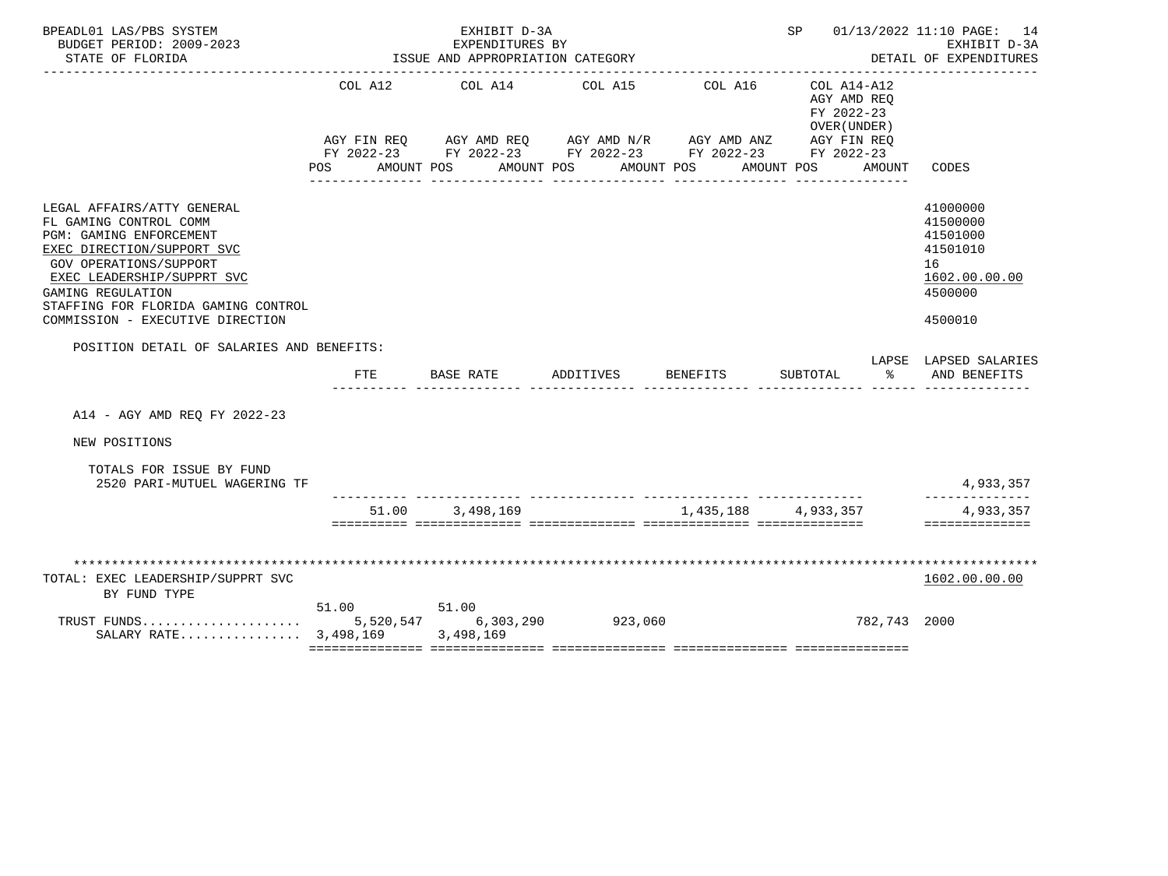| BPEADL01 LAS/PBS SYSTEM<br>BUDGET PERIOD: 2009-2023                                                                                                                                                                                                                   |                | EXHIBIT D-3A<br>EXPENDITURES BY  |                                                                                                                                                                  |                                           | SP 01/13/2022 11:10 PAGE: 14                                                                                                     | EXHIBIT D-3A                                                                              |
|-----------------------------------------------------------------------------------------------------------------------------------------------------------------------------------------------------------------------------------------------------------------------|----------------|----------------------------------|------------------------------------------------------------------------------------------------------------------------------------------------------------------|-------------------------------------------|----------------------------------------------------------------------------------------------------------------------------------|-------------------------------------------------------------------------------------------|
| STATE OF FLORIDA                                                                                                                                                                                                                                                      |                | ISSUE AND APPROPRIATION CATEGORY |                                                                                                                                                                  | ______________________________________    |                                                                                                                                  | DETAIL OF EXPENDITURES                                                                    |
|                                                                                                                                                                                                                                                                       | COL A12<br>POS | COL A14<br>AMOUNT POS            | COL A15<br>AGY FIN REQ AGY AMD REQ AGY AMD N/R AGY AMD ANZ<br>FY 2022-23 FY 2022-23 FY 2022-23 FY 2022-23<br>AMOUNT POS<br>_____________________________________ | COL A16<br>AMOUNT POS<br>________________ | COL A14-A12<br>AGY AMD REO<br>FY 2022-23<br>OVER (UNDER)<br>AGY FIN REO<br>FY 2022-23<br>AMOUNT<br>AMOUNT POS<br>_______________ | CODES                                                                                     |
| LEGAL AFFAIRS/ATTY GENERAL<br>FL GAMING CONTROL COMM<br>PGM: GAMING ENFORCEMENT<br>EXEC DIRECTION/SUPPORT SVC<br>GOV OPERATIONS/SUPPORT<br>EXEC LEADERSHIP/SUPPRT SVC<br>GAMING REGULATION<br>STAFFING FOR FLORIDA GAMING CONTROL<br>COMMISSION - EXECUTIVE DIRECTION |                |                                  |                                                                                                                                                                  |                                           |                                                                                                                                  | 41000000<br>41500000<br>41501000<br>41501010<br>16<br>1602.00.00.00<br>4500000<br>4500010 |
| POSITION DETAIL OF SALARIES AND BENEFITS:                                                                                                                                                                                                                             |                |                                  |                                                                                                                                                                  |                                           |                                                                                                                                  | LAPSE LAPSED SALARIES                                                                     |
|                                                                                                                                                                                                                                                                       | FTE            |                                  | BASE RATE ADDITIVES BENEFITS                                                                                                                                     |                                           | SUBTOTAL<br>$\sim$ $\sim$ $\sim$                                                                                                 | AND BENEFITS                                                                              |
| A14 - AGY AMD REO FY 2022-23                                                                                                                                                                                                                                          |                |                                  |                                                                                                                                                                  |                                           |                                                                                                                                  |                                                                                           |
| NEW POSITIONS                                                                                                                                                                                                                                                         |                |                                  |                                                                                                                                                                  |                                           |                                                                                                                                  |                                                                                           |
| TOTALS FOR ISSUE BY FUND<br>2520 PARI-MUTUEL WAGERING TF                                                                                                                                                                                                              |                |                                  |                                                                                                                                                                  |                                           |                                                                                                                                  | 4,933,357                                                                                 |
|                                                                                                                                                                                                                                                                       |                | 51.00 3.498.169                  |                                                                                                                                                                  | 1,435,188 4,933,357                       |                                                                                                                                  | 4,933,357                                                                                 |
|                                                                                                                                                                                                                                                                       |                |                                  |                                                                                                                                                                  |                                           |                                                                                                                                  | ==============                                                                            |
| TOTAL: EXEC LEADERSHIP/SUPPRT SVC<br>BY FUND TYPE                                                                                                                                                                                                                     |                |                                  |                                                                                                                                                                  |                                           |                                                                                                                                  | 1602.00.00.00                                                                             |
| SALARY RATE 3,498,169 3,498,169                                                                                                                                                                                                                                       | 51.00          | 51.00                            | 5,520,547 6,303,290 923,060                                                                                                                                      |                                           | 782,743 2000                                                                                                                     |                                                                                           |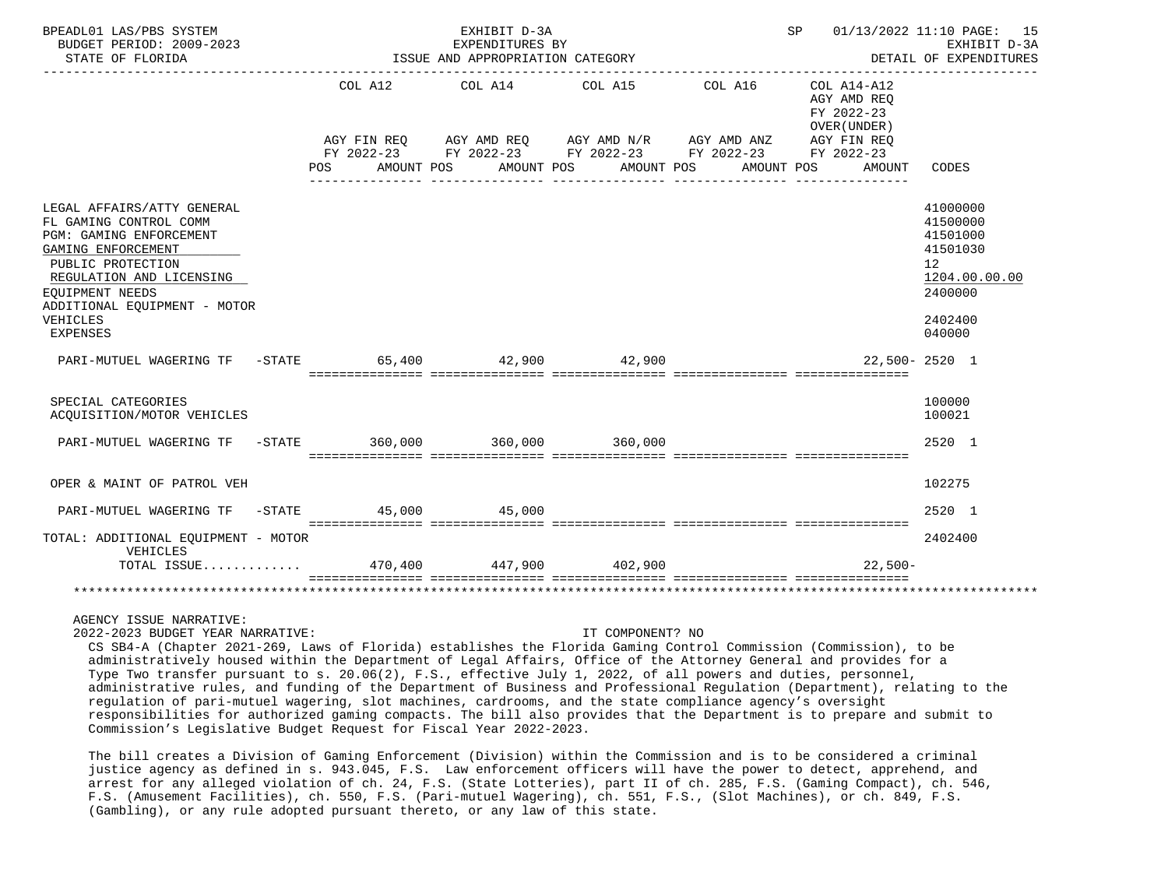| BPEADL01 LAS/PBS SYSTEM<br>BUDGET PERIOD: 2009-2023<br>STATE OF FLORIDA                                                                                                                                                           |            |         | EXHIBIT D-3A<br>EXPENDITURES BY<br>ISSUE AND APPROPRIATION CATEGORY                                                                                                         |  |  |         |                                                                         |           | SP 01/13/2022 11:10 PAGE: 15<br>EXHIBIT D-3A<br>DETAIL OF EXPENDITURES                                           |
|-----------------------------------------------------------------------------------------------------------------------------------------------------------------------------------------------------------------------------------|------------|---------|-----------------------------------------------------------------------------------------------------------------------------------------------------------------------------|--|--|---------|-------------------------------------------------------------------------|-----------|------------------------------------------------------------------------------------------------------------------|
|                                                                                                                                                                                                                                   | <b>POS</b> | COL A12 | COL A14 COL A15<br>AGY FIN REQ AGY AMD REQ AGY AMD N/R AGY AMD ANZ<br>FY 2022-23 FY 2022-23 FY 2022-23 FY 2022-23 FY 2022-23<br>AMOUNT POS AMOUNT POS AMOUNT POS AMOUNT POS |  |  | COL A16 | COL A14-A12<br>AGY AMD REO<br>FY 2022-23<br>OVER (UNDER)<br>AGY FIN REQ | AMOUNT    | CODES                                                                                                            |
| LEGAL AFFAIRS/ATTY GENERAL<br>FL GAMING CONTROL COMM<br>PGM: GAMING ENFORCEMENT<br>GAMING ENFORCEMENT<br>PUBLIC PROTECTION<br>REGULATION AND LICENSING<br>EOUIPMENT NEEDS<br>ADDITIONAL EQUIPMENT - MOTOR<br>VEHICLES<br>EXPENSES |            |         |                                                                                                                                                                             |  |  |         |                                                                         |           | 41000000<br>41500000<br>41501000<br>41501030<br>12 <sup>°</sup><br>1204.00.00.00<br>2400000<br>2402400<br>040000 |
| PARI-MUTUEL WAGERING TF -STATE 65,400 42,900 42,900                                                                                                                                                                               |            |         |                                                                                                                                                                             |  |  |         |                                                                         |           | 22,500-2520 1                                                                                                    |
| SPECIAL CATEGORIES<br>ACQUISITION/MOTOR VEHICLES                                                                                                                                                                                  |            |         |                                                                                                                                                                             |  |  |         |                                                                         |           | 100000<br>100021                                                                                                 |
| PARI-MUTUEL WAGERING TF -STATE 360,000 360,000 360,000 360,000                                                                                                                                                                    |            |         |                                                                                                                                                                             |  |  |         |                                                                         |           | 2520 1                                                                                                           |
| OPER & MAINT OF PATROL VEH                                                                                                                                                                                                        |            |         |                                                                                                                                                                             |  |  |         |                                                                         |           | 102275                                                                                                           |
| PARI-MUTUEL WAGERING TF -STATE 45,000 45,000                                                                                                                                                                                      |            |         |                                                                                                                                                                             |  |  |         |                                                                         |           | 2520 1                                                                                                           |
| TOTAL: ADDITIONAL EQUIPMENT - MOTOR<br>VEHICLES<br>TOTAL ISSUE 470,400 447,900 402,900                                                                                                                                            |            |         |                                                                                                                                                                             |  |  |         |                                                                         | $22.500-$ | 2402400                                                                                                          |
|                                                                                                                                                                                                                                   |            |         |                                                                                                                                                                             |  |  |         |                                                                         |           |                                                                                                                  |
| AGENCY ISSUE NARRATIVE:                                                                                                                                                                                                           |            |         |                                                                                                                                                                             |  |  |         |                                                                         |           |                                                                                                                  |

2022-2023 BUDGET YEAR NARRATIVE: IT COMPONENT? NO

 CS SB4-A (Chapter 2021-269, Laws of Florida) establishes the Florida Gaming Control Commission (Commission), to be administratively housed within the Department of Legal Affairs, Office of the Attorney General and provides for a Type Two transfer pursuant to s. 20.06(2), F.S., effective July 1, 2022, of all powers and duties, personnel, administrative rules, and funding of the Department of Business and Professional Regulation (Department), relating to the regulation of pari-mutuel wagering, slot machines, cardrooms, and the state compliance agency's oversight responsibilities for authorized gaming compacts. The bill also provides that the Department is to prepare and submit to Commission's Legislative Budget Request for Fiscal Year 2022-2023.

 The bill creates a Division of Gaming Enforcement (Division) within the Commission and is to be considered a criminal justice agency as defined in s. 943.045, F.S. Law enforcement officers will have the power to detect, apprehend, and arrest for any alleged violation of ch. 24, F.S. (State Lotteries), part II of ch. 285, F.S. (Gaming Compact), ch. 546, F.S. (Amusement Facilities), ch. 550, F.S. (Pari-mutuel Wagering), ch. 551, F.S., (Slot Machines), or ch. 849, F.S. (Gambling), or any rule adopted pursuant thereto, or any law of this state.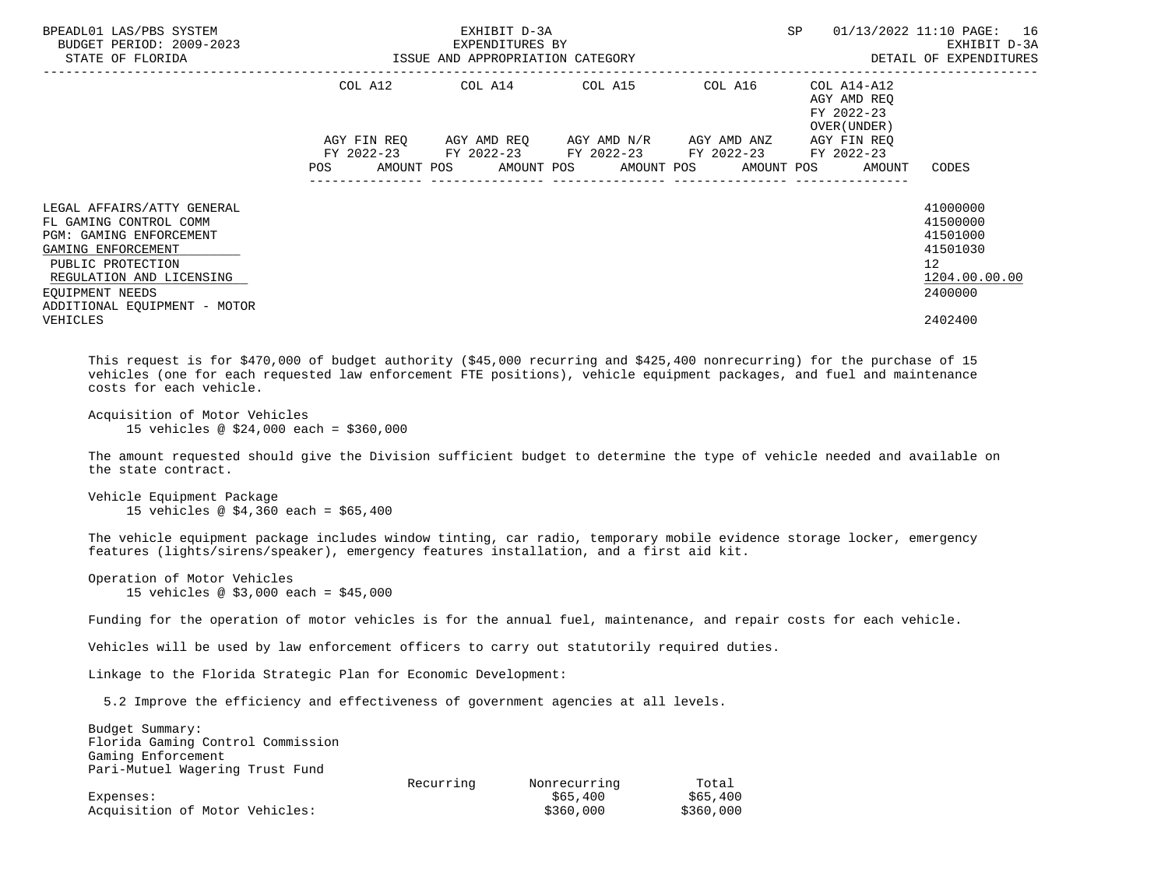| BPEADL01 LAS/PBS SYSTEM<br>BUDGET PERIOD: 2009-2023<br>STATE OF FLORIDA                                                                                                                                   | ISSUE AND APPROPRIATION CATEGORY | EXHIBIT D-3A<br>EXPENDITURES BY                                                            |                                               | <b>SP</b> | 01/13/2022 11:10 PAGE: 16<br>EXHIBIT D-3A<br>DETAIL OF EXPENDITURES     |                                                                                             |
|-----------------------------------------------------------------------------------------------------------------------------------------------------------------------------------------------------------|----------------------------------|--------------------------------------------------------------------------------------------|-----------------------------------------------|-----------|-------------------------------------------------------------------------|---------------------------------------------------------------------------------------------|
|                                                                                                                                                                                                           | AGY FIN REO                      | COL A12 COL A14 COL A15                                                                    | AGY AMD REO      AGY AMD N/R      AGY AMD ANZ | COL A16   | COL A14-A12<br>AGY AMD REO<br>FY 2022-23<br>OVER (UNDER)<br>AGY FIN REO |                                                                                             |
|                                                                                                                                                                                                           | <b>POS</b>                       | FY 2022-23 FY 2022-23 FY 2022-23 FY 2022-23<br>AMOUNT POS AMOUNT POS AMOUNT POS AMOUNT POS |                                               |           | FY 2022-23<br>AMOUNT                                                    | CODES                                                                                       |
| LEGAL AFFAIRS/ATTY GENERAL<br>FL GAMING CONTROL COMM<br>PGM: GAMING ENFORCEMENT<br>GAMING ENFORCEMENT<br>PUBLIC PROTECTION<br>REGULATION AND LICENSING<br>EOUIPMENT NEEDS<br>ADDITIONAL EQUIPMENT - MOTOR |                                  |                                                                                            |                                               |           |                                                                         | 41000000<br>41500000<br>41501000<br>41501030<br>12 <sup>7</sup><br>1204.00.00.00<br>2400000 |
| VEHICLES                                                                                                                                                                                                  |                                  |                                                                                            |                                               |           |                                                                         | 2402400                                                                                     |

 This request is for \$470,000 of budget authority (\$45,000 recurring and \$425,400 nonrecurring) for the purchase of 15 vehicles (one for each requested law enforcement FTE positions), vehicle equipment packages, and fuel and maintenance costs for each vehicle.

```
 Acquisition of Motor Vehicles
      15 vehicles @ $24,000 each = $360,000
```
 The amount requested should give the Division sufficient budget to determine the type of vehicle needed and available on the state contract.

```
 Vehicle Equipment Package
      15 vehicles @ $4,360 each = $65,400
```
 The vehicle equipment package includes window tinting, car radio, temporary mobile evidence storage locker, emergency features (lights/sirens/speaker), emergency features installation, and a first aid kit.

 Operation of Motor Vehicles 15 vehicles @ \$3,000 each = \$45,000

Funding for the operation of motor vehicles is for the annual fuel, maintenance, and repair costs for each vehicle.

Vehicles will be used by law enforcement officers to carry out statutorily required duties.

Linkage to the Florida Strategic Plan for Economic Development:

5.2 Improve the efficiency and effectiveness of government agencies at all levels.

| Budget Summary:                   |           |              |           |
|-----------------------------------|-----------|--------------|-----------|
| Florida Gaming Control Commission |           |              |           |
| Gaming Enforcement                |           |              |           |
| Pari-Mutuel Wagering Trust Fund   |           |              |           |
|                                   | Recurring | Nonrecurring | Total     |
| Expenses:                         |           | \$65.400     | \$65.400  |
| Acquisition of Motor Vehicles:    |           | \$360,000    | \$360,000 |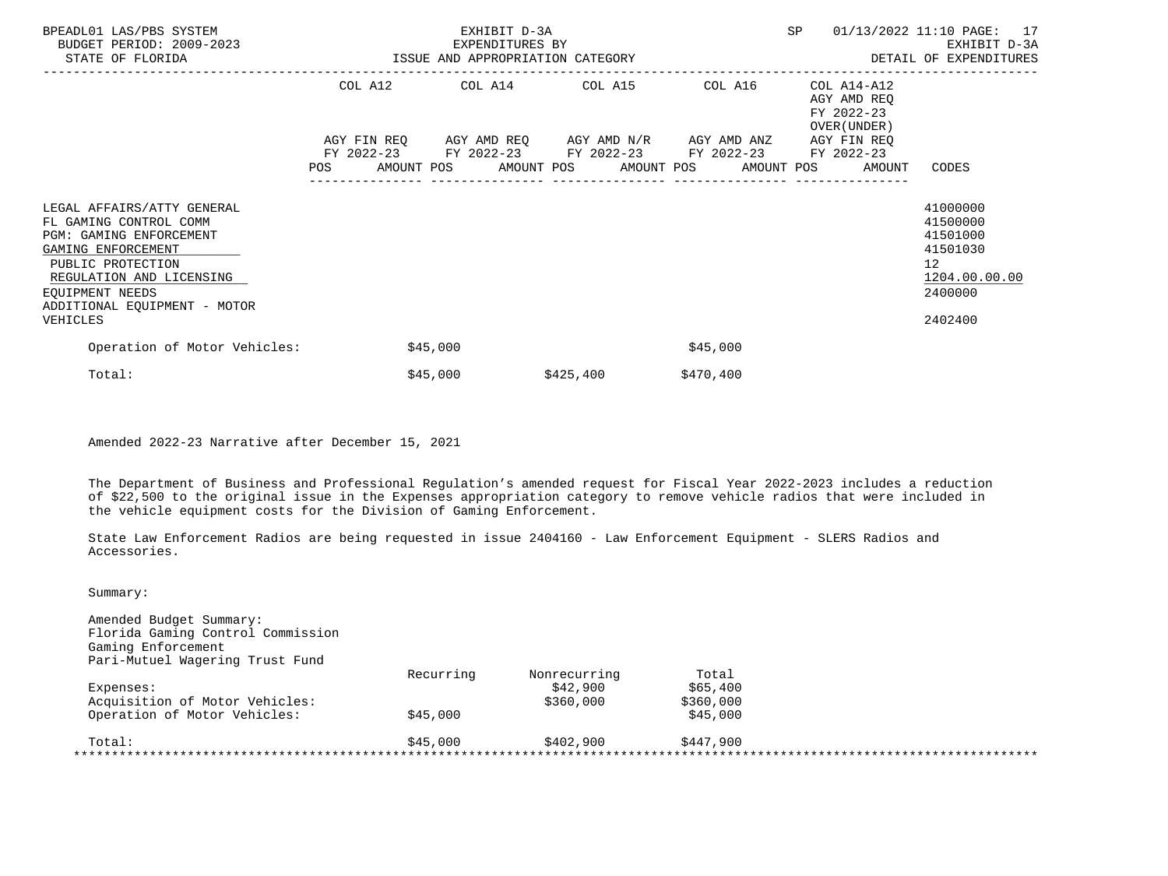| BPEADL01 LAS/PBS SYSTEM<br>BUDGET PERIOD: 2009-2023<br>STATE OF FLORIDA                                                                                                                                   | ISSUE AND APPROPRIATION CATEGORY | EXHIBIT D-3A<br>EXPENDITURES BY                                                                |           |           | SP                                                                      | 01/13/2022 11:10 PAGE: 17<br>EXHIBIT D-3A<br>DETAIL OF EXPENDITURES                         |
|-----------------------------------------------------------------------------------------------------------------------------------------------------------------------------------------------------------|----------------------------------|------------------------------------------------------------------------------------------------|-----------|-----------|-------------------------------------------------------------------------|---------------------------------------------------------------------------------------------|
|                                                                                                                                                                                                           |                                  | COL A12 COL A14 COL A15<br>AGY FIN REQ AGY AMD REQ AGY AMD N/R AGY AMD ANZ                     |           | COL A16   | COL A14-A12<br>AGY AMD REQ<br>FY 2022-23<br>OVER (UNDER)<br>AGY FIN REO |                                                                                             |
|                                                                                                                                                                                                           |                                  | FY 2022-23 FY 2022-23 FY 2022-23 FY 2022-23<br>POS AMOUNT POS AMOUNT POS AMOUNT POS AMOUNT POS |           |           | FY 2022-23<br>AMOUNT                                                    | CODES                                                                                       |
| LEGAL AFFAIRS/ATTY GENERAL<br>FL GAMING CONTROL COMM<br>PGM: GAMING ENFORCEMENT<br>GAMING ENFORCEMENT<br>PUBLIC PROTECTION<br>REGULATION AND LICENSING<br>EOUIPMENT NEEDS<br>ADDITIONAL EQUIPMENT - MOTOR |                                  |                                                                                                |           |           |                                                                         | 41000000<br>41500000<br>41501000<br>41501030<br>12 <sub>2</sub><br>1204.00.00.00<br>2400000 |
| VEHICLES                                                                                                                                                                                                  |                                  |                                                                                                |           |           |                                                                         | 2402400                                                                                     |
| Operation of Motor Vehicles:                                                                                                                                                                              |                                  | \$45,000                                                                                       |           | \$45,000  |                                                                         |                                                                                             |
| Total:                                                                                                                                                                                                    |                                  | \$45,000                                                                                       | \$425,400 | \$470,400 |                                                                         |                                                                                             |

Amended 2022-23 Narrative after December 15, 2021

 The Department of Business and Professional Regulation's amended request for Fiscal Year 2022-2023 includes a reduction of \$22,500 to the original issue in the Expenses appropriation category to remove vehicle radios that were included in the vehicle equipment costs for the Division of Gaming Enforcement.

 State Law Enforcement Radios are being requested in issue 2404160 - Law Enforcement Equipment - SLERS Radios and Accessories.

Summary:

| Amended Budget Summary:<br>Florida Gaming Control Commission<br>Gaming Enforcement |           |              |           |  |
|------------------------------------------------------------------------------------|-----------|--------------|-----------|--|
| Pari-Mutuel Wagering Trust Fund                                                    |           |              |           |  |
|                                                                                    | Recurring | Nonrecurring | Total     |  |
| Expenses:                                                                          |           | \$42,900     | \$65,400  |  |
| Acquisition of Motor Vehicles:                                                     |           | \$360,000    | \$360,000 |  |
| Operation of Motor Vehicles:                                                       | \$45,000  |              | \$45,000  |  |
| Total:                                                                             | \$45,000  | \$402,900    | \$447,900 |  |
|                                                                                    |           |              |           |  |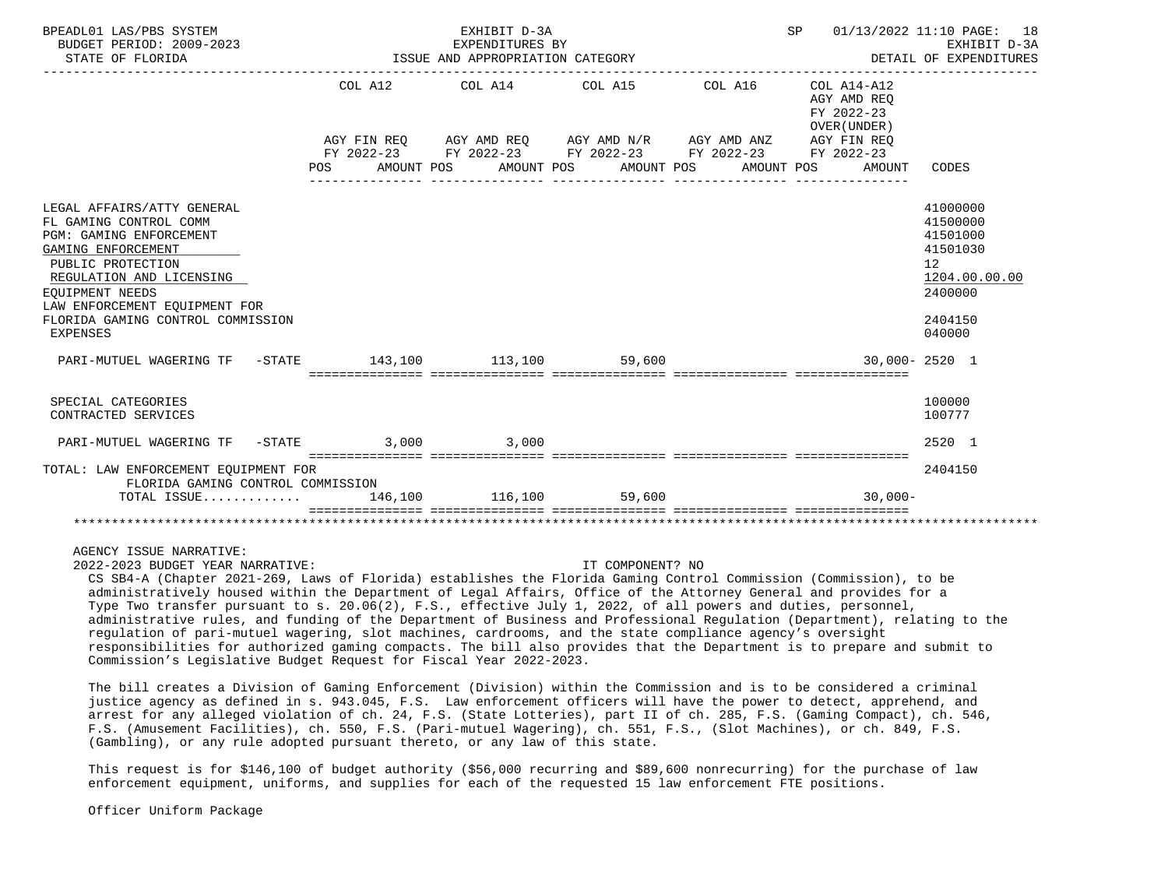| BPEADL01 LAS/PBS SYSTEM<br>BUDGET PERIOD: 2009-2023<br>STATE OF FLORIDA                                                                                                                                                                                                   | EXHIBIT D-3A | EXPENDITURES BY<br>ISSUE AND APPROPRIATION CATEGORY                                                                                                                                                                                                                                      |  | SP 01/13/2022 11:10 PAGE: 18<br>EXHIBIT D-3A<br>DETAIL OF EXPENDITURES |                                                                                                                  |
|---------------------------------------------------------------------------------------------------------------------------------------------------------------------------------------------------------------------------------------------------------------------------|--------------|------------------------------------------------------------------------------------------------------------------------------------------------------------------------------------------------------------------------------------------------------------------------------------------|--|------------------------------------------------------------------------|------------------------------------------------------------------------------------------------------------------|
|                                                                                                                                                                                                                                                                           |              | COL A12 COL A14 COL A15 COL A16                                                                                                                                                                                                                                                          |  | COL A14-A12<br>AGY AMD REO<br>FY 2022-23<br>OVER (UNDER)               |                                                                                                                  |
|                                                                                                                                                                                                                                                                           |              | $AGY \texttt{ FIN REQ} \qquad \texttt{AGY} \texttt{AMD REQ} \qquad \texttt{AGY} \texttt{AMD N/R} \qquad \texttt{AGY} \texttt{AMD ANZ} \qquad \texttt{AGY} \texttt{FIN REQ}$<br>FY 2022-23 FY 2022-23 FY 2022-23 FY 2022-23 FY 2022-23<br>POS AMOUNT POS AMOUNT POS AMOUNT POS AMOUNT POS |  | AMOUNT                                                                 | CODES                                                                                                            |
| LEGAL AFFAIRS/ATTY GENERAL<br>FL GAMING CONTROL COMM<br><b>PGM: GAMING ENFORCEMENT</b><br>GAMING ENFORCEMENT<br>PUBLIC PROTECTION<br>REGULATION AND LICENSING<br>EOUIPMENT NEEDS<br>LAW ENFORCEMENT EOUIPMENT FOR<br>FLORIDA GAMING CONTROL COMMISSION<br><b>EXPENSES</b> |              |                                                                                                                                                                                                                                                                                          |  |                                                                        | 41000000<br>41500000<br>41501000<br>41501030<br>12 <sup>°</sup><br>1204.00.00.00<br>2400000<br>2404150<br>040000 |
| PARI-MUTUEL WAGERING TF -STATE 143,100 113,100 59,600                                                                                                                                                                                                                     |              |                                                                                                                                                                                                                                                                                          |  | 30,000-2520 1                                                          |                                                                                                                  |
| SPECIAL CATEGORIES<br>CONTRACTED SERVICES                                                                                                                                                                                                                                 |              |                                                                                                                                                                                                                                                                                          |  |                                                                        | 100000<br>100777                                                                                                 |
| PARI-MUTUEL WAGERING TF -STATE 3,000 3,000                                                                                                                                                                                                                                |              |                                                                                                                                                                                                                                                                                          |  |                                                                        | 2520 1                                                                                                           |
| TOTAL: LAW ENFORCEMENT EQUIPMENT FOR<br>FLORIDA GAMING CONTROL COMMISSION                                                                                                                                                                                                 |              |                                                                                                                                                                                                                                                                                          |  | == ================                                                    | 2404150                                                                                                          |
| TOTAL ISSUE                                                                                                                                                                                                                                                               |              | 146,100 116,100 59,600                                                                                                                                                                                                                                                                   |  | $30.000 -$                                                             |                                                                                                                  |
|                                                                                                                                                                                                                                                                           |              | ____________________________________                                                                                                                                                                                                                                                     |  |                                                                        |                                                                                                                  |

AGENCY ISSUE NARRATIVE:

2022-2023 BUDGET YEAR NARRATIVE: IT COMPONENT? NO

 CS SB4-A (Chapter 2021-269, Laws of Florida) establishes the Florida Gaming Control Commission (Commission), to be administratively housed within the Department of Legal Affairs, Office of the Attorney General and provides for a Type Two transfer pursuant to s. 20.06(2), F.S., effective July 1, 2022, of all powers and duties, personnel, administrative rules, and funding of the Department of Business and Professional Regulation (Department), relating to the regulation of pari-mutuel wagering, slot machines, cardrooms, and the state compliance agency's oversight responsibilities for authorized gaming compacts. The bill also provides that the Department is to prepare and submit to Commission's Legislative Budget Request for Fiscal Year 2022-2023.

 The bill creates a Division of Gaming Enforcement (Division) within the Commission and is to be considered a criminal justice agency as defined in s. 943.045, F.S. Law enforcement officers will have the power to detect, apprehend, and arrest for any alleged violation of ch. 24, F.S. (State Lotteries), part II of ch. 285, F.S. (Gaming Compact), ch. 546, F.S. (Amusement Facilities), ch. 550, F.S. (Pari-mutuel Wagering), ch. 551, F.S., (Slot Machines), or ch. 849, F.S. (Gambling), or any rule adopted pursuant thereto, or any law of this state.

 This request is for \$146,100 of budget authority (\$56,000 recurring and \$89,600 nonrecurring) for the purchase of law enforcement equipment, uniforms, and supplies for each of the requested 15 law enforcement FTE positions.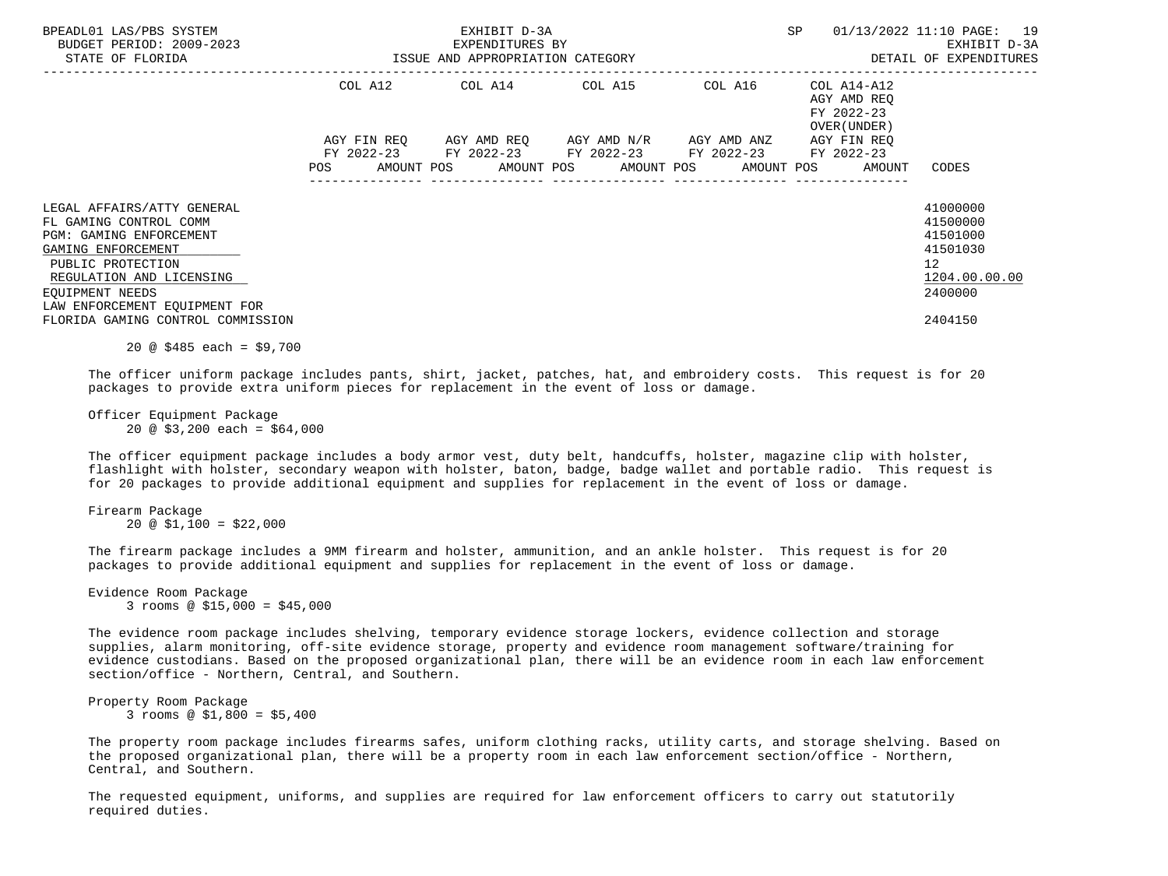| BPEADL01 LAS/PBS SYSTEM<br>BUDGET PERIOD: 2009-2023<br>STATE OF FLORIDA                                                                                                                                           | ISSUE AND APPROPRIATION CATEGORY | EXHIBIT D-3A<br>EXPENDITURES BY | SP                                                                                                                                                       | 01/13/2022 11:10 PAGE: 19<br>EXHIBIT D-3A<br>DETAIL OF EXPENDITURES |                                                                                |
|-------------------------------------------------------------------------------------------------------------------------------------------------------------------------------------------------------------------|----------------------------------|---------------------------------|----------------------------------------------------------------------------------------------------------------------------------------------------------|---------------------------------------------------------------------|--------------------------------------------------------------------------------|
|                                                                                                                                                                                                                   |                                  |                                 | COL A12 COL A14 COL A15 COL A16                                                                                                                          | COL A14-A12<br>AGY AMD REO<br>FY 2022-23<br>OVER (UNDER)            |                                                                                |
|                                                                                                                                                                                                                   | <b>POS</b>                       |                                 | AGY FIN REQ 6GY AMD REQ 6GY AMD N/R 6GY AMD ANZ<br>FY 2022-23 FY 2022-23 FY 2022-23 FY 2022-23 FY 2022-23<br>AMOUNT POS AMOUNT POS AMOUNT POS AMOUNT POS | AGY FIN REO<br>AMOUNT                                               | CODES                                                                          |
| LEGAL AFFAIRS/ATTY GENERAL<br>FL GAMING CONTROL COMM<br><b>PGM: GAMING ENFORCEMENT</b><br>GAMING ENFORCEMENT<br>PUBLIC PROTECTION<br>REGULATION AND LICENSING<br>EOUIPMENT NEEDS<br>LAW ENFORCEMENT EOUIPMENT FOR |                                  |                                 |                                                                                                                                                          |                                                                     | 41000000<br>41500000<br>41501000<br>41501030<br>12<br>1204.00.00.00<br>2400000 |
| FLORIDA GAMING CONTROL COMMISSION                                                                                                                                                                                 |                                  |                                 |                                                                                                                                                          |                                                                     | 2404150                                                                        |

20 @ \$485 each = \$9,700

 The officer uniform package includes pants, shirt, jacket, patches, hat, and embroidery costs. This request is for 20 packages to provide extra uniform pieces for replacement in the event of loss or damage.

 Officer Equipment Package  $20 \text{ @ } $3,200 \text{ each } = $64,000$ 

 The officer equipment package includes a body armor vest, duty belt, handcuffs, holster, magazine clip with holster, flashlight with holster, secondary weapon with holster, baton, badge, badge wallet and portable radio. This request is for 20 packages to provide additional equipment and supplies for replacement in the event of loss or damage.

 Firearm Package  $20 \text{ } \textcircled{}} 51,100 = $22,000$ 

 The firearm package includes a 9MM firearm and holster, ammunition, and an ankle holster. This request is for 20 packages to provide additional equipment and supplies for replacement in the event of loss or damage.

 Evidence Room Package 3 rooms @ \$15,000 = \$45,000

 The evidence room package includes shelving, temporary evidence storage lockers, evidence collection and storage supplies, alarm monitoring, off-site evidence storage, property and evidence room management software/training for evidence custodians. Based on the proposed organizational plan, there will be an evidence room in each law enforcement section/office - Northern, Central, and Southern.

 Property Room Package 3 rooms @ \$1,800 = \$5,400

 The property room package includes firearms safes, uniform clothing racks, utility carts, and storage shelving. Based on the proposed organizational plan, there will be a property room in each law enforcement section/office - Northern, Central, and Southern.

 The requested equipment, uniforms, and supplies are required for law enforcement officers to carry out statutorily required duties.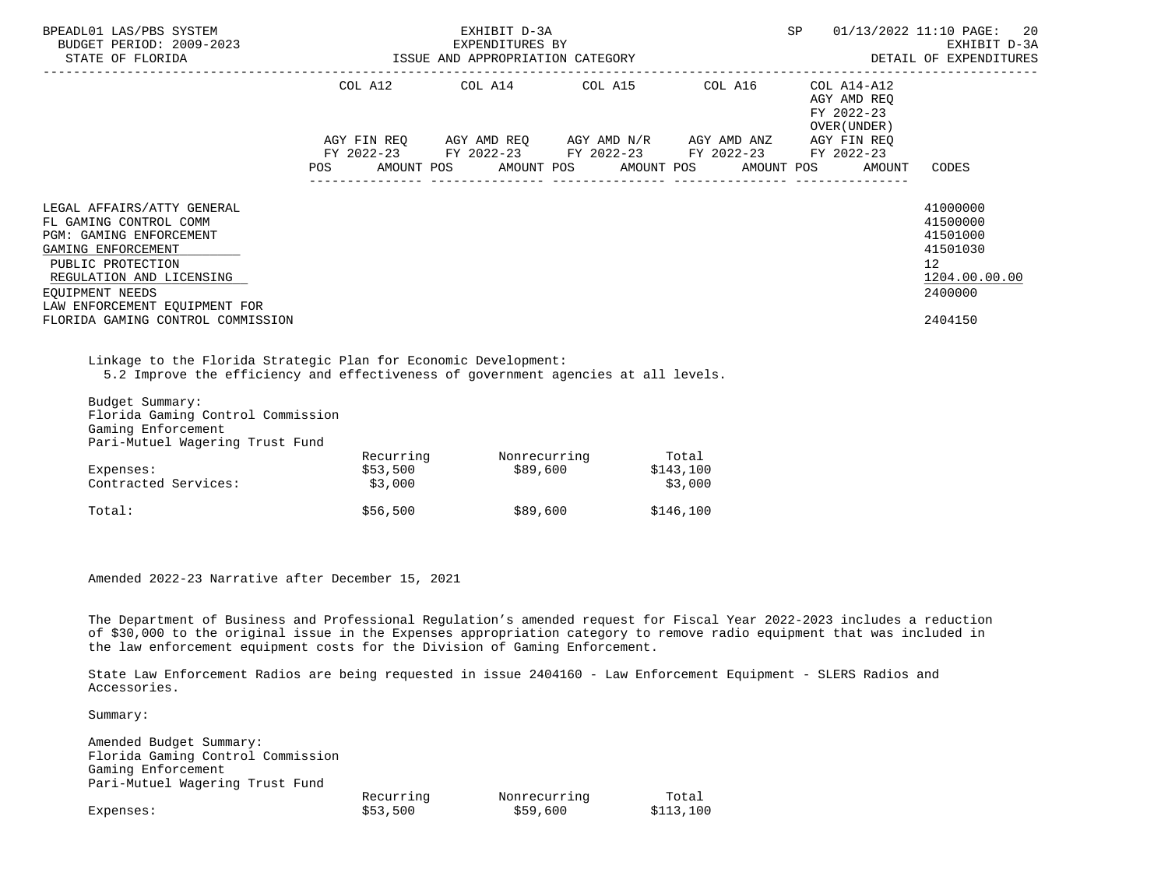| BPEADL01 LAS/PBS SYSTEM<br>BUDGET PERIOD: 2009-2023<br>STATE OF FLORIDA                                                                                                                                                                         | EXHIBIT D-3A<br>EXPENDITURES BY<br>ISSUE AND APPROPRIATION CATEGORY |  |                         |  |  |                                                                                                                                                               |         | SP |  | 01/13/2022 11:10 PAGE: 20<br>EXHIBIT D-3A<br>DETAIL OF EXPENDITURES |                                                                                           |  |
|-------------------------------------------------------------------------------------------------------------------------------------------------------------------------------------------------------------------------------------------------|---------------------------------------------------------------------|--|-------------------------|--|--|---------------------------------------------------------------------------------------------------------------------------------------------------------------|---------|----|--|---------------------------------------------------------------------|-------------------------------------------------------------------------------------------|--|
|                                                                                                                                                                                                                                                 |                                                                     |  | COL A12 COL A14 COL A15 |  |  |                                                                                                                                                               | COL A16 |    |  | COL A14-A12<br>AGY AMD REO<br>FY 2022-23<br>OVER (UNDER)            |                                                                                           |  |
|                                                                                                                                                                                                                                                 |                                                                     |  |                         |  |  | AGY FIN REQ AGY AMD REQ AGY AMD N/R AGY AMD ANZ AGY FIN REQ<br>FY 2022-23 FY 2022-23 FY 2022-23 FY 2022-23<br>POS AMOUNT POS AMOUNT POS AMOUNT POS AMOUNT POS |         |    |  | FY 2022-23<br>AMOUNT                                                | CODES                                                                                     |  |
| LEGAL AFFAIRS/ATTY GENERAL<br>FL GAMING CONTROL COMM<br>PGM: GAMING ENFORCEMENT<br>GAMING ENFORCEMENT<br>PUBLIC PROTECTION<br>REGULATION AND LICENSING<br>EOUIPMENT NEEDS<br>LAW ENFORCEMENT EQUIPMENT FOR<br>FLORIDA GAMING CONTROL COMMISSION |                                                                     |  |                         |  |  |                                                                                                                                                               |         |    |  |                                                                     | 41000000<br>41500000<br>41501000<br>41501030<br>12<br>1204.00.00.00<br>2400000<br>2404150 |  |
|                                                                                                                                                                                                                                                 |                                                                     |  |                         |  |  |                                                                                                                                                               |         |    |  |                                                                     |                                                                                           |  |

 Linkage to the Florida Strategic Plan for Economic Development: 5.2 Improve the efficiency and effectiveness of government agencies at all levels.

| Budget Summary:<br>Florida Gaming Control Commission |           |              |           |
|------------------------------------------------------|-----------|--------------|-----------|
| Gaming Enforcement                                   |           |              |           |
| Pari-Mutuel Wagering Trust Fund                      |           |              |           |
|                                                      | Recurring | Nonrecurring | Total     |
| Expenses:                                            | \$53,500  | \$89,600     | \$143,100 |
| Contracted Services:                                 | \$3,000   |              | \$3,000   |
| Total:                                               | \$56,500  | \$89,600     | \$146,100 |

Amended 2022-23 Narrative after December 15, 2021

 The Department of Business and Professional Regulation's amended request for Fiscal Year 2022-2023 includes a reduction of \$30,000 to the original issue in the Expenses appropriation category to remove radio equipment that was included in the law enforcement equipment costs for the Division of Gaming Enforcement.

 State Law Enforcement Radios are being requested in issue 2404160 - Law Enforcement Equipment - SLERS Radios and Accessories.

Summary:

 Amended Budget Summary: Florida Gaming Control Commission Gaming Enforcement Pari-Mutuel Wagering Trust Fund Recurring Monrecurring Total<br>
\$53,500 \$59,600 \$113,100 Expenses: \$53,500 \$59,600 \$113,100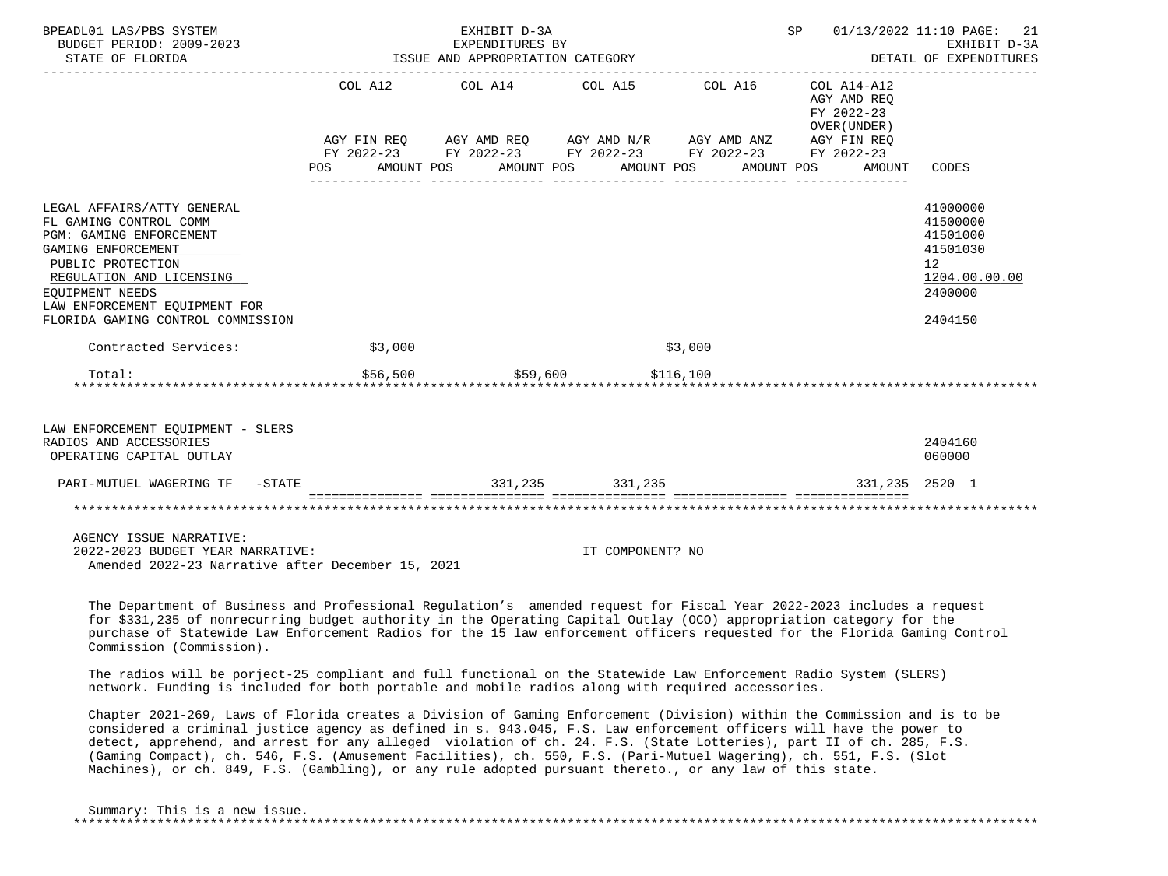| BPEADL01 LAS/PBS SYSTEM<br>BUDGET PERIOD: 2009-2023<br>STATE OF FLORIDA                                                                                                                                                                         |          | EXHIBIT D-3A<br>EXPENDITURES BY<br>ISSUE AND APPROPRIATION CATEGORY |                                                                                                                                                                                                                         |           |                                                     | SP 01/13/2022 11:10 PAGE: 21<br>EXHIBIT D-3A<br>DETAIL OF EXPENDITURES                                 |
|-------------------------------------------------------------------------------------------------------------------------------------------------------------------------------------------------------------------------------------------------|----------|---------------------------------------------------------------------|-------------------------------------------------------------------------------------------------------------------------------------------------------------------------------------------------------------------------|-----------|-----------------------------------------------------|--------------------------------------------------------------------------------------------------------|
|                                                                                                                                                                                                                                                 |          |                                                                     | COL A12 COL A14 COL A15 COL A16 COL A14-A12<br>AGY FIN REQ AGY AMD REQ AGY AMD N/R AGY AMD ANZ AGY FIN REQ<br>FY 2022-23 FY 2022-23 FY 2022-23 FY 2022-23 FY 2022-23<br>POS AMOUNT POS AMOUNT POS AMOUNT POS AMOUNT POS |           | AGY AMD REQ<br>FY 2022-23<br>OVER (UNDER)<br>AMOUNT | CODES                                                                                                  |
| LEGAL AFFAIRS/ATTY GENERAL<br>FL GAMING CONTROL COMM<br>PGM: GAMING ENFORCEMENT<br>GAMING ENFORCEMENT<br>PUBLIC PROTECTION<br>REGULATION AND LICENSING<br>EOUIPMENT NEEDS<br>LAW ENFORCEMENT EOUIPMENT FOR<br>FLORIDA GAMING CONTROL COMMISSION |          |                                                                     |                                                                                                                                                                                                                         |           |                                                     | 41000000<br>41500000<br>41501000<br>41501030<br>12 <sup>°</sup><br>1204.00.00.00<br>2400000<br>2404150 |
| Contracted Services:                                                                                                                                                                                                                            | \$3,000  |                                                                     |                                                                                                                                                                                                                         | \$3,000   |                                                     |                                                                                                        |
| Total:<br>*******************************                                                                                                                                                                                                       | \$56,500 | \$59,600                                                            |                                                                                                                                                                                                                         | \$116,100 |                                                     |                                                                                                        |
| LAW ENFORCEMENT EQUIPMENT - SLERS<br>RADIOS AND ACCESSORIES<br>OPERATING CAPITAL OUTLAY                                                                                                                                                         |          |                                                                     |                                                                                                                                                                                                                         |           |                                                     | 2404160<br>060000                                                                                      |
|                                                                                                                                                                                                                                                 |          |                                                                     |                                                                                                                                                                                                                         |           | 331,235 2520 1                                      |                                                                                                        |
|                                                                                                                                                                                                                                                 |          |                                                                     |                                                                                                                                                                                                                         |           |                                                     |                                                                                                        |
| AGENCY ISSUE NARRATIVE:<br>2022-2023 BUDGET YEAR NARRATIVE:<br>Amended 2022-23 Narrative after December 15, 2021                                                                                                                                |          |                                                                     | IT COMPONENT? NO                                                                                                                                                                                                        |           |                                                     |                                                                                                        |

 The Department of Business and Professional Regulation's amended request for Fiscal Year 2022-2023 includes a request for \$331,235 of nonrecurring budget authority in the Operating Capital Outlay (OCO) appropriation category for the purchase of Statewide Law Enforcement Radios for the 15 law enforcement officers requested for the Florida Gaming Control Commission (Commission).

 The radios will be porject-25 compliant and full functional on the Statewide Law Enforcement Radio System (SLERS) network. Funding is included for both portable and mobile radios along with required accessories.

 Chapter 2021-269, Laws of Florida creates a Division of Gaming Enforcement (Division) within the Commission and is to be considered a criminal justice agency as defined in s. 943.045, F.S. Law enforcement officers will have the power to detect, apprehend, and arrest for any alleged violation of ch. 24. F.S. (State Lotteries), part II of ch. 285, F.S. (Gaming Compact), ch. 546, F.S. (Amusement Facilities), ch. 550, F.S. (Pari-Mutuel Wagering), ch. 551, F.S. (Slot Machines), or ch. 849, F.S. (Gambling), or any rule adopted pursuant thereto., or any law of this state.

| Summary: This is a new issue. |  |
|-------------------------------|--|
|                               |  |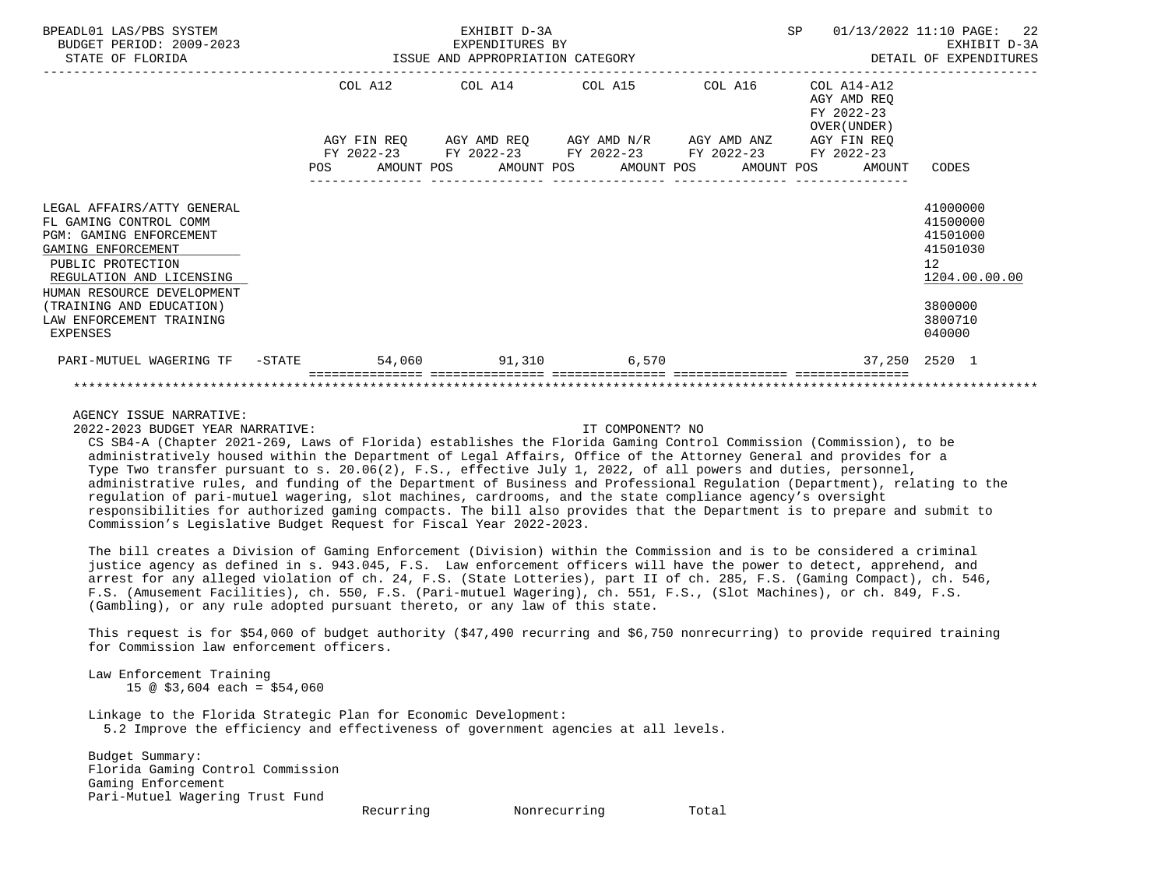| BPEADL01 LAS/PBS SYSTEM<br>BUDGET PERIOD: 2009-2023<br>STATE OF FLORIDA                                                                                                                                                                                  |  |  | EXHIBIT D-3A<br>EXPENDITURES BY<br>ISSUE AND APPROPRIATION CATEGORY |                                                                                                                        |  |                                                                            | SP 01/13/2022 11:10 PAGE: 22<br>EXHIBIT D-3A<br>DETAIL OF EXPENDITURES                                           |
|----------------------------------------------------------------------------------------------------------------------------------------------------------------------------------------------------------------------------------------------------------|--|--|---------------------------------------------------------------------|------------------------------------------------------------------------------------------------------------------------|--|----------------------------------------------------------------------------|------------------------------------------------------------------------------------------------------------------|
|                                                                                                                                                                                                                                                          |  |  |                                                                     | COL A12 COL A14 COL A15 COL A16<br>AGY FIN REQ 6GY AMD REQ 6GY AMD N/R 6GY AMD ANZ                                     |  | $COL A14- A12$<br>AGY AMD REO<br>FY 2022-23<br>OVER (UNDER)<br>AGY FIN REO |                                                                                                                  |
|                                                                                                                                                                                                                                                          |  |  |                                                                     | FY 2022-23 FY 2022-23 FY 2022-23 FY 2022-23 FY 2022-23<br>POS AMOUNT POS AMOUNT POS AMOUNT POS AMOUNT POS AMOUNT CODES |  |                                                                            |                                                                                                                  |
| LEGAL AFFAIRS/ATTY GENERAL<br>FL GAMING CONTROL COMM<br>PGM: GAMING ENFORCEMENT<br>GAMING ENFORCEMENT<br>PUBLIC PROTECTION<br>REGULATION AND LICENSING<br>HUMAN RESOURCE DEVELOPMENT<br>(TRAINING AND EDUCATION)<br>LAW ENFORCEMENT TRAINING<br>EXPENSES |  |  |                                                                     |                                                                                                                        |  |                                                                            | 41000000<br>41500000<br>41501000<br>41501030<br>12 <sup>°</sup><br>1204.00.00.00<br>3800000<br>3800710<br>040000 |
| PARI-MUTUEL WAGERING TF -STATE                                                                                                                                                                                                                           |  |  |                                                                     | 54,060 51,310 6,570                                                                                                    |  |                                                                            | 37,250 2520 1                                                                                                    |
|                                                                                                                                                                                                                                                          |  |  |                                                                     |                                                                                                                        |  |                                                                            |                                                                                                                  |

AGENCY ISSUE NARRATIVE:

2022-2023 BUDGET YEAR NARRATIVE: IT COMPONENT? NO

 CS SB4-A (Chapter 2021-269, Laws of Florida) establishes the Florida Gaming Control Commission (Commission), to be administratively housed within the Department of Legal Affairs, Office of the Attorney General and provides for a Type Two transfer pursuant to s. 20.06(2), F.S., effective July 1, 2022, of all powers and duties, personnel, administrative rules, and funding of the Department of Business and Professional Regulation (Department), relating to the regulation of pari-mutuel wagering, slot machines, cardrooms, and the state compliance agency's oversight responsibilities for authorized gaming compacts. The bill also provides that the Department is to prepare and submit to Commission's Legislative Budget Request for Fiscal Year 2022-2023.

 The bill creates a Division of Gaming Enforcement (Division) within the Commission and is to be considered a criminal justice agency as defined in s. 943.045, F.S. Law enforcement officers will have the power to detect, apprehend, and arrest for any alleged violation of ch. 24, F.S. (State Lotteries), part II of ch. 285, F.S. (Gaming Compact), ch. 546, F.S. (Amusement Facilities), ch. 550, F.S. (Pari-mutuel Wagering), ch. 551, F.S., (Slot Machines), or ch. 849, F.S. (Gambling), or any rule adopted pursuant thereto, or any law of this state.

 This request is for \$54,060 of budget authority (\$47,490 recurring and \$6,750 nonrecurring) to provide required training for Commission law enforcement officers.

 Law Enforcement Training  $15 \text{ } \textcircled{}}$  \$3,604 each = \$54,060

 Linkage to the Florida Strategic Plan for Economic Development: 5.2 Improve the efficiency and effectiveness of government agencies at all levels.

 Budget Summary: Florida Gaming Control Commission Gaming Enforcement Pari-Mutuel Wagering Trust Fund

Recurring Monrecurring Total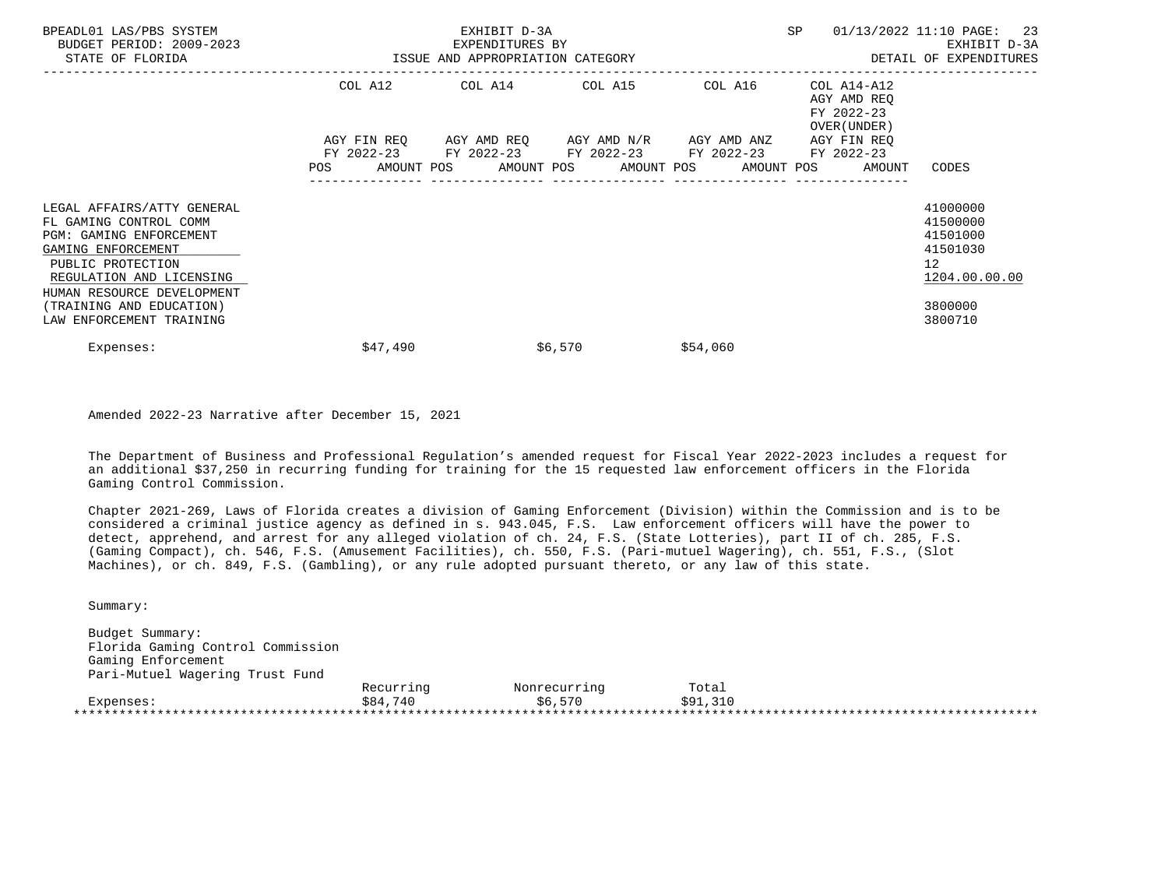| BPEADL01 LAS/PBS SYSTEM<br>BUDGET PERIOD: 2009-2023<br>STATE OF FLORIDA                                                                                                              | ISSUE AND APPROPRIATION CATEGORY | EXHIBIT D-3A<br>EXPENDITURES BY                                                                                                               |                 | SP       | -23<br>01/13/2022 11:10 PAGE:<br>EXHIBIT D-3A<br>DETAIL OF EXPENDITURES |                                                                                  |
|--------------------------------------------------------------------------------------------------------------------------------------------------------------------------------------|----------------------------------|-----------------------------------------------------------------------------------------------------------------------------------------------|-----------------|----------|-------------------------------------------------------------------------|----------------------------------------------------------------------------------|
|                                                                                                                                                                                      | COL A12                          |                                                                                                                                               | COL A14 COL A15 | COL A16  | COL A14-A12<br>AGY AMD REO<br>FY 2022-23<br>OVER (UNDER)                |                                                                                  |
|                                                                                                                                                                                      | POS                              | AGY FIN REO AGY AMD REO AGY AMD N/R AGY AMD ANZ<br>FY 2022-23 FY 2022-23 FY 2022-23 FY 2022-23<br>AMOUNT POS AMOUNT POS AMOUNT POS AMOUNT POS |                 |          | AGY FIN REO<br>FY 2022-23<br>AMOUNT                                     | CODES                                                                            |
| LEGAL AFFAIRS/ATTY GENERAL<br>FL GAMING CONTROL COMM<br>PGM: GAMING ENFORCEMENT<br>GAMING ENFORCEMENT<br>PUBLIC PROTECTION<br>REGULATION AND LICENSING<br>HUMAN RESOURCE DEVELOPMENT |                                  |                                                                                                                                               |                 |          |                                                                         | 41000000<br>41500000<br>41501000<br>41501030<br>12 <sup>°</sup><br>1204.00.00.00 |
| (TRAINING AND EDUCATION)<br>LAW ENFORCEMENT TRAINING                                                                                                                                 |                                  |                                                                                                                                               |                 |          |                                                                         | 3800000<br>3800710                                                               |
| Expenses:                                                                                                                                                                            | \$47,490                         |                                                                                                                                               | \$6,570         | \$54,060 |                                                                         |                                                                                  |

Amended 2022-23 Narrative after December 15, 2021

 The Department of Business and Professional Regulation's amended request for Fiscal Year 2022-2023 includes a request for an additional \$37,250 in recurring funding for training for the 15 requested law enforcement officers in the Florida Gaming Control Commission.

 Chapter 2021-269, Laws of Florida creates a division of Gaming Enforcement (Division) within the Commission and is to be considered a criminal justice agency as defined in s. 943.045, F.S. Law enforcement officers will have the power to detect, apprehend, and arrest for any alleged violation of ch. 24, F.S. (State Lotteries), part II of ch. 285, F.S. (Gaming Compact), ch. 546, F.S. (Amusement Facilities), ch. 550, F.S. (Pari-mutuel Wagering), ch. 551, F.S., (Slot Machines), or ch. 849, F.S. (Gambling), or any rule adopted pursuant thereto, or any law of this state.

Summary:

 Budget Summary: Florida Gaming Control Commission Gaming Enforcement Pari-Mutuel Wagering Trust Fund Recurring Monrecurring Total Expenses: \$84,740 \$6,570 \$91,310 \*\*\*\*\*\*\*\*\*\*\*\*\*\*\*\*\*\*\*\*\*\*\*\*\*\*\*\*\*\*\*\*\*\*\*\*\*\*\*\*\*\*\*\*\*\*\*\*\*\*\*\*\*\*\*\*\*\*\*\*\*\*\*\*\*\*\*\*\*\*\*\*\*\*\*\*\*\*\*\*\*\*\*\*\*\*\*\*\*\*\*\*\*\*\*\*\*\*\*\*\*\*\*\*\*\*\*\*\*\*\*\*\*\*\*\*\*\*\*\*\*\*\*\*\*\*\*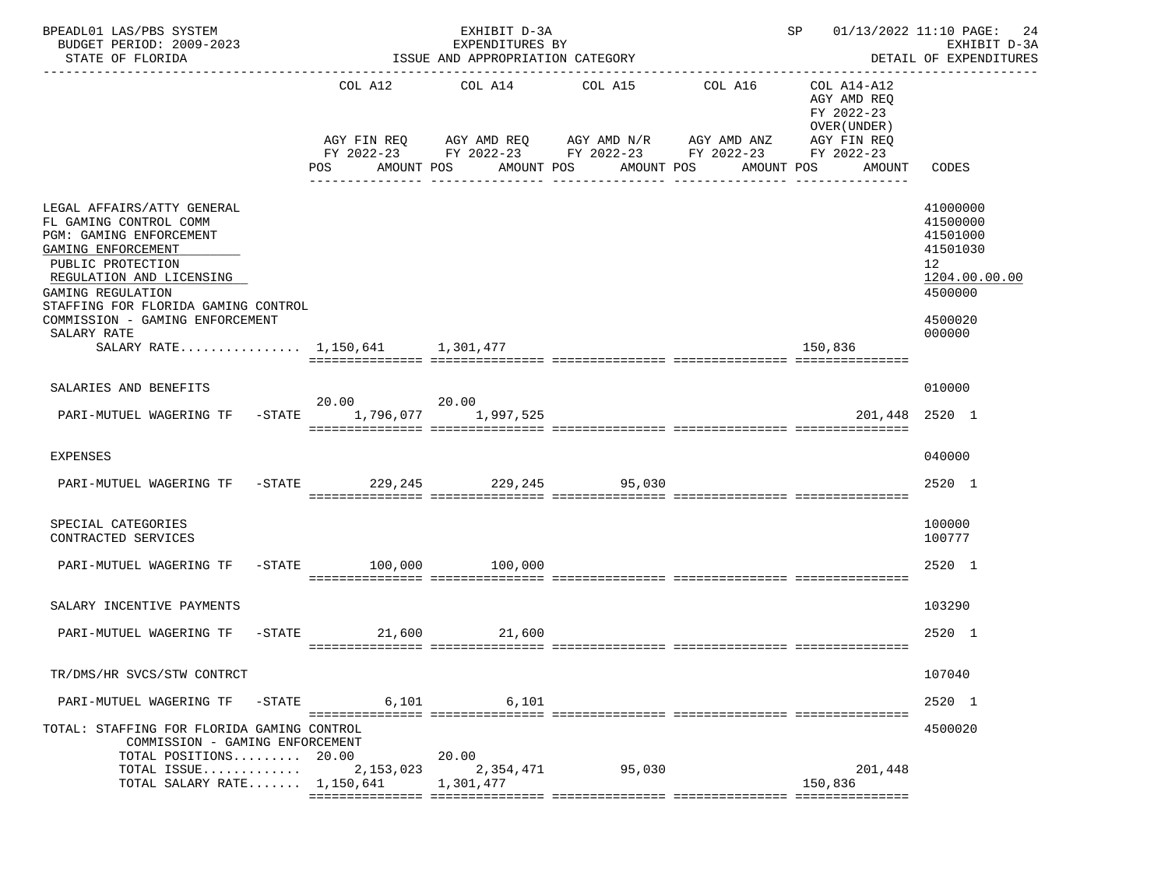| BPEADL01 LAS/PBS SYSTEM<br>BUDGET PERIOD: 2009-2023<br>STATE OF FLORIDA<br>-----------------------                                                                                                                                                                                                      |             | EXHIBIT D-3A<br>EXPENDITURES BY<br>ISSUE AND APPROPRIATION CATEGORY | $SP$ 01/13/2022 11:10 PAGE: 24                                                                                                                                                                              | EXHIBIT D-3A<br>DETAIL OF EXPENDITURES                   |                                                                                                     |
|---------------------------------------------------------------------------------------------------------------------------------------------------------------------------------------------------------------------------------------------------------------------------------------------------------|-------------|---------------------------------------------------------------------|-------------------------------------------------------------------------------------------------------------------------------------------------------------------------------------------------------------|----------------------------------------------------------|-----------------------------------------------------------------------------------------------------|
|                                                                                                                                                                                                                                                                                                         |             |                                                                     | COL A12 COL A14 COL A15 COL A16<br>AGY FIN REQ AGY AMD REQ AGY AMD N/R AGY AMD ANZ AGY FIN REQ<br>FY 2022-23 FY 2022-23 FY 2022-23 FY 2022-23 FY 2022-23<br>POS AMOUNT POS AMOUNT POS AMOUNT POS AMOUNT POS | COL A14-A12<br>AGY AMD REQ<br>FY 2022-23<br>OVER (UNDER) | AMOUNT CODES                                                                                        |
| LEGAL AFFAIRS/ATTY GENERAL<br>FL GAMING CONTROL COMM<br>PGM: GAMING ENFORCEMENT<br>GAMING ENFORCEMENT<br>PUBLIC PROTECTION<br>REGULATION AND LICENSING<br>GAMING REGULATION<br>STAFFING FOR FLORIDA GAMING CONTROL<br>COMMISSION - GAMING ENFORCEMENT<br>SALARY RATE<br>SALARY RATE 1,150,641 1,301,477 |             |                                                                     |                                                                                                                                                                                                             | 150,836                                                  | 41000000<br>41500000<br>41501000<br>41501030<br>12<br>1204.00.00.00<br>4500000<br>4500020<br>000000 |
| SALARIES AND BENEFITS                                                                                                                                                                                                                                                                                   |             |                                                                     |                                                                                                                                                                                                             |                                                          | 010000                                                                                              |
| PARI-MUTUEL WAGERING TF -STATE 1,796,077 1,997,525                                                                                                                                                                                                                                                      | 20.00 20.00 |                                                                     |                                                                                                                                                                                                             |                                                          | 201,448 2520 1                                                                                      |
| <b>EXPENSES</b>                                                                                                                                                                                                                                                                                         |             |                                                                     |                                                                                                                                                                                                             |                                                          | 040000                                                                                              |
| PARI-MUTUEL WAGERING TF -STATE 229,245 229,245 95,030                                                                                                                                                                                                                                                   |             |                                                                     |                                                                                                                                                                                                             |                                                          | 2520 1                                                                                              |
| SPECIAL CATEGORIES<br>CONTRACTED SERVICES                                                                                                                                                                                                                                                               |             |                                                                     |                                                                                                                                                                                                             |                                                          | 100000<br>100777                                                                                    |
| PARI-MUTUEL WAGERING TF -STATE 100,000 100,000                                                                                                                                                                                                                                                          |             |                                                                     |                                                                                                                                                                                                             |                                                          | 2520 1                                                                                              |
| SALARY INCENTIVE PAYMENTS                                                                                                                                                                                                                                                                               |             |                                                                     |                                                                                                                                                                                                             |                                                          | 103290                                                                                              |
| PARI-MUTUEL WAGERING TF                                                                                                                                                                                                                                                                                 | $-STATE$    | 21,600 21,600                                                       |                                                                                                                                                                                                             |                                                          | 2520 1                                                                                              |
| TR/DMS/HR SVCS/STW CONTRCT                                                                                                                                                                                                                                                                              |             |                                                                     |                                                                                                                                                                                                             |                                                          | 107040                                                                                              |
| PARI-MUTUEL WAGERING TF<br>$-$ STATE                                                                                                                                                                                                                                                                    | 6,101       | 6,101                                                               |                                                                                                                                                                                                             | ===============                                          | 2520 1                                                                                              |
| TOTAL: STAFFING FOR FLORIDA GAMING CONTROL<br>COMMISSION - GAMING ENFORCEMENT<br>TOTAL POSITIONS 20.00                                                                                                                                                                                                  |             | 20.00                                                               |                                                                                                                                                                                                             |                                                          | 4500020                                                                                             |
| TOTAL ISSUE<br>TOTAL SALARY RATE $1,150,641$                                                                                                                                                                                                                                                            | 2,153,023   | 2,354,471<br>1,301,477                                              | 95,030                                                                                                                                                                                                      | 201,448<br>150,836                                       |                                                                                                     |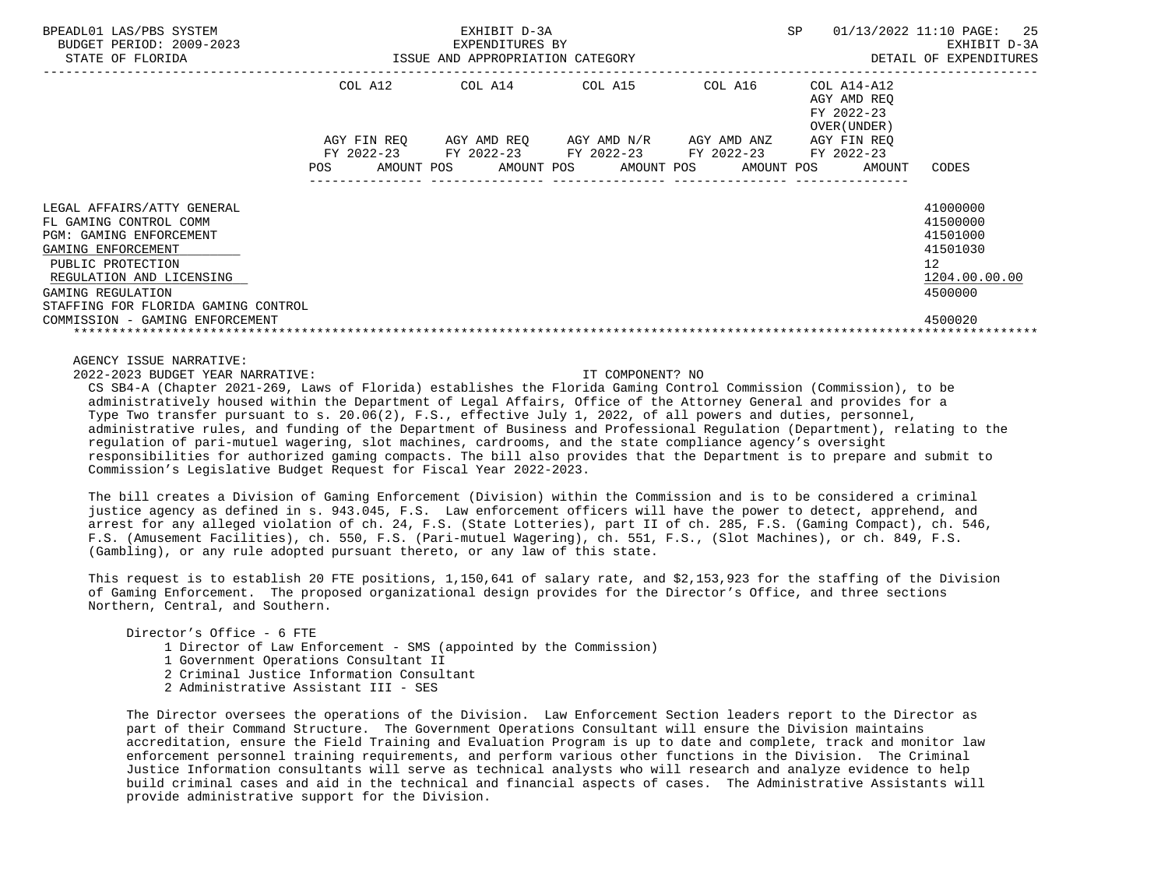| BPEADL01 LAS/PBS SYSTEM<br>BUDGET PERIOD: 2009-2023<br>STATE OF FLORIDA                                                                                                                                                   | ISSUE AND APPROPRIATION CATEGORY               | EXHIBIT D-3A<br>EXPENDITURES BY |                                                                                                  |                          | SP                                                       | 01/13/2022 11:10 PAGE: 25<br>EXHIBIT D-3A<br>DETAIL OF EXPENDITURES            |
|---------------------------------------------------------------------------------------------------------------------------------------------------------------------------------------------------------------------------|------------------------------------------------|---------------------------------|--------------------------------------------------------------------------------------------------|--------------------------|----------------------------------------------------------|--------------------------------------------------------------------------------|
|                                                                                                                                                                                                                           | COL A12                                        |                                 | COL A14 COL A15                                                                                  | COL A16                  | COL A14-A12<br>AGY AMD REO<br>FY 2022-23<br>OVER (UNDER) |                                                                                |
|                                                                                                                                                                                                                           | AGY FIN REO<br>FY 2022-23<br>POS<br>AMOUNT POS |                                 | AGY AMD REO     AGY AMD N/R     AGY AMD ANZ<br>FY 2022-23 FY 2022-23<br>AMOUNT POS<br>AMOUNT POS | FY 2022-23<br>AMOUNT POS | AGY FIN REO<br>FY 2022-23<br>AMOUNT                      | CODES                                                                          |
| LEGAL AFFAIRS/ATTY GENERAL<br>FL GAMING CONTROL COMM<br><b>PGM: GAMING ENFORCEMENT</b><br>GAMING ENFORCEMENT<br>PUBLIC PROTECTION<br>REGULATION AND LICENSING<br>GAMING REGULATION<br>STAFFING FOR FLORIDA GAMING CONTROL |                                                |                                 |                                                                                                  |                          |                                                          | 41000000<br>41500000<br>41501000<br>41501030<br>12<br>1204.00.00.00<br>4500000 |
| COMMISSION - GAMING ENFORCEMENT                                                                                                                                                                                           |                                                |                                 |                                                                                                  |                          |                                                          | 4500020                                                                        |

AGENCY ISSUE NARRATIVE:

2022-2023 BUDGET YEAR NARRATIVE: IT COMPONENT? NO

 CS SB4-A (Chapter 2021-269, Laws of Florida) establishes the Florida Gaming Control Commission (Commission), to be administratively housed within the Department of Legal Affairs, Office of the Attorney General and provides for a Type Two transfer pursuant to s. 20.06(2), F.S., effective July 1, 2022, of all powers and duties, personnel, administrative rules, and funding of the Department of Business and Professional Regulation (Department), relating to the regulation of pari-mutuel wagering, slot machines, cardrooms, and the state compliance agency's oversight responsibilities for authorized gaming compacts. The bill also provides that the Department is to prepare and submit to Commission's Legislative Budget Request for Fiscal Year 2022-2023.

 The bill creates a Division of Gaming Enforcement (Division) within the Commission and is to be considered a criminal justice agency as defined in s. 943.045, F.S. Law enforcement officers will have the power to detect, apprehend, and arrest for any alleged violation of ch. 24, F.S. (State Lotteries), part II of ch. 285, F.S. (Gaming Compact), ch. 546, F.S. (Amusement Facilities), ch. 550, F.S. (Pari-mutuel Wagering), ch. 551, F.S., (Slot Machines), or ch. 849, F.S. (Gambling), or any rule adopted pursuant thereto, or any law of this state.

This request is to establish 20 FTE positions, 1,150,641 of salary rate, and \$2,153,923 for the staffing of the Division of Gaming Enforcement. The proposed organizational design provides for the Director's Office, and three sections Northern, Central, and Southern.

Director's Office - 6 FTE

1 Director of Law Enforcement - SMS (appointed by the Commission)

- 1 Government Operations Consultant II
- 2 Criminal Justice Information Consultant
- 2 Administrative Assistant III SES

 The Director oversees the operations of the Division. Law Enforcement Section leaders report to the Director as part of their Command Structure. The Government Operations Consultant will ensure the Division maintains accreditation, ensure the Field Training and Evaluation Program is up to date and complete, track and monitor law enforcement personnel training requirements, and perform various other functions in the Division. The Criminal Justice Information consultants will serve as technical analysts who will research and analyze evidence to help build criminal cases and aid in the technical and financial aspects of cases. The Administrative Assistants will provide administrative support for the Division.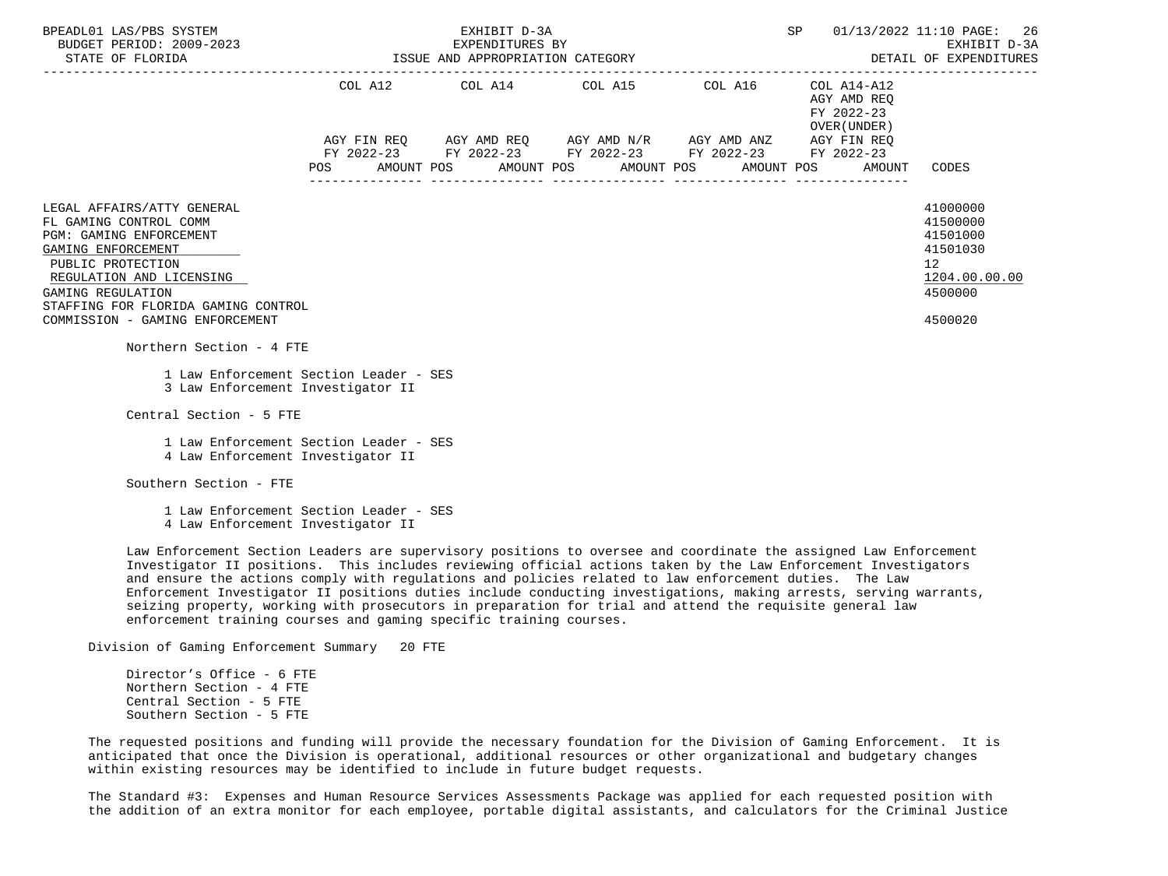| BPEADL01 LAS/PBS SYSTEM<br>BUDGET PERIOD: 2009-2023<br>ISSUE AND APPROPRIATION CATEGORY<br>STATE OF FLORIDA                                                                                                                                                  |     |  | EXHIBIT D-3A<br>EXPENDITURES BY |                                                                                                                                                                                                          |  | SP |                                                                   | 01/13/2022 11:10 PAGE: 26<br>EXHIBIT D-3A<br>DETAIL OF EXPENDITURES                       |
|--------------------------------------------------------------------------------------------------------------------------------------------------------------------------------------------------------------------------------------------------------------|-----|--|---------------------------------|----------------------------------------------------------------------------------------------------------------------------------------------------------------------------------------------------------|--|----|-------------------------------------------------------------------|-------------------------------------------------------------------------------------------|
|                                                                                                                                                                                                                                                              | POS |  |                                 | COL A12 COL A14 COL A15 COL A16 COL A14-A12<br>AGY FIN REQ AGY AMD REQ AGY AMD N/R AGY AMD ANZ AGY FIN REQ<br>FY 2022-23 FY 2022-23 FY 2022-23 FY 2022-23<br>AMOUNT POS AMOUNT POS AMOUNT POS AMOUNT POS |  |    | AGY AMD REO<br>FY 2022-23<br>OVER (UNDER)<br>FY 2022-23<br>AMOUNT | CODES                                                                                     |
| LEGAL AFFAIRS/ATTY GENERAL<br>FL GAMING CONTROL COMM<br><b>PGM: GAMING ENFORCEMENT</b><br>GAMING ENFORCEMENT<br>PUBLIC PROTECTION<br>REGULATION AND LICENSING<br>GAMING REGULATION<br>STAFFING FOR FLORIDA GAMING CONTROL<br>COMMISSION - GAMING ENFORCEMENT |     |  |                                 |                                                                                                                                                                                                          |  |    |                                                                   | 41000000<br>41500000<br>41501000<br>41501030<br>12<br>1204.00.00.00<br>4500000<br>4500020 |
| Northern Section - 4 FTE<br>1 Law Enforcement Section Leader - SES<br>3 Law Enforcement Investigator II                                                                                                                                                      |     |  |                                 |                                                                                                                                                                                                          |  |    |                                                                   |                                                                                           |
| Central Section - 5 FTE<br>1 Law Enforcement Section Leader - SES<br>4 Law Enforcement Investigator II                                                                                                                                                       |     |  |                                 |                                                                                                                                                                                                          |  |    |                                                                   |                                                                                           |
| Southern Section - FTE<br>1 Law Enforcement Section Leader - SES<br>4 Law Enforcement Investigator II                                                                                                                                                        |     |  |                                 |                                                                                                                                                                                                          |  |    |                                                                   |                                                                                           |

 Law Enforcement Section Leaders are supervisory positions to oversee and coordinate the assigned Law Enforcement Investigator II positions. This includes reviewing official actions taken by the Law Enforcement Investigators and ensure the actions comply with regulations and policies related to law enforcement duties. The Law Enforcement Investigator II positions duties include conducting investigations, making arrests, serving warrants, seizing property, working with prosecutors in preparation for trial and attend the requisite general law enforcement training courses and gaming specific training courses.

Division of Gaming Enforcement Summary 20 FTE

 Director's Office - 6 FTE Northern Section - 4 FTE Central Section - 5 FTE Southern Section - 5 FTE

 The requested positions and funding will provide the necessary foundation for the Division of Gaming Enforcement. It is anticipated that once the Division is operational, additional resources or other organizational and budgetary changes within existing resources may be identified to include in future budget requests.

 The Standard #3: Expenses and Human Resource Services Assessments Package was applied for each requested position with the addition of an extra monitor for each employee, portable digital assistants, and calculators for the Criminal Justice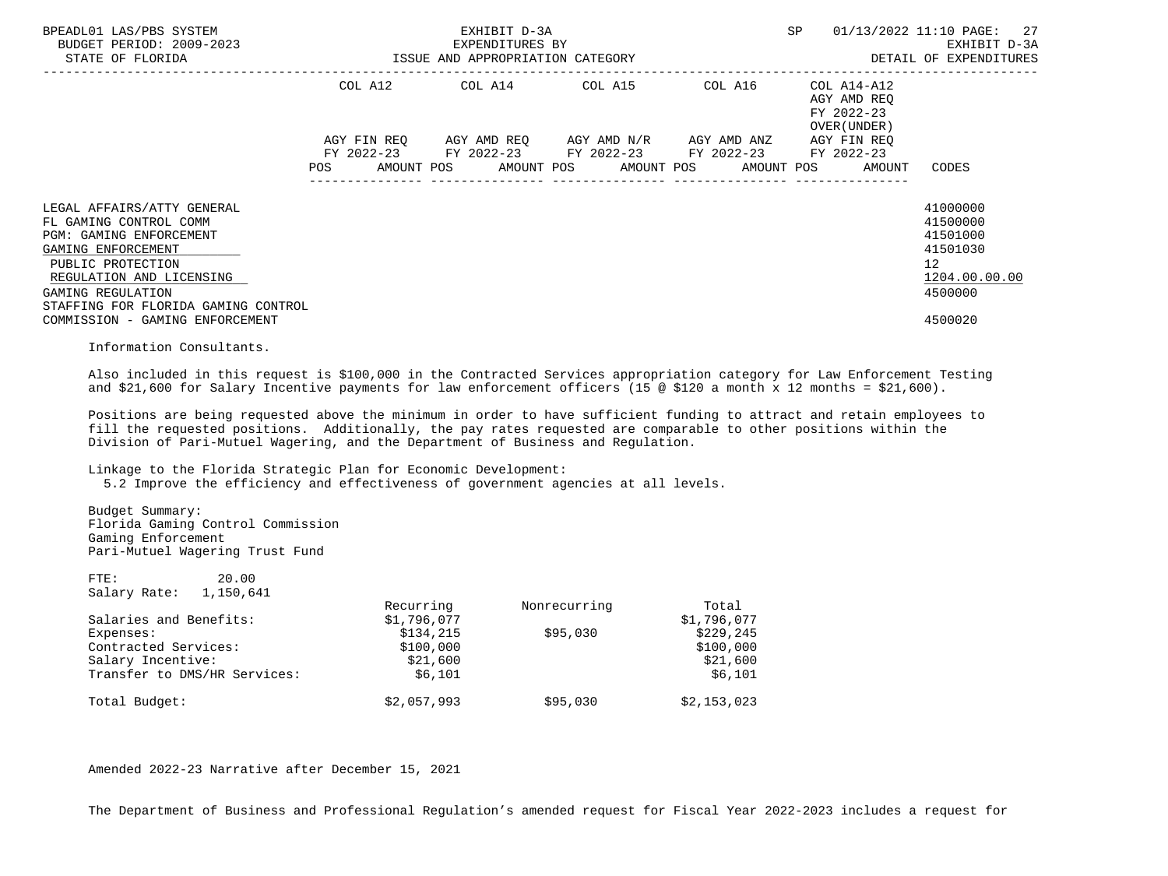| BPEADL01 LAS/PBS SYSTEM<br>BUDGET PERIOD: 2009-2023<br>STATE OF FLORIDA                                                                                                                                                                               | ISSUE AND APPROPRIATION CATEGORY | EXHIBIT D-3A<br>EXPENDITURES BY |                                                                                                |         | <b>SP</b>                                                                       | 01/13/2022 11:10 PAGE: 27<br>EXHIBIT D-3A<br>DETAIL OF EXPENDITURES                       |
|-------------------------------------------------------------------------------------------------------------------------------------------------------------------------------------------------------------------------------------------------------|----------------------------------|---------------------------------|------------------------------------------------------------------------------------------------|---------|---------------------------------------------------------------------------------|-------------------------------------------------------------------------------------------|
|                                                                                                                                                                                                                                                       |                                  |                                 | COL A12 COL A14 COL A15                                                                        | COL A16 | COL A14-A12<br>AGY AMD REQ<br>FY 2022-23<br>OVER (UNDER)                        |                                                                                           |
|                                                                                                                                                                                                                                                       | <b>POS</b>                       |                                 | AGY FIN REO AGY AMD REO AGY AMD N/R AGY AMD ANZ<br>FY 2022-23 FY 2022-23 FY 2022-23 FY 2022-23 |         | AGY FIN REO<br>FY 2022-23<br>AMOUNT POS AMOUNT POS AMOUNT POS AMOUNT POS AMOUNT | CODES                                                                                     |
| LEGAL AFFAIRS/ATTY GENERAL<br>FL GAMING CONTROL COMM<br>PGM: GAMING ENFORCEMENT<br>GAMING ENFORCEMENT<br>PUBLIC PROTECTION<br>REGULATION AND LICENSING<br>GAMING REGULATION<br>STAFFING FOR FLORIDA GAMING CONTROL<br>COMMISSION - GAMING ENFORCEMENT |                                  |                                 |                                                                                                |         |                                                                                 | 41000000<br>41500000<br>41501000<br>41501030<br>12<br>1204.00.00.00<br>4500000<br>4500020 |

Information Consultants.

 Also included in this request is \$100,000 in the Contracted Services appropriation category for Law Enforcement Testing and \$21,600 for Salary Incentive payments for law enforcement officers (15  $\omega$  \$120 a month x 12 months = \$21,600).

 Positions are being requested above the minimum in order to have sufficient funding to attract and retain employees to fill the requested positions. Additionally, the pay rates requested are comparable to other positions within the Division of Pari-Mutuel Wagering, and the Department of Business and Regulation.

Linkage to the Florida Strategic Plan for Economic Development:

5.2 Improve the efficiency and effectiveness of government agencies at all levels.

 Budget Summary: Florida Gaming Control Commission Gaming Enforcement Pari-Mutuel Wagering Trust Fund

 FTE: 20.00 Salary Rate: 1,150,641

|                              | Recurring   | Nonrecurring | Total       |
|------------------------------|-------------|--------------|-------------|
| Salaries and Benefits:       | \$1,796,077 |              | \$1,796,077 |
| Expenses:                    | \$134,215   | \$95,030     | \$229,245   |
| Contracted Services:         | \$100,000   |              | \$100,000   |
| Salary Incentive:            | \$21,600    |              | \$21,600    |
| Transfer to DMS/HR Services: | \$6,101     |              | \$6,101     |
| Total Budget:                | \$2,057,993 | \$95,030     | \$2,153,023 |

Amended 2022-23 Narrative after December 15, 2021

The Department of Business and Professional Regulation's amended request for Fiscal Year 2022-2023 includes a request for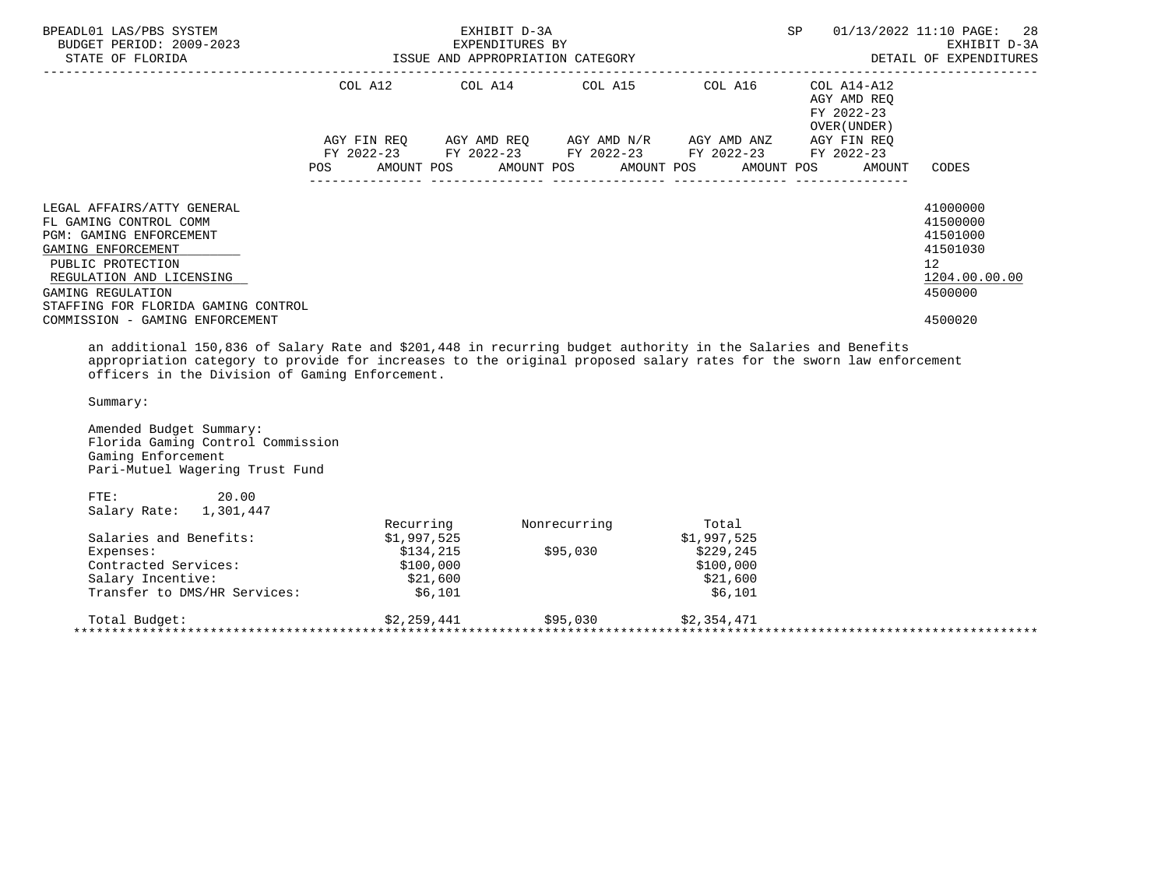| BPEADL01 LAS/PBS SYSTEM<br>BUDGET PERIOD: 2009-2023<br>STATE OF FLORIDA                                                                                                                                                                                      | EXHIBIT D-3A<br>EXPENDITURES BY | ISSUE AND APPROPRIATION CATEGORY                                                                                                                                          | SP                                         | 01/13/2022 11:10 PAGE: 28<br>EXHIBIT D-3A<br>DETAIL OF EXPENDITURES                       |
|--------------------------------------------------------------------------------------------------------------------------------------------------------------------------------------------------------------------------------------------------------------|---------------------------------|---------------------------------------------------------------------------------------------------------------------------------------------------------------------------|--------------------------------------------|-------------------------------------------------------------------------------------------|
|                                                                                                                                                                                                                                                              |                                 | COL A12 COL A14 COL A15 COL A16 COL A14-A12                                                                                                                               | AGY AMD REO<br>FY 2022-23<br>OVER (UNDER ) |                                                                                           |
|                                                                                                                                                                                                                                                              |                                 | AGY FIN REQ 6GY AMD REQ 6GY AMD N/R 6GY AMD ANZ<br>FY 2022-23 FY 2022-23 FY 2022-23 FY 2022-23 FY 2022-23<br>POS AMOUNT POS AMOUNT POS AMOUNT POS AMOUNT POS AMOUNT CODES | AGY FIN REO                                |                                                                                           |
| LEGAL AFFAIRS/ATTY GENERAL<br>FL GAMING CONTROL COMM<br><b>PGM: GAMING ENFORCEMENT</b><br>GAMING ENFORCEMENT<br>PUBLIC PROTECTION<br>REGULATION AND LICENSING<br>GAMING REGULATION<br>STAFFING FOR FLORIDA GAMING CONTROL<br>COMMISSION - GAMING ENFORCEMENT |                                 |                                                                                                                                                                           |                                            | 41000000<br>41500000<br>41501000<br>41501030<br>12<br>1204.00.00.00<br>4500000<br>4500020 |
| an additional 150,836 of Salary Rate and \$201,448 in recurring budget authority in the Salaries and Benefits                                                                                                                                                |                                 |                                                                                                                                                                           |                                            |                                                                                           |

 appropriation category to provide for increases to the original proposed salary rates for the sworn law enforcement officers in the Division of Gaming Enforcement.

Summary:

 Amended Budget Summary: Florida Gaming Control Commission Gaming Enforcement Pari-Mutuel Wagering Trust Fund

|                              | Recurring   | Nonrecurring | Total       |  |
|------------------------------|-------------|--------------|-------------|--|
| Salaries and Benefits:       | \$1,997,525 |              | \$1,997,525 |  |
| Expenses:                    | \$134,215   | \$95,030     | \$229,245   |  |
| Contracted Services:         | \$100,000   |              | \$100,000   |  |
| Salary Incentive:            | \$21,600    |              | \$21,600    |  |
| Transfer to DMS/HR Services: | \$6,101     |              | \$6,101     |  |
| Total Budget:                | \$2.259.441 | \$95,030     | \$2,354,471 |  |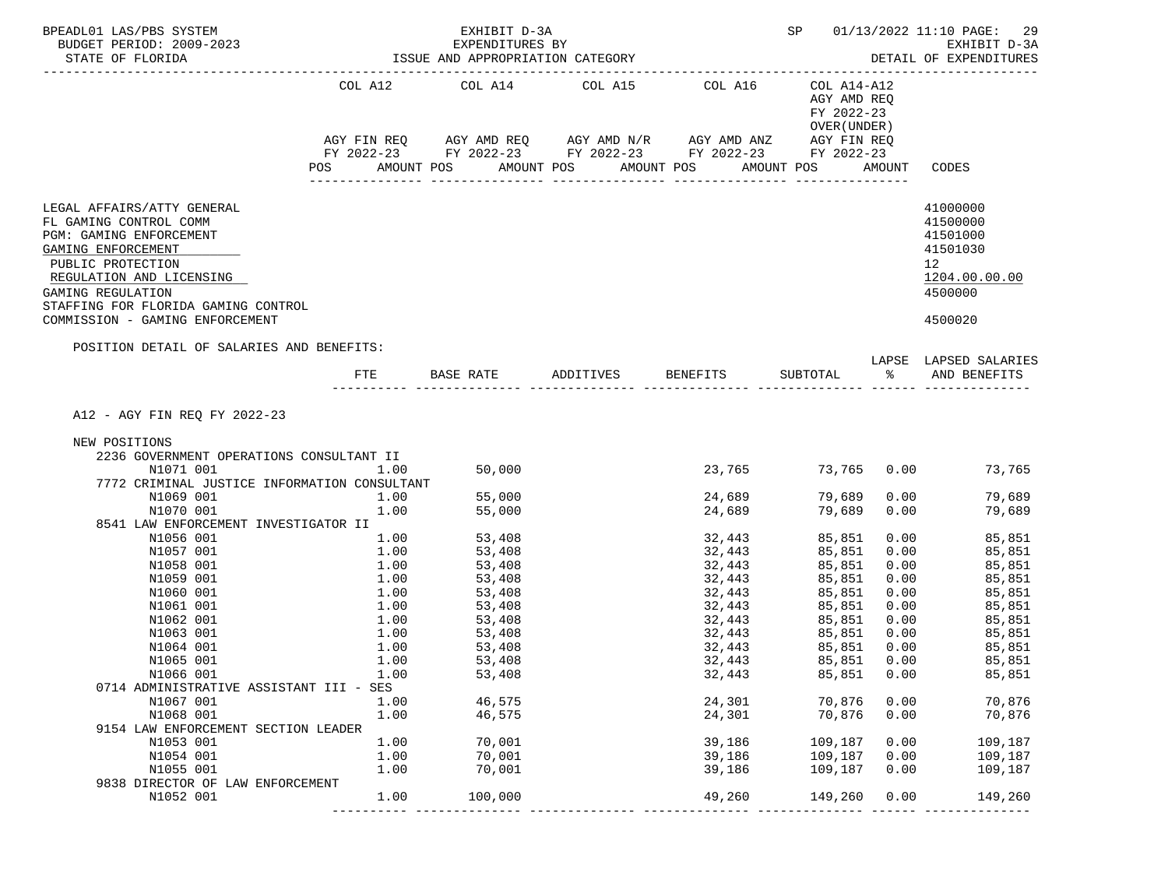| BPEADL01 LAS/PBS SYSTEM<br>BUDGET PERIOD: 2009-2023<br>STATE OF FLORIDA                                                                                                                                                                               |              | EXHIBIT D-3A<br>EXPENDITURES BY<br>ISSUE AND APPROPRIATION CATEGORY |                                                                                                                                                          |                  |                                                          |                    | SP 01/13/2022 11:10 PAGE:<br>-29<br>EXHIBIT D-3A<br>DETAIL OF EXPENDITURES                |
|-------------------------------------------------------------------------------------------------------------------------------------------------------------------------------------------------------------------------------------------------------|--------------|---------------------------------------------------------------------|----------------------------------------------------------------------------------------------------------------------------------------------------------|------------------|----------------------------------------------------------|--------------------|-------------------------------------------------------------------------------------------|
|                                                                                                                                                                                                                                                       |              |                                                                     | COL A12 COL A14 COL A15 COL A16<br>AGY FIN REQ AGY AMD REQ AGY AMD N/R AGY AMD ANZ AGY FIN REQ<br>FY 2022-23 FY 2022-23 FY 2022-23 FY 2022-23 FY 2022-23 |                  | COL A14-A12<br>AGY AMD REQ<br>FY 2022-23<br>OVER (UNDER) |                    |                                                                                           |
|                                                                                                                                                                                                                                                       | POS          | AMOUNT POS                                                          | AMOUNT POS                                                                                                                                               | AMOUNT POS       | AMOUNT POS                                               |                    | AMOUNT CODES                                                                              |
| LEGAL AFFAIRS/ATTY GENERAL<br>FL GAMING CONTROL COMM<br>PGM: GAMING ENFORCEMENT<br>GAMING ENFORCEMENT<br>PUBLIC PROTECTION<br>REGULATION AND LICENSING<br>GAMING REGULATION<br>STAFFING FOR FLORIDA GAMING CONTROL<br>COMMISSION - GAMING ENFORCEMENT |              |                                                                     |                                                                                                                                                          |                  |                                                          |                    | 41000000<br>41500000<br>41501000<br>41501030<br>12<br>1204.00.00.00<br>4500000<br>4500020 |
|                                                                                                                                                                                                                                                       |              |                                                                     |                                                                                                                                                          |                  |                                                          |                    |                                                                                           |
| POSITION DETAIL OF SALARIES AND BENEFITS:                                                                                                                                                                                                             | <b>FTE</b>   | BASE RATE                                                           | ADDITIVES BENEFITS                                                                                                                                       |                  | SUBTOTAL                                                 | $rac{1}{\sqrt{2}}$ | LAPSE LAPSED SALARIES<br>AND BENEFITS                                                     |
| A12 - AGY FIN REQ FY 2022-23<br>NEW POSITIONS                                                                                                                                                                                                         |              |                                                                     |                                                                                                                                                          |                  |                                                          |                    |                                                                                           |
| 2236 GOVERNMENT OPERATIONS CONSULTANT II<br>N1071 001                                                                                                                                                                                                 | 1.00         | 50,000                                                              |                                                                                                                                                          | 23,765           |                                                          |                    | 73,765 0.00 73,765                                                                        |
| 7772 CRIMINAL JUSTICE INFORMATION CONSULTANT                                                                                                                                                                                                          |              |                                                                     |                                                                                                                                                          |                  |                                                          |                    |                                                                                           |
| N1069 001                                                                                                                                                                                                                                             | 1.00         | 55,000                                                              |                                                                                                                                                          | 24,689           | 79,689                                                   | 0.00               | 79,689                                                                                    |
| N1070 001                                                                                                                                                                                                                                             | 1.00         | 55,000                                                              |                                                                                                                                                          | 24,689           | 79,689                                                   | 0.00               | 79,689                                                                                    |
| 8541 LAW ENFORCEMENT INVESTIGATOR II                                                                                                                                                                                                                  |              |                                                                     |                                                                                                                                                          |                  |                                                          |                    |                                                                                           |
| N1056 001                                                                                                                                                                                                                                             | 1.00         | 53,408                                                              |                                                                                                                                                          | 32,443           | 85,851                                                   | 0.00               | 85,851                                                                                    |
| N1057 001                                                                                                                                                                                                                                             | 1.00         | 53,408                                                              |                                                                                                                                                          | 32,443           | 85,851                                                   | 0.00               | 85,851                                                                                    |
| N1058 001                                                                                                                                                                                                                                             | 1.00         | 53,408                                                              |                                                                                                                                                          | 32,443           | 85,851                                                   | 0.00               | 85,851                                                                                    |
| N1059 001<br>N1060 001                                                                                                                                                                                                                                | 1.00<br>1.00 | 53,408<br>53,408                                                    |                                                                                                                                                          | 32,443           | 85,851                                                   | 0.00               | 85,851<br>85,851                                                                          |
| N1061 001                                                                                                                                                                                                                                             | 1.00         | 53,408                                                              |                                                                                                                                                          | 32,443<br>32,443 | 85,851<br>85,851                                         | 0.00<br>0.00       | 85,851                                                                                    |
| N1062 001                                                                                                                                                                                                                                             | 1.00         | 53,408                                                              |                                                                                                                                                          | 32,443           | 85,851                                                   | 0.00               | 85,851                                                                                    |
| N1063 001                                                                                                                                                                                                                                             | 1.00         | 53,408                                                              |                                                                                                                                                          | 32,443           | 85,851                                                   | 0.00               | 85,851                                                                                    |
| N1064 001                                                                                                                                                                                                                                             | 1.00         | 53,408                                                              |                                                                                                                                                          | 32,443           | 85,851                                                   | 0.00               | 85,851                                                                                    |
| N1065 001                                                                                                                                                                                                                                             | 1.00         | 53,408                                                              |                                                                                                                                                          | 32,443           | 85,851                                                   | 0.00               | 85,851                                                                                    |
| N1066 001                                                                                                                                                                                                                                             | 1.00         | 53,408                                                              |                                                                                                                                                          | 32,443           | 85,851                                                   | 0.00               | 85,851                                                                                    |
| 0714 ADMINISTRATIVE ASSISTANT III - SES                                                                                                                                                                                                               |              |                                                                     |                                                                                                                                                          |                  |                                                          |                    |                                                                                           |
| N1067 001                                                                                                                                                                                                                                             | 1.00         | 46,575                                                              |                                                                                                                                                          | 24,301           | 70,876                                                   | 0.00               | 70,876                                                                                    |
| N1068 001                                                                                                                                                                                                                                             | 1.00         | 46,575                                                              |                                                                                                                                                          | 24,301           | 70,876                                                   | 0.00               | 70,876                                                                                    |
| 9154 LAW ENFORCEMENT SECTION LEADER                                                                                                                                                                                                                   |              |                                                                     |                                                                                                                                                          |                  |                                                          |                    |                                                                                           |
| N1053 001                                                                                                                                                                                                                                             | 1.00         | 70,001                                                              |                                                                                                                                                          | 39,186           | 109,187                                                  | 0.00               | 109,187                                                                                   |
| N1054 001                                                                                                                                                                                                                                             | 1.00         | 70,001                                                              |                                                                                                                                                          | 39,186           | 109,187                                                  | 0.00               | 109,187                                                                                   |
| N1055 001                                                                                                                                                                                                                                             | 1.00         | 70,001                                                              |                                                                                                                                                          | 39,186           | 109,187                                                  | 0.00               | 109,187                                                                                   |
| 9838 DIRECTOR OF LAW ENFORCEMENT                                                                                                                                                                                                                      |              |                                                                     |                                                                                                                                                          |                  |                                                          |                    |                                                                                           |
| N1052 001                                                                                                                                                                                                                                             | 1.00         | 100,000                                                             |                                                                                                                                                          | 49,260           | 149,260                                                  | 0.00               | 149,260                                                                                   |
|                                                                                                                                                                                                                                                       |              |                                                                     |                                                                                                                                                          |                  |                                                          |                    |                                                                                           |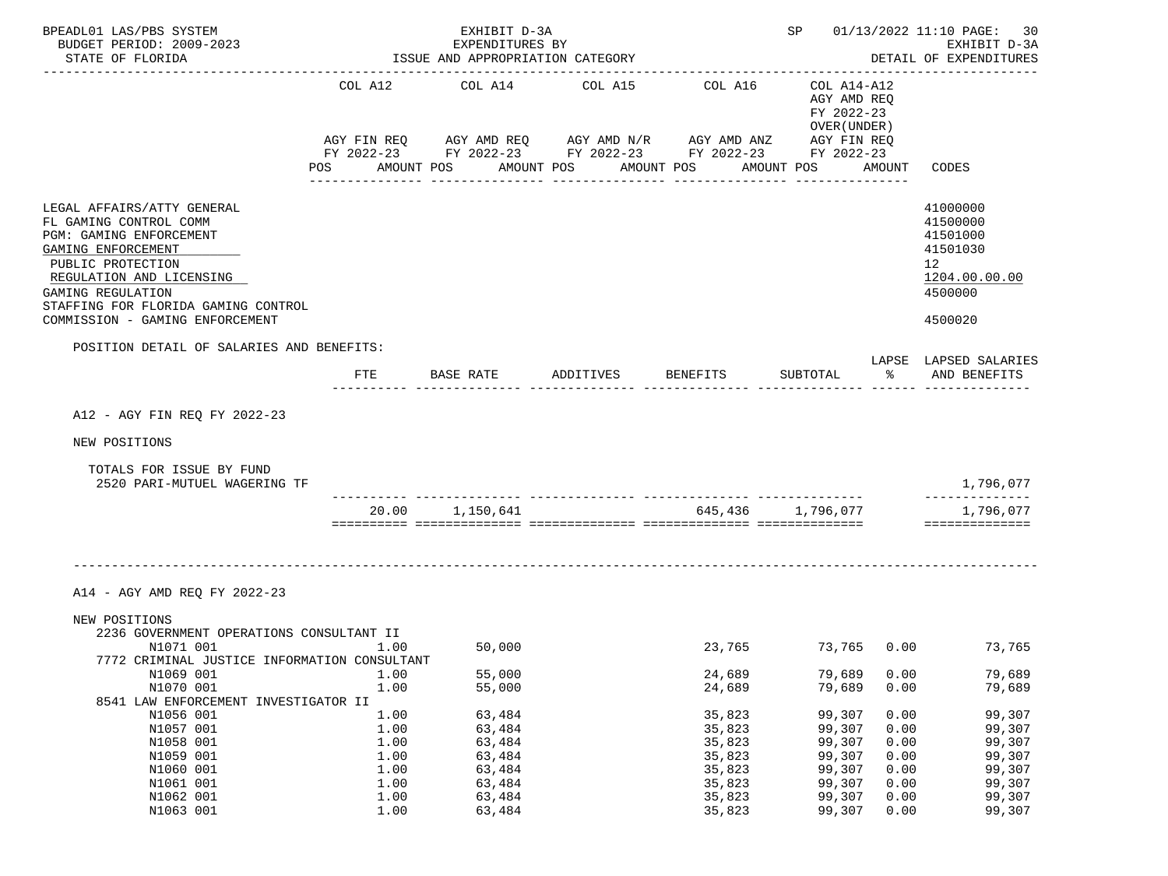| BPEADL01 LAS/PBS SYSTEM                                                                                                                                                                                                                               |              | EXHIBIT D-3A                                     |                                                                                                                                                                             |                             |                                                                                       |              | SP 01/13/2022 11:10 PAGE:<br>30                                                           |
|-------------------------------------------------------------------------------------------------------------------------------------------------------------------------------------------------------------------------------------------------------|--------------|--------------------------------------------------|-----------------------------------------------------------------------------------------------------------------------------------------------------------------------------|-----------------------------|---------------------------------------------------------------------------------------|--------------|-------------------------------------------------------------------------------------------|
| BUDGET PERIOD: 2009-2023                                                                                                                                                                                                                              |              | EXPENDITURES BY                                  |                                                                                                                                                                             |                             |                                                                                       |              | EXHIBIT D-3A                                                                              |
| STATE OF FLORIDA                                                                                                                                                                                                                                      |              | ISSUE AND APPROPRIATION CATEGORY                 |                                                                                                                                                                             |                             |                                                                                       |              | DETAIL OF EXPENDITURES                                                                    |
|                                                                                                                                                                                                                                                       | POS          | COL A12 COL A14<br>AMOUNT POS<br>_______________ | COL A15<br>AGY FIN REQ 6 AGY AMD REQ 6 AGY AMD N/R 66 AGY AMD ANZ<br>FY 2022-23 FY 2022-23 FY 2022-23 FY 2022-23 FY 2022-23<br>AMOUNT POS<br>AMOUNT POS<br>---------------- | COL A16<br>---------------- | COL A14-A12<br>AGY AMD REQ<br>FY 2022-23<br>OVER (UNDER)<br>AGY FIN REQ<br>AMOUNT POS | AMOUNT       | CODES                                                                                     |
| LEGAL AFFAIRS/ATTY GENERAL<br>FL GAMING CONTROL COMM<br>PGM: GAMING ENFORCEMENT<br>GAMING ENFORCEMENT<br>PUBLIC PROTECTION<br>REGULATION AND LICENSING<br>GAMING REGULATION<br>STAFFING FOR FLORIDA GAMING CONTROL<br>COMMISSION - GAMING ENFORCEMENT |              |                                                  |                                                                                                                                                                             |                             |                                                                                       |              | 41000000<br>41500000<br>41501000<br>41501030<br>12<br>1204.00.00.00<br>4500000<br>4500020 |
| POSITION DETAIL OF SALARIES AND BENEFITS:                                                                                                                                                                                                             |              |                                                  |                                                                                                                                                                             |                             |                                                                                       |              |                                                                                           |
|                                                                                                                                                                                                                                                       | <b>FTE</b>   | BASE RATE ADDITIVES                              |                                                                                                                                                                             | <b>BENEFITS</b>             | SUBTOTAL                                                                              | ာ အော        | LAPSE LAPSED SALARIES<br>AND BENEFITS                                                     |
|                                                                                                                                                                                                                                                       |              |                                                  |                                                                                                                                                                             |                             |                                                                                       |              |                                                                                           |
| A12 - AGY FIN REQ FY 2022-23                                                                                                                                                                                                                          |              |                                                  |                                                                                                                                                                             |                             |                                                                                       |              |                                                                                           |
| NEW POSITIONS                                                                                                                                                                                                                                         |              |                                                  |                                                                                                                                                                             |                             |                                                                                       |              |                                                                                           |
| TOTALS FOR ISSUE BY FUND<br>2520 PARI-MUTUEL WAGERING TF                                                                                                                                                                                              |              |                                                  |                                                                                                                                                                             |                             |                                                                                       |              | 1,796,077                                                                                 |
|                                                                                                                                                                                                                                                       |              | 20.00 1,150,641                                  |                                                                                                                                                                             |                             | 645,436 1,796,077                                                                     |              | 1,796,077                                                                                 |
|                                                                                                                                                                                                                                                       |              |                                                  |                                                                                                                                                                             |                             |                                                                                       |              | ==============                                                                            |
| A14 - AGY AMD REQ FY 2022-23<br>NEW POSITIONS                                                                                                                                                                                                         |              |                                                  |                                                                                                                                                                             |                             |                                                                                       |              |                                                                                           |
| 2236 GOVERNMENT OPERATIONS CONSULTANT II<br>N1071 001                                                                                                                                                                                                 | 1.00         | 50,000                                           |                                                                                                                                                                             |                             |                                                                                       |              | 23,765 73,765 0.00 73,765                                                                 |
| 7772 CRIMINAL JUSTICE INFORMATION CONSULTANT                                                                                                                                                                                                          |              |                                                  |                                                                                                                                                                             |                             |                                                                                       |              |                                                                                           |
| N1069 001<br>N1070 001<br>8541 LAW ENFORCEMENT INVESTIGATOR II                                                                                                                                                                                        | 1.00<br>1.00 | 55,000<br>55,000                                 |                                                                                                                                                                             | 24,689<br>24,689            | 79,689<br>79,689                                                                      | 0.00<br>0.00 | 79,689<br>79,689                                                                          |
| N1056 001                                                                                                                                                                                                                                             | 1.00         | 63,484                                           |                                                                                                                                                                             | 35,823                      | 99,307                                                                                | 0.00         | 99,307                                                                                    |
| N1057 001                                                                                                                                                                                                                                             | 1.00         | 63,484                                           |                                                                                                                                                                             | 35,823                      | 99,307                                                                                | 0.00         | 99,307                                                                                    |
| N1058 001                                                                                                                                                                                                                                             | 1.00         | 63,484                                           |                                                                                                                                                                             | 35,823                      | 99,307                                                                                | 0.00         | 99,307                                                                                    |
| N1059 001                                                                                                                                                                                                                                             | 1.00         | 63,484                                           |                                                                                                                                                                             | 35,823                      | 99,307                                                                                | 0.00         | 99,307                                                                                    |
| N1060 001                                                                                                                                                                                                                                             | 1.00         | 63,484                                           |                                                                                                                                                                             | 35,823                      | 99,307                                                                                | 0.00         | 99,307                                                                                    |
| N1061 001                                                                                                                                                                                                                                             | 1.00         | 63,484                                           |                                                                                                                                                                             | 35,823                      | 99,307                                                                                | 0.00         | 99,307                                                                                    |
| N1062 001                                                                                                                                                                                                                                             | 1.00         | 63,484                                           |                                                                                                                                                                             | 35,823                      | 99,307                                                                                | 0.00         | 99,307                                                                                    |
| N1063 001                                                                                                                                                                                                                                             | 1.00         | 63,484                                           |                                                                                                                                                                             | 35,823                      | 99,307                                                                                | 0.00         | 99,307                                                                                    |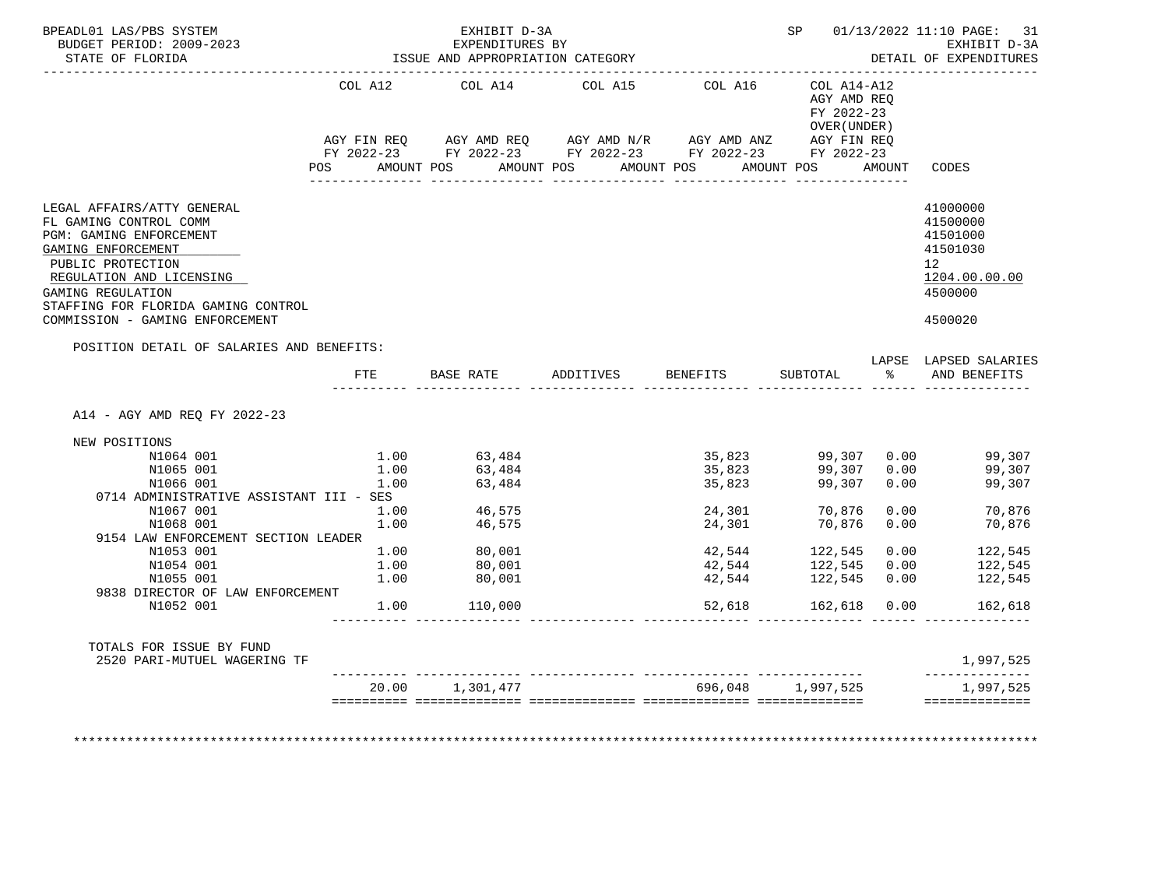| BPEADL01 LAS/PBS SYSTEM<br>BUDGET PERIOD: 2009-2023<br>STATE OF FLORIDA<br>------------------                                                                                                                                                                               |                                                                            | EXHIBIT D-3A<br>EXPENDITURES BY<br>ISSUE AND APPROPRIATION CATEGORY            |                                                                                                                       |                                                                    |                                                                                 |                              | SP 01/13/2022 11:10 PAGE: 31<br>EXHIBIT D-3A<br>DETAIL OF EXPENDITURES                                    |
|-----------------------------------------------------------------------------------------------------------------------------------------------------------------------------------------------------------------------------------------------------------------------------|----------------------------------------------------------------------------|--------------------------------------------------------------------------------|-----------------------------------------------------------------------------------------------------------------------|--------------------------------------------------------------------|---------------------------------------------------------------------------------|------------------------------|-----------------------------------------------------------------------------------------------------------|
|                                                                                                                                                                                                                                                                             | COL A12                                                                    | COL A14 COL A15                                                                |                                                                                                                       | COL A16                                                            | COL A14-A12<br>AGY AMD REQ<br>FY 2022-23<br>OVER (UNDER )                       |                              |                                                                                                           |
|                                                                                                                                                                                                                                                                             |                                                                            |                                                                                | AGY FIN REQ AGY AMD REQ AGY AMD N/R AGY AMD ANZ AGY FIN REQ<br>FY 2022-23 FY 2022-23 FY 2022-23 FY 2022-23 FY 2022-23 |                                                                    |                                                                                 |                              |                                                                                                           |
|                                                                                                                                                                                                                                                                             |                                                                            |                                                                                | POS AMOUNT POS AMOUNT POS AMOUNT POS AMOUNT POS AMOUNT CODES                                                          |                                                                    |                                                                                 |                              |                                                                                                           |
| LEGAL AFFAIRS/ATTY GENERAL<br>FL GAMING CONTROL COMM<br>PGM: GAMING ENFORCEMENT<br>GAMING ENFORCEMENT<br>PUBLIC PROTECTION<br>REGULATION AND LICENSING<br>GAMING REGULATION<br>STAFFING FOR FLORIDA GAMING CONTROL                                                          |                                                                            |                                                                                |                                                                                                                       |                                                                    |                                                                                 |                              | 41000000<br>41500000<br>41501000<br>41501030<br>12 <sup>12</sup><br>1204.00.00.00<br>4500000              |
| COMMISSION - GAMING ENFORCEMENT                                                                                                                                                                                                                                             |                                                                            |                                                                                |                                                                                                                       |                                                                    |                                                                                 |                              | 4500020                                                                                                   |
| POSITION DETAIL OF SALARIES AND BENEFITS:                                                                                                                                                                                                                                   |                                                                            |                                                                                |                                                                                                                       |                                                                    |                                                                                 |                              |                                                                                                           |
|                                                                                                                                                                                                                                                                             | FTE                                                                        | BASE RATE ADDITIVES                                                            |                                                                                                                       | <b>BENEFITS</b>                                                    | <b>SUBTOTAL</b>                                                                 | °≈                           | LAPSE LAPSED SALARIES<br>AND BENEFITS                                                                     |
| A14 - AGY AMD REO FY 2022-23<br>NEW POSITIONS<br>N1064 001<br>N1065 001<br>N1066 001<br>0714 ADMINISTRATIVE ASSISTANT III - SES<br>N1067 001<br>N1068 001<br>9154 LAW ENFORCEMENT SECTION LEADER<br>N1053 001<br>N1054 001<br>N1055 001<br>9838 DIRECTOR OF LAW ENFORCEMENT | 1.00<br>1.00<br>$1.00$ $46,575$<br>$1.00$ $46.575$<br>1.00<br>1.00<br>1.00 | 1.00 63.484<br>63,484<br>63,484<br>46,575<br>$1.00$ 80,001<br>80,001<br>80,001 |                                                                                                                       | 35,823<br>35,823<br>24,301<br>24,301<br>42,544<br>42,544<br>42,544 | 99,307<br>99,307<br>70,876<br>70,876<br>122,545 0.00<br>122,545<br>122,545 0.00 | 0.00<br>0.00<br>0.00<br>0.00 | 35,823 99,307 0.00 99,307<br>99,307<br>99,307<br>$0.00$ 70,876<br>70,876<br>122,545<br>122,545<br>122,545 |
| N1052 001                                                                                                                                                                                                                                                                   | 1.00                                                                       | 110,000                                                                        |                                                                                                                       | 52,618                                                             | 162,618   0.00                                                                  |                              | 162,618                                                                                                   |
| TOTALS FOR ISSUE BY FUND<br>2520 PARI-MUTUEL WAGERING TF                                                                                                                                                                                                                    |                                                                            |                                                                                |                                                                                                                       |                                                                    |                                                                                 |                              | 1,997,525<br>______________                                                                               |
|                                                                                                                                                                                                                                                                             |                                                                            | 20.00 1,301,477                                                                |                                                                                                                       |                                                                    | 696,048 1,997,525                                                               |                              | 1,997,525                                                                                                 |